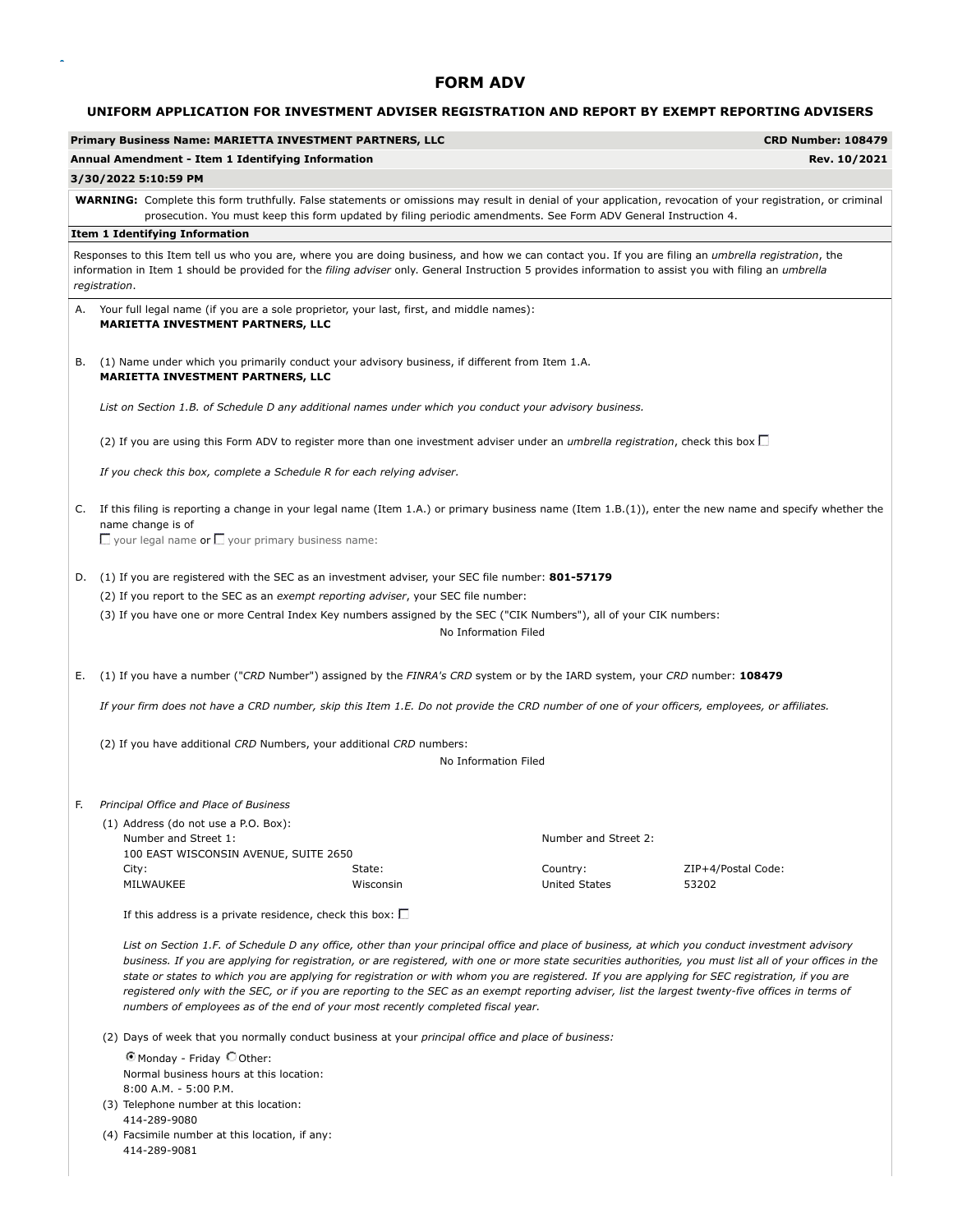#### **UNIFORM APPLICATION FOR INVESTMENT ADVISER REGISTRATION AND REPORT BY EXEMPT REPORTING ADVISERS**

|    | Primary Business Name: MARIETTA INVESTMENT PARTNERS, LLC                                                                                                                                                                                                                                                                                                                                                                                                                                                                                                                                                                                                                                                  |           |                                  | <b>CRD Number: 108479</b> |  |  |  |
|----|-----------------------------------------------------------------------------------------------------------------------------------------------------------------------------------------------------------------------------------------------------------------------------------------------------------------------------------------------------------------------------------------------------------------------------------------------------------------------------------------------------------------------------------------------------------------------------------------------------------------------------------------------------------------------------------------------------------|-----------|----------------------------------|---------------------------|--|--|--|
|    | Annual Amendment - Item 1 Identifying Information                                                                                                                                                                                                                                                                                                                                                                                                                                                                                                                                                                                                                                                         |           |                                  | Rev. 10/2021              |  |  |  |
|    | 3/30/2022 5:10:59 PM                                                                                                                                                                                                                                                                                                                                                                                                                                                                                                                                                                                                                                                                                      |           |                                  |                           |  |  |  |
|    | <b>WARNING:</b> Complete this form truthfully. False statements or omissions may result in denial of your application, revocation of your registration, or criminal<br>prosecution. You must keep this form updated by filing periodic amendments. See Form ADV General Instruction 4.                                                                                                                                                                                                                                                                                                                                                                                                                    |           |                                  |                           |  |  |  |
|    | <b>Item 1 Identifying Information</b>                                                                                                                                                                                                                                                                                                                                                                                                                                                                                                                                                                                                                                                                     |           |                                  |                           |  |  |  |
|    | Responses to this Item tell us who you are, where you are doing business, and how we can contact you. If you are filing an umbrella registration, the<br>information in Item 1 should be provided for the filing adviser only. General Instruction 5 provides information to assist you with filing an umbrella<br>registration.                                                                                                                                                                                                                                                                                                                                                                          |           |                                  |                           |  |  |  |
|    | A. Your full legal name (if you are a sole proprietor, your last, first, and middle names):<br><b>MARIETTA INVESTMENT PARTNERS, LLC</b>                                                                                                                                                                                                                                                                                                                                                                                                                                                                                                                                                                   |           |                                  |                           |  |  |  |
| В. | (1) Name under which you primarily conduct your advisory business, if different from Item 1.A.<br><b>MARIETTA INVESTMENT PARTNERS, LLC</b>                                                                                                                                                                                                                                                                                                                                                                                                                                                                                                                                                                |           |                                  |                           |  |  |  |
|    | List on Section 1.B. of Schedule D any additional names under which you conduct your advisory business.                                                                                                                                                                                                                                                                                                                                                                                                                                                                                                                                                                                                   |           |                                  |                           |  |  |  |
|    | (2) If you are using this Form ADV to register more than one investment adviser under an <i>umbrella registration</i> , check this box                                                                                                                                                                                                                                                                                                                                                                                                                                                                                                                                                                    |           |                                  |                           |  |  |  |
|    | If you check this box, complete a Schedule R for each relying adviser.                                                                                                                                                                                                                                                                                                                                                                                                                                                                                                                                                                                                                                    |           |                                  |                           |  |  |  |
|    | C. If this filing is reporting a change in your legal name (Item 1.A.) or primary business name (Item 1.B.(1)), enter the new name and specify whether the<br>name change is of<br>$\Box$ your legal name or $\Box$ your primary business name:                                                                                                                                                                                                                                                                                                                                                                                                                                                           |           |                                  |                           |  |  |  |
| D. | (1) If you are registered with the SEC as an investment adviser, your SEC file number: 801-57179                                                                                                                                                                                                                                                                                                                                                                                                                                                                                                                                                                                                          |           |                                  |                           |  |  |  |
|    | (2) If you report to the SEC as an exempt reporting adviser, your SEC file number:                                                                                                                                                                                                                                                                                                                                                                                                                                                                                                                                                                                                                        |           |                                  |                           |  |  |  |
|    | (3) If you have one or more Central Index Key numbers assigned by the SEC ("CIK Numbers"), all of your CIK numbers:                                                                                                                                                                                                                                                                                                                                                                                                                                                                                                                                                                                       |           | No Information Filed             |                           |  |  |  |
| Е. | (1) If you have a number ("CRD Number") assigned by the FINRA's CRD system or by the IARD system, your CRD number: 108479                                                                                                                                                                                                                                                                                                                                                                                                                                                                                                                                                                                 |           |                                  |                           |  |  |  |
|    | If your firm does not have a CRD number, skip this Item 1.E. Do not provide the CRD number of one of your officers, employees, or affiliates.                                                                                                                                                                                                                                                                                                                                                                                                                                                                                                                                                             |           |                                  |                           |  |  |  |
|    | (2) If you have additional CRD Numbers, your additional CRD numbers:                                                                                                                                                                                                                                                                                                                                                                                                                                                                                                                                                                                                                                      |           |                                  |                           |  |  |  |
|    |                                                                                                                                                                                                                                                                                                                                                                                                                                                                                                                                                                                                                                                                                                           |           | No Information Filed             |                           |  |  |  |
|    |                                                                                                                                                                                                                                                                                                                                                                                                                                                                                                                                                                                                                                                                                                           |           |                                  |                           |  |  |  |
| F. | Principal Office and Place of Business                                                                                                                                                                                                                                                                                                                                                                                                                                                                                                                                                                                                                                                                    |           |                                  |                           |  |  |  |
|    | (1) Address (do not use a P.O. Box):<br>Number and Street 1:<br>100 EAST WISCONSIN AVENUE, SUITE 2650<br>City:                                                                                                                                                                                                                                                                                                                                                                                                                                                                                                                                                                                            | State:    | Number and Street 2:<br>Country: | ZIP+4/Postal Code:        |  |  |  |
|    | MILWAUKEE                                                                                                                                                                                                                                                                                                                                                                                                                                                                                                                                                                                                                                                                                                 | Wisconsin | <b>United States</b>             | 53202                     |  |  |  |
|    | If this address is a private residence, check this box: $\square$                                                                                                                                                                                                                                                                                                                                                                                                                                                                                                                                                                                                                                         |           |                                  |                           |  |  |  |
|    | List on Section 1.F. of Schedule D any office, other than your principal office and place of business, at which you conduct investment advisory<br>business. If you are applying for registration, or are registered, with one or more state securities authorities, you must list all of your offices in the<br>state or states to which you are applying for registration or with whom you are registered. If you are applying for SEC registration, if you are<br>registered only with the SEC, or if you are reporting to the SEC as an exempt reporting adviser, list the largest twenty-five offices in terms of<br>numbers of employees as of the end of your most recently completed fiscal year. |           |                                  |                           |  |  |  |
|    | (2) Days of week that you normally conduct business at your principal office and place of business:                                                                                                                                                                                                                                                                                                                                                                                                                                                                                                                                                                                                       |           |                                  |                           |  |  |  |
|    | © Monday - Friday © Other:                                                                                                                                                                                                                                                                                                                                                                                                                                                                                                                                                                                                                                                                                |           |                                  |                           |  |  |  |
|    | Normal business hours at this location:<br>8:00 A.M. - 5:00 P.M.<br>(3) Telephone number at this location:                                                                                                                                                                                                                                                                                                                                                                                                                                                                                                                                                                                                |           |                                  |                           |  |  |  |
|    | 414-289-9080                                                                                                                                                                                                                                                                                                                                                                                                                                                                                                                                                                                                                                                                                              |           |                                  |                           |  |  |  |
|    | (4) Facsimile number at this location, if any:                                                                                                                                                                                                                                                                                                                                                                                                                                                                                                                                                                                                                                                            |           |                                  |                           |  |  |  |

414-289-9081

 $\bar{\star}$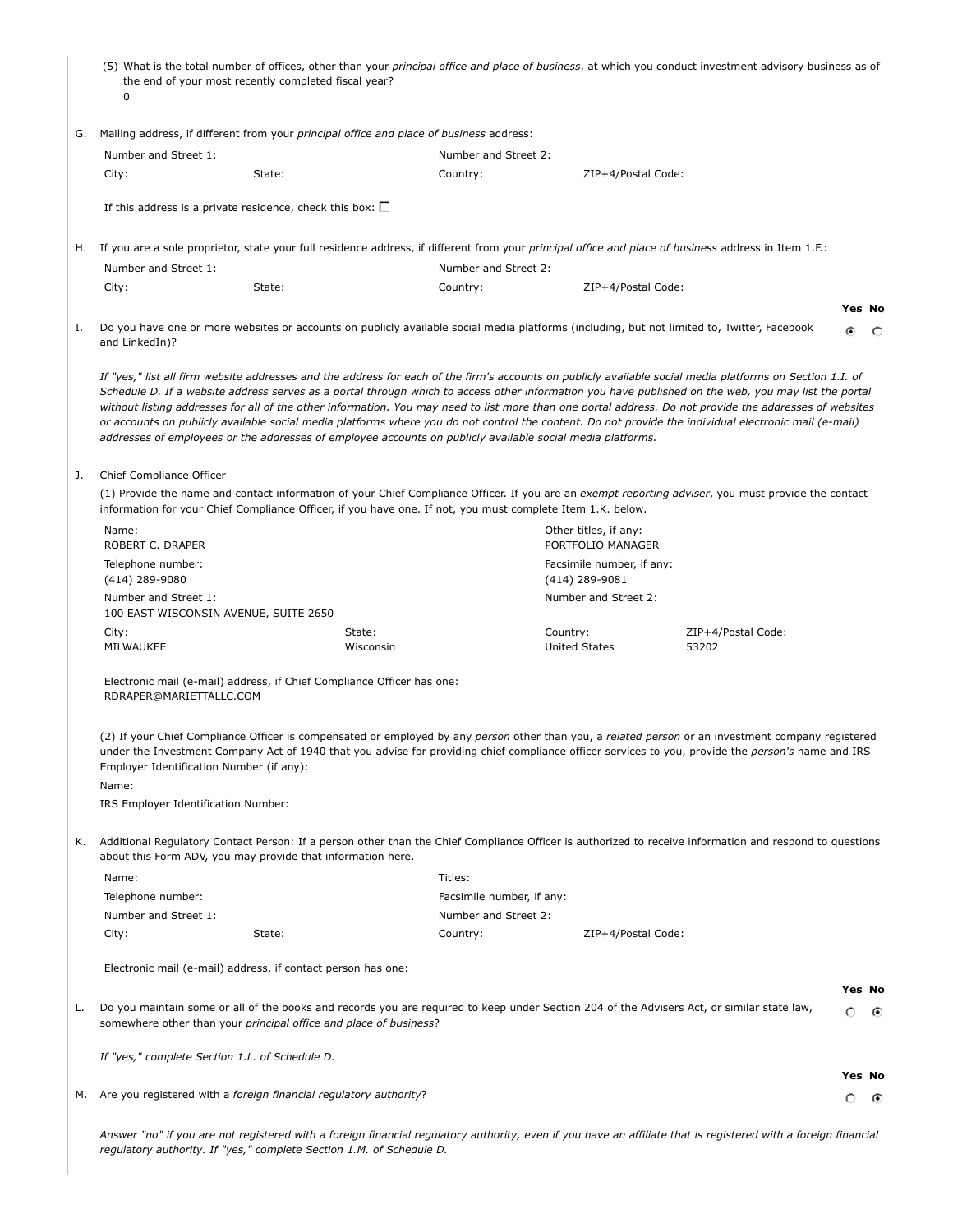|    | the end of your most recently completed fiscal year?<br>0                                                  |        |                     |                           |          |                                            | (5) What is the total number of offices, other than your <i>principal office and place of business</i> , at which you conduct investment advisory business as of                                                                                                                                                                                                                                                                                                                                                                                                                                                                      |   |               |
|----|------------------------------------------------------------------------------------------------------------|--------|---------------------|---------------------------|----------|--------------------------------------------|---------------------------------------------------------------------------------------------------------------------------------------------------------------------------------------------------------------------------------------------------------------------------------------------------------------------------------------------------------------------------------------------------------------------------------------------------------------------------------------------------------------------------------------------------------------------------------------------------------------------------------------|---|---------------|
| G. | Mailing address, if different from your <i>principal office and place of business</i> address:             |        |                     |                           |          |                                            |                                                                                                                                                                                                                                                                                                                                                                                                                                                                                                                                                                                                                                       |   |               |
|    | Number and Street 1:<br>Number and Street 2:                                                               |        |                     |                           |          |                                            |                                                                                                                                                                                                                                                                                                                                                                                                                                                                                                                                                                                                                                       |   |               |
|    | City:                                                                                                      | State: |                     | Country:                  |          | ZIP+4/Postal Code:                         |                                                                                                                                                                                                                                                                                                                                                                                                                                                                                                                                                                                                                                       |   |               |
|    |                                                                                                            |        |                     |                           |          |                                            |                                                                                                                                                                                                                                                                                                                                                                                                                                                                                                                                                                                                                                       |   |               |
|    | If this address is a private residence, check this box: $\square$                                          |        |                     |                           |          |                                            |                                                                                                                                                                                                                                                                                                                                                                                                                                                                                                                                                                                                                                       |   |               |
|    |                                                                                                            |        |                     |                           |          |                                            | H. If you are a sole proprietor, state your full residence address, if different from your <i>principal office and place of business</i> address in Item 1.F.:                                                                                                                                                                                                                                                                                                                                                                                                                                                                        |   |               |
|    | Number and Street 1:                                                                                       |        |                     | Number and Street 2:      |          |                                            |                                                                                                                                                                                                                                                                                                                                                                                                                                                                                                                                                                                                                                       |   |               |
|    | City:                                                                                                      | State: |                     | Country:                  |          | ZIP+4/Postal Code:                         |                                                                                                                                                                                                                                                                                                                                                                                                                                                                                                                                                                                                                                       |   |               |
| Ι. | and LinkedIn)?                                                                                             |        |                     |                           |          |                                            | Do you have one or more websites or accounts on publicly available social media platforms (including, but not limited to, Twitter, Facebook                                                                                                                                                                                                                                                                                                                                                                                                                                                                                           | ⊙ | Yes No<br>- 0 |
|    | addresses of employees or the addresses of employee accounts on publicly available social media platforms. |        |                     |                           |          |                                            | If "yes," list all firm website addresses and the address for each of the firm's accounts on publicly available social media platforms on Section 1.I. of<br>Schedule D. If a website address serves as a portal through which to access other information you have published on the web, you may list the portal<br>without listing addresses for all of the other information. You may need to list more than one portal address. Do not provide the addresses of websites<br>or accounts on publicly available social media platforms where you do not control the content. Do not provide the individual electronic mail (e-mail) |   |               |
| J. | Chief Compliance Officer                                                                                   |        |                     |                           |          |                                            |                                                                                                                                                                                                                                                                                                                                                                                                                                                                                                                                                                                                                                       |   |               |
|    | information for your Chief Compliance Officer, if you have one. If not, you must complete Item 1.K. below. |        |                     |                           |          |                                            | (1) Provide the name and contact information of your Chief Compliance Officer. If you are an exempt reporting adviser, you must provide the contact                                                                                                                                                                                                                                                                                                                                                                                                                                                                                   |   |               |
|    | Name:<br>ROBERT C. DRAPER                                                                                  |        |                     |                           |          | Other titles, if any:<br>PORTFOLIO MANAGER |                                                                                                                                                                                                                                                                                                                                                                                                                                                                                                                                                                                                                                       |   |               |
|    | Telephone number:                                                                                          |        |                     |                           |          | Facsimile number, if any:                  |                                                                                                                                                                                                                                                                                                                                                                                                                                                                                                                                                                                                                                       |   |               |
|    | (414) 289-9080                                                                                             |        |                     |                           |          | (414) 289-9081                             |                                                                                                                                                                                                                                                                                                                                                                                                                                                                                                                                                                                                                                       |   |               |
|    | Number and Street 1:<br>100 EAST WISCONSIN AVENUE, SUITE 2650                                              |        |                     |                           |          | Number and Street 2:                       |                                                                                                                                                                                                                                                                                                                                                                                                                                                                                                                                                                                                                                       |   |               |
|    | City:<br>MILWAUKEE                                                                                         |        | State:<br>Wisconsin |                           | Country: | United States                              | ZIP+4/Postal Code:<br>53202                                                                                                                                                                                                                                                                                                                                                                                                                                                                                                                                                                                                           |   |               |
|    | Electronic mail (e-mail) address, if Chief Compliance Officer has one:<br>RDRAPER@MARIETTALLC.COM          |        |                     |                           |          |                                            |                                                                                                                                                                                                                                                                                                                                                                                                                                                                                                                                                                                                                                       |   |               |
|    | Employer Identification Number (if any):<br>Name:<br>IRS Employer Identification Number:                   |        |                     |                           |          |                                            | (2) If your Chief Compliance Officer is compensated or employed by any person other than you, a related person or an investment company registered<br>under the Investment Company Act of 1940 that you advise for providing chief compliance officer services to you, provide the person's name and IRS                                                                                                                                                                                                                                                                                                                              |   |               |
| к. | about this Form ADV, you may provide that information here.                                                |        |                     |                           |          |                                            | Additional Regulatory Contact Person: If a person other than the Chief Compliance Officer is authorized to receive information and respond to questions                                                                                                                                                                                                                                                                                                                                                                                                                                                                               |   |               |
|    | Name:                                                                                                      |        |                     | Titles:                   |          |                                            |                                                                                                                                                                                                                                                                                                                                                                                                                                                                                                                                                                                                                                       |   |               |
|    | Telephone number:                                                                                          |        |                     | Facsimile number, if any: |          |                                            |                                                                                                                                                                                                                                                                                                                                                                                                                                                                                                                                                                                                                                       |   |               |
|    | Number and Street 1:                                                                                       |        |                     | Number and Street 2:      |          |                                            |                                                                                                                                                                                                                                                                                                                                                                                                                                                                                                                                                                                                                                       |   |               |
|    | City:                                                                                                      | State: |                     | Country:                  |          | ZIP+4/Postal Code:                         |                                                                                                                                                                                                                                                                                                                                                                                                                                                                                                                                                                                                                                       |   |               |
|    | Electronic mail (e-mail) address, if contact person has one:                                               |        |                     |                           |          |                                            |                                                                                                                                                                                                                                                                                                                                                                                                                                                                                                                                                                                                                                       |   |               |
| L. | somewhere other than your principal office and place of business?                                          |        |                     |                           |          |                                            | Do you maintain some or all of the books and records you are required to keep under Section 204 of the Advisers Act, or similar state law,                                                                                                                                                                                                                                                                                                                                                                                                                                                                                            | о | Yes No<br>⊙   |
|    | If "yes," complete Section 1.L. of Schedule D.                                                             |        |                     |                           |          |                                            |                                                                                                                                                                                                                                                                                                                                                                                                                                                                                                                                                                                                                                       |   |               |
| м. | Are you registered with a foreign financial regulatory authority?                                          |        |                     |                           |          |                                            |                                                                                                                                                                                                                                                                                                                                                                                                                                                                                                                                                                                                                                       | о | Yes No<br>- 0 |
|    | regulatory authority. If "yes," complete Section 1.M. of Schedule D.                                       |        |                     |                           |          |                                            | Answer "no" if you are not registered with a foreign financial regulatory authority, even if you have an affiliate that is registered with a foreign financial                                                                                                                                                                                                                                                                                                                                                                                                                                                                        |   |               |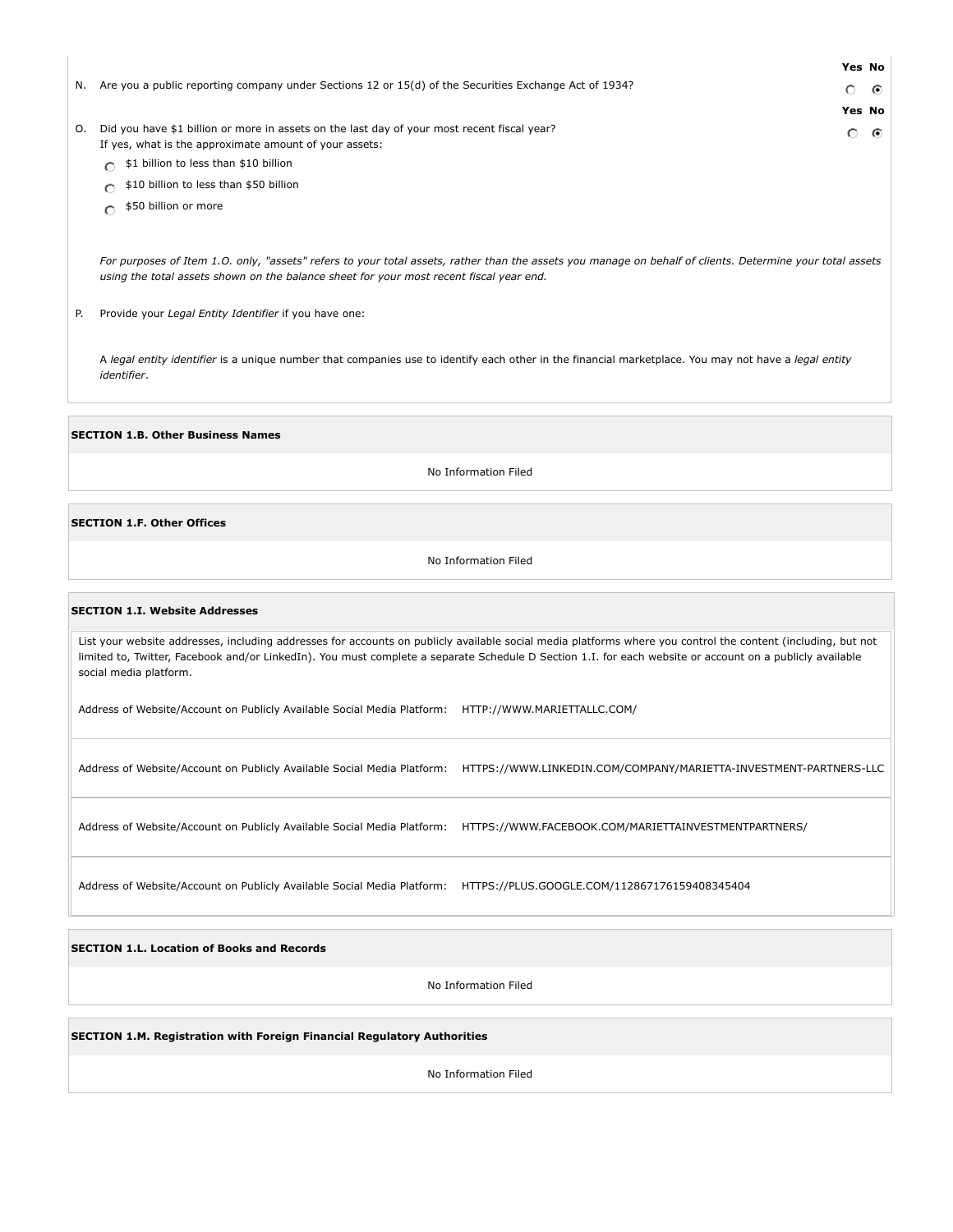|                                                                                                                                                                                                                                                      |         | Yes No |  |
|------------------------------------------------------------------------------------------------------------------------------------------------------------------------------------------------------------------------------------------------------|---------|--------|--|
| N. Are you a public reporting company under Sections 12 or $15(d)$ of the Securities Exchange Act of 1934?                                                                                                                                           | $\circ$ | ⊙      |  |
|                                                                                                                                                                                                                                                      |         | Yes No |  |
| Did you have \$1 billion or more in assets on the last day of your most recent fiscal year?<br>0.<br>If yes, what is the approximate amount of your assets:                                                                                          | O.      | ⊙      |  |
| \$1 billion to less than \$10 billion                                                                                                                                                                                                                |         |        |  |
| \$10 billion to less than \$50 billion                                                                                                                                                                                                               |         |        |  |
| \$50 billion or more<br>Ω                                                                                                                                                                                                                            |         |        |  |
| For purposes of Item 1.0. only, "assets" refers to your total assets, rather than the assets you manage on behalf of clients. Determine your total assets<br>using the total assets shown on the balance sheet for your most recent fiscal year end. |         |        |  |
| P.<br>Provide your Legal Entity Identifier if you have one:                                                                                                                                                                                          |         |        |  |

A *legal entity identifier* is a unique number that companies use to identify each other in the financial marketplace. You may not have a *legal entity identifier*.

**SECTION 1.B. Other Business Names**

No Information Filed

#### **SECTION 1.F. Other Offices**

No Information Filed

#### **SECTION 1.I. Website Addresses**

List your website addresses, including addresses for accounts on publicly available social media platforms where you control the content (including, but not limited to, Twitter, Facebook and/or LinkedIn). You must complete a separate Schedule D Section 1.I. for each website or account on a publicly available social media platform.

Address of Website/Account on Publicly Available Social Media Platform: HTTP://WWW.MARIETTALLC.COM/

Address of Website/Account on Publicly Available Social Media Platform: HTTPS://WWW.LINKEDIN.COM/COMPANY/MARIETTA-INVESTMENT-PARTNERS-LLC

Address of Website/Account on Publicly Available Social Media Platform: HTTPS://WWW.FACEBOOK.COM/MARIETTAINVESTMENTPARTNERS/

Address of Website/Account on Publicly Available Social Media Platform: HTTPS://PLUS.GOOGLE.COM/112867176159408345404

**SECTION 1.L. Location of Books and Records**

No Information Filed

**SECTION 1.M. Registration with Foreign Financial Regulatory Authorities**

No Information Filed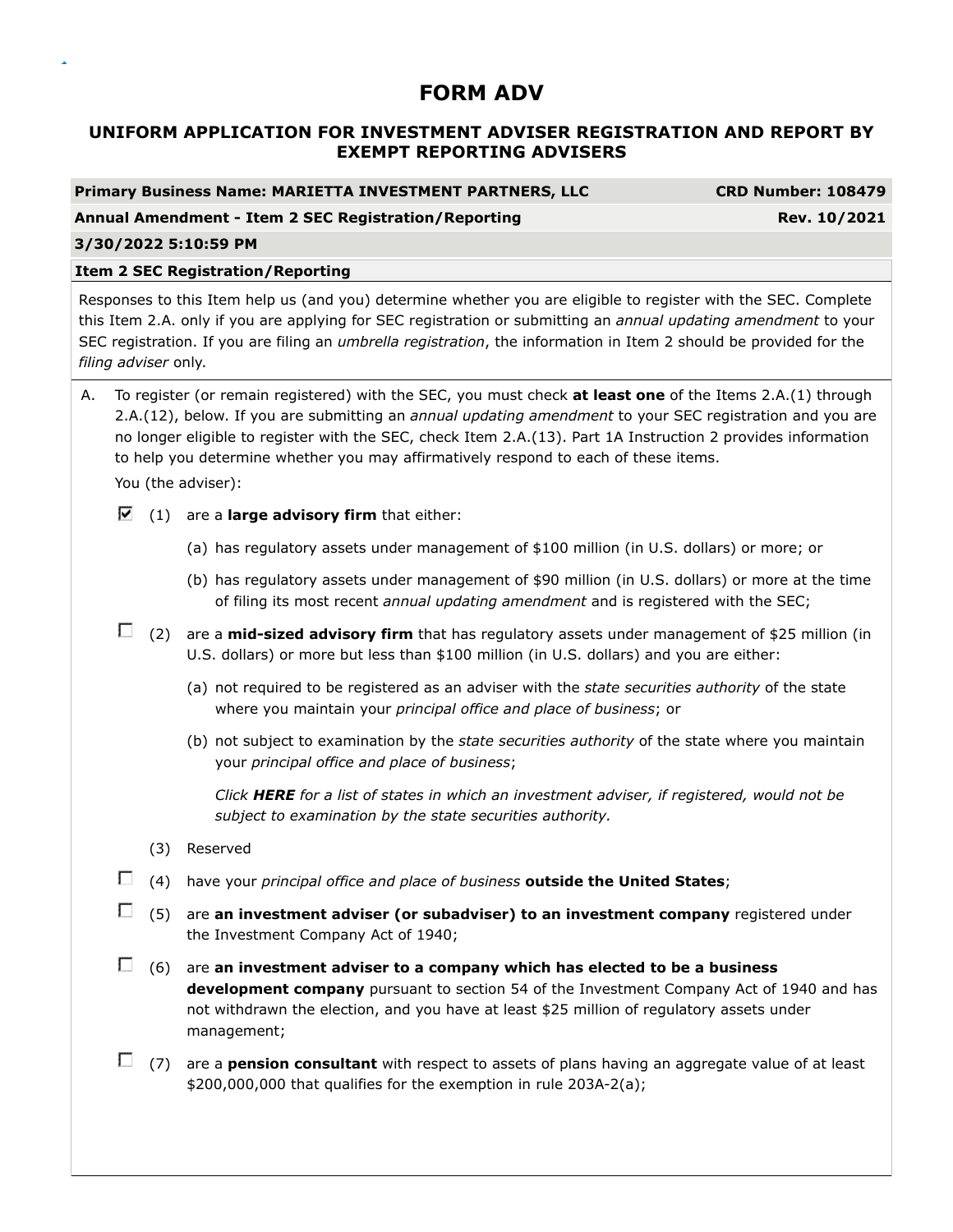# **UNIFORM APPLICATION FOR INVESTMENT ADVISER REGISTRATION AND REPORT BY EXEMPT REPORTING ADVISERS**

**CRD Number: 108479** 

**Annual Amendment - Item 2 SEC Registration/Reporting Rev. 10/2021**

### **3/30/2022 5:10:59 PM**

# **Item 2 SEC Registration/Reporting**

Responses to this Item help us (and you) determine whether you are eligible to register with the SEC. Complete this Item 2.A. only if you are applying for SEC registration or submitting an *annual updating amendment* to your SEC registration. If you are filing an *umbrella registration*, the information in Item 2 should be provided for the *filing adviser* only.

A. To register (or remain registered) with the SEC, you must check **at least one** of the Items 2.A.(1) through 2.A.(12), below. If you are submitting an *annual updating amendment* to your SEC registration and you are no longer eligible to register with the SEC, check Item 2.A.(13). Part 1A Instruction 2 provides information to help you determine whether you may affirmatively respond to each of these items.

You (the adviser):

- $(1)$  are a **large advisory firm** that either:
	- (a) has regulatory assets under management of \$100 million (in U.S. dollars) or more; or
	- (b) has regulatory assets under management of \$90 million (in U.S. dollars) or more at the time of filing its most recent *annual updating amendment* and is registered with the SEC;
- (2) are a **mid-sized advisory firm** that has regulatory assets under management of \$25 million (in U.S. dollars) or more but less than \$100 million (in U.S. dollars) and you are either:
	- (a) not required to be registered as an adviser with the *state securities authority* of the state where you maintain your *principal office and place of business*; or
	- (b) not subject to examination by the *state securities authority* of the state where you maintain your *principal office and place of business*;

*Click HERE for a list of states in which an investment adviser, if registered, would not be subject to examination by the state securities authority.*

- (3) Reserved
- (4) have your *principal office and place of business* **outside the United States**;
- (5) are **an investment adviser (or subadviser) to an investment company** registered under the Investment Company Act of 1940;
- (6) are **an investment adviser to a company which has elected to be a business development company** pursuant to section 54 of the Investment Company Act of 1940 and has not withdrawn the election, and you have at least \$25 million of regulatory assets under management;
- (7) are a **pension consultant** with respect to assets of plans having an aggregate value of at least \$200,000,000 that qualifies for the exemption in rule 203A-2(a);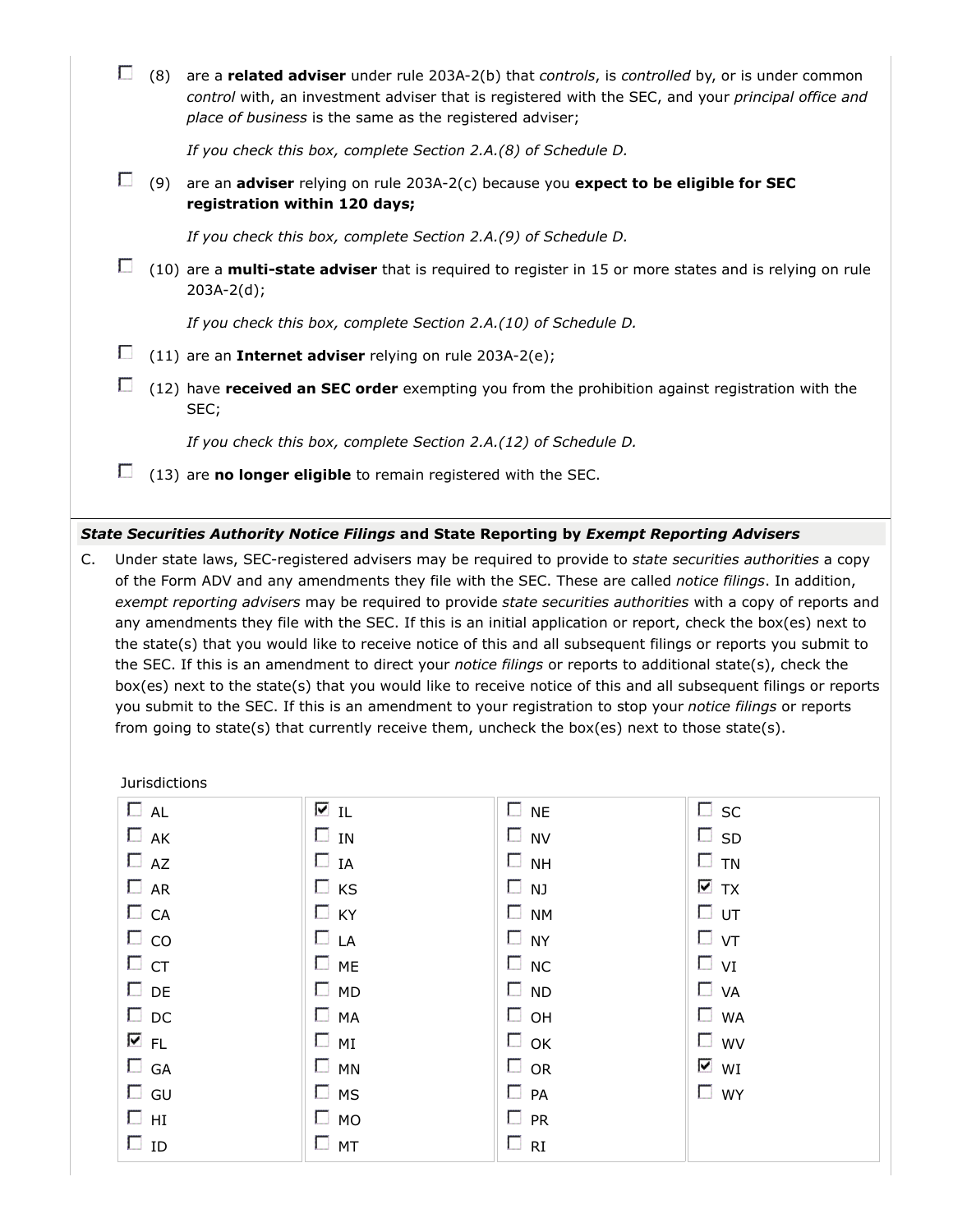|    |                                                                                                                                                                                                                                                                                                                                                                                                                                                                                                                                                                                                                                                                                                                                                                                                                      | (8) | are a related adviser under rule 203A-2(b) that controls, is controlled by, or is under common<br>control with, an investment adviser that is registered with the SEC, and your principal office and<br>place of business is the same as the registered adviser; |  |  |  |
|----|----------------------------------------------------------------------------------------------------------------------------------------------------------------------------------------------------------------------------------------------------------------------------------------------------------------------------------------------------------------------------------------------------------------------------------------------------------------------------------------------------------------------------------------------------------------------------------------------------------------------------------------------------------------------------------------------------------------------------------------------------------------------------------------------------------------------|-----|------------------------------------------------------------------------------------------------------------------------------------------------------------------------------------------------------------------------------------------------------------------|--|--|--|
|    |                                                                                                                                                                                                                                                                                                                                                                                                                                                                                                                                                                                                                                                                                                                                                                                                                      |     | If you check this box, complete Section 2.A.(8) of Schedule D.                                                                                                                                                                                                   |  |  |  |
|    | П                                                                                                                                                                                                                                                                                                                                                                                                                                                                                                                                                                                                                                                                                                                                                                                                                    | (9) | are an adviser relying on rule 203A-2(c) because you expect to be eligible for SEC<br>registration within 120 days;                                                                                                                                              |  |  |  |
|    |                                                                                                                                                                                                                                                                                                                                                                                                                                                                                                                                                                                                                                                                                                                                                                                                                      |     | If you check this box, complete Section 2.A.(9) of Schedule D.                                                                                                                                                                                                   |  |  |  |
|    | П                                                                                                                                                                                                                                                                                                                                                                                                                                                                                                                                                                                                                                                                                                                                                                                                                    |     | (10) are a multi-state adviser that is required to register in 15 or more states and is relying on rule<br>$203A-2(d);$                                                                                                                                          |  |  |  |
|    |                                                                                                                                                                                                                                                                                                                                                                                                                                                                                                                                                                                                                                                                                                                                                                                                                      |     | If you check this box, complete Section 2.A.(10) of Schedule D.                                                                                                                                                                                                  |  |  |  |
|    | П                                                                                                                                                                                                                                                                                                                                                                                                                                                                                                                                                                                                                                                                                                                                                                                                                    |     | (11) are an Internet adviser relying on rule 203A-2(e);                                                                                                                                                                                                          |  |  |  |
|    | Г                                                                                                                                                                                                                                                                                                                                                                                                                                                                                                                                                                                                                                                                                                                                                                                                                    |     | (12) have received an SEC order exempting you from the prohibition against registration with the<br>SEC;                                                                                                                                                         |  |  |  |
|    |                                                                                                                                                                                                                                                                                                                                                                                                                                                                                                                                                                                                                                                                                                                                                                                                                      |     | If you check this box, complete Section 2.A.(12) of Schedule D.                                                                                                                                                                                                  |  |  |  |
|    | П                                                                                                                                                                                                                                                                                                                                                                                                                                                                                                                                                                                                                                                                                                                                                                                                                    |     | (13) are no longer eligible to remain registered with the SEC.                                                                                                                                                                                                   |  |  |  |
|    |                                                                                                                                                                                                                                                                                                                                                                                                                                                                                                                                                                                                                                                                                                                                                                                                                      |     | State Securities Authority Notice Filings and State Reporting by Exempt Reporting Advisers                                                                                                                                                                       |  |  |  |
| C. | Under state laws, SEC-registered advisers may be required to provide to state securities authorities a copy<br>of the Form ADV and any amendments they file with the SEC. These are called notice filings. In addition,<br>exempt reporting advisers may be required to provide state securities authorities with a copy of reports and<br>any amendments they file with the SEC. If this is an initial application or report, check the box(es) next to<br>the state(s) that you would like to receive notice of this and all subsequent filings or reports you submit to<br>the SEC. If this is an amendment to direct your <i>notice filings</i> or reports to additional state(s), check the<br>hov(es) novt to the state(s) that you would like to receive notice of this and all subsequent filings or reports |     |                                                                                                                                                                                                                                                                  |  |  |  |

| box(es) next to the state(s) that you would like to receive notice of this and all subsequent filings or reports  |
|-------------------------------------------------------------------------------------------------------------------|
| you submit to the SEC. If this is an amendment to your registration to stop your <i>notice filings</i> or reports |
| from going to state(s) that currently receive them, uncheck the box(es) next to those state(s).                   |

Jurisdictions

| $\Box$ AL    | ⊠ा∟          | $\Box$ NE    | $\square$ sc                  |
|--------------|--------------|--------------|-------------------------------|
| $\Box$ AK    | $\square$ IN | $\square$ NV | $\square$ SD                  |
| $\Box$ AZ    | $\Box$ IA    | $\Box$ NH    | $\square$ TN                  |
| $\Box$ AR    | $\Box$ KS    | $\Box$ NJ    | $\overline{\triangledown}$ TX |
| $\Box$ CA    | $\Box$ KY    | $\Box$ NM    | □ ∪т                          |
| $\Box$ co    | $\Box$ LA    | $\Box$ NY    | $\Box$ vt                     |
| $\Box$ CT    | $\Box$ ME    | $\Box$ NC    | $\Box$ vi                     |
| $\Box$ DE    | $\Box$ MD    | $\square$ ND | $\Box$ VA                     |
| $\Box$ DC    | $\Box$ MA    | $\Box$ OH    | $\Box$ WA                     |
| ⊽ FL         | $\Box$ MI    | $\Box$ OK    | $\square$ wv                  |
| $\square$ GA | $\Box$ MN    | $\Box$ OR    | $\overline{\mathsf{v}}$ wi    |
| $\square$ GU | $\square$ MS | $\Box$ PA    | $\Box$ WY                     |
| $\square$ HI | $\square$ MO | $\Box$ PR    |                               |
| $\Box$ ID    | $\square$ MT | $\Box$ RI    |                               |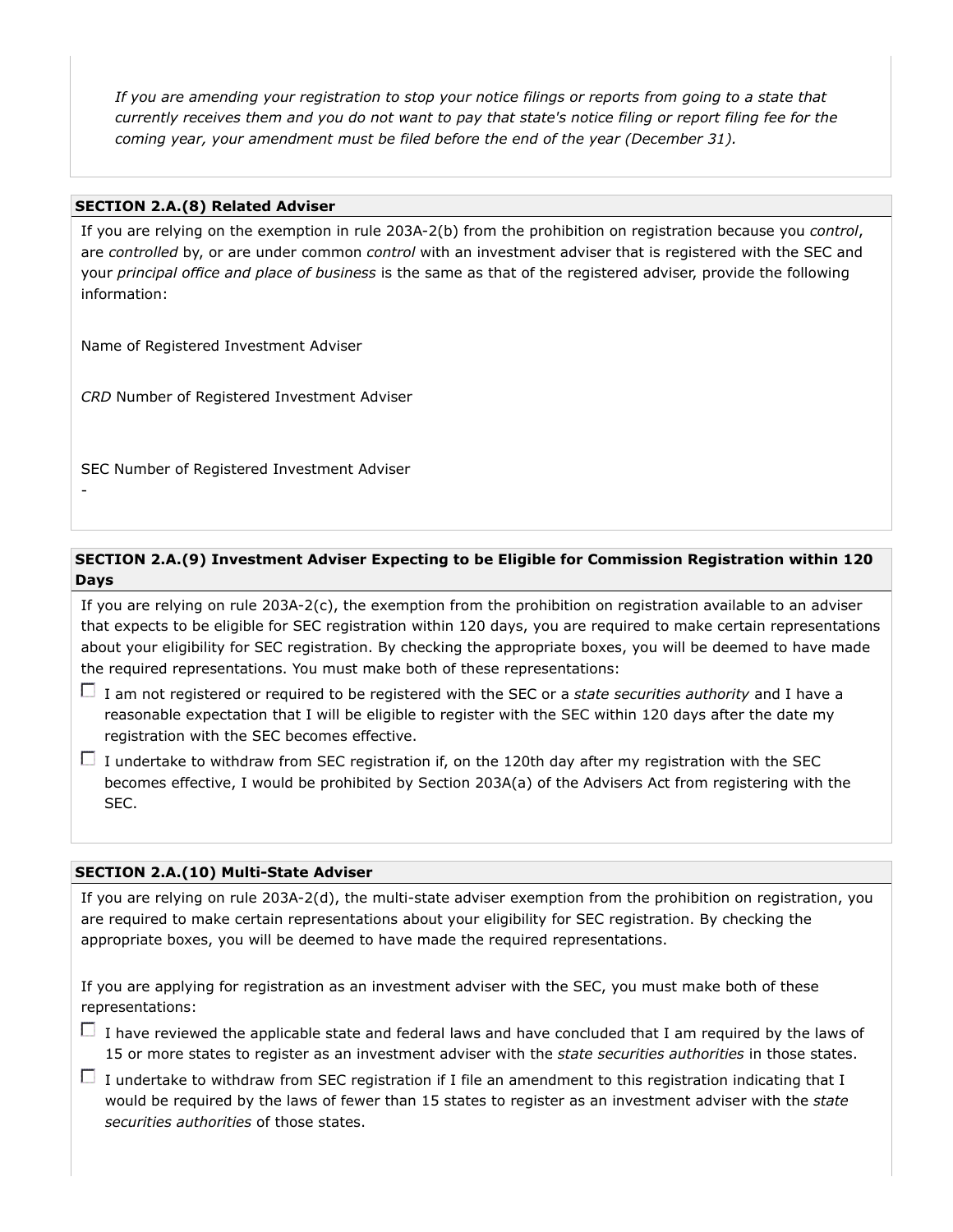*If you are amending your registration to stop your notice filings or reports from going to a state that currently receives them and you do not want to pay that state's notice filing or report filing fee for the coming year, your amendment must be filed before the end of the year (December 31).*

### **SECTION 2.A.(8) Related Adviser**

If you are relying on the exemption in rule 203A-2(b) from the prohibition on registration because you *control*, are *controlled* by, or are under common *control* with an investment adviser that is registered with the SEC and your *principal office and place of business* is the same as that of the registered adviser, provide the following information:

Name of Registered Investment Adviser

*CRD* Number of Registered Investment Adviser

SEC Number of Registered Investment Adviser

-

## **SECTION 2.A.(9) Investment Adviser Expecting to be Eligible for Commission Registration within 120 Days**

If you are relying on rule 203A-2(c), the exemption from the prohibition on registration available to an adviser that expects to be eligible for SEC registration within 120 days, you are required to make certain representations about your eligibility for SEC registration. By checking the appropriate boxes, you will be deemed to have made the required representations. You must make both of these representations:

- I am not registered or required to be registered with the SEC or a *state securities authority* and I have a reasonable expectation that I will be eligible to register with the SEC within 120 days after the date my registration with the SEC becomes effective.
- $\Box$  I undertake to withdraw from SEC registration if, on the 120th day after my registration with the SEC becomes effective, I would be prohibited by Section 203A(a) of the Advisers Act from registering with the SEC.

### **SECTION 2.A.(10) Multi-State Adviser**

If you are relying on rule 203A-2(d), the multi-state adviser exemption from the prohibition on registration, you are required to make certain representations about your eligibility for SEC registration. By checking the appropriate boxes, you will be deemed to have made the required representations.

If you are applying for registration as an investment adviser with the SEC, you must make both of these representations:

- $\Box$  I have reviewed the applicable state and federal laws and have concluded that I am required by the laws of 15 or more states to register as an investment adviser with the *state securities authorities* in those states.
- $\Box$  I undertake to withdraw from SEC registration if I file an amendment to this registration indicating that I would be required by the laws of fewer than 15 states to register as an investment adviser with the *state securities authorities* of those states.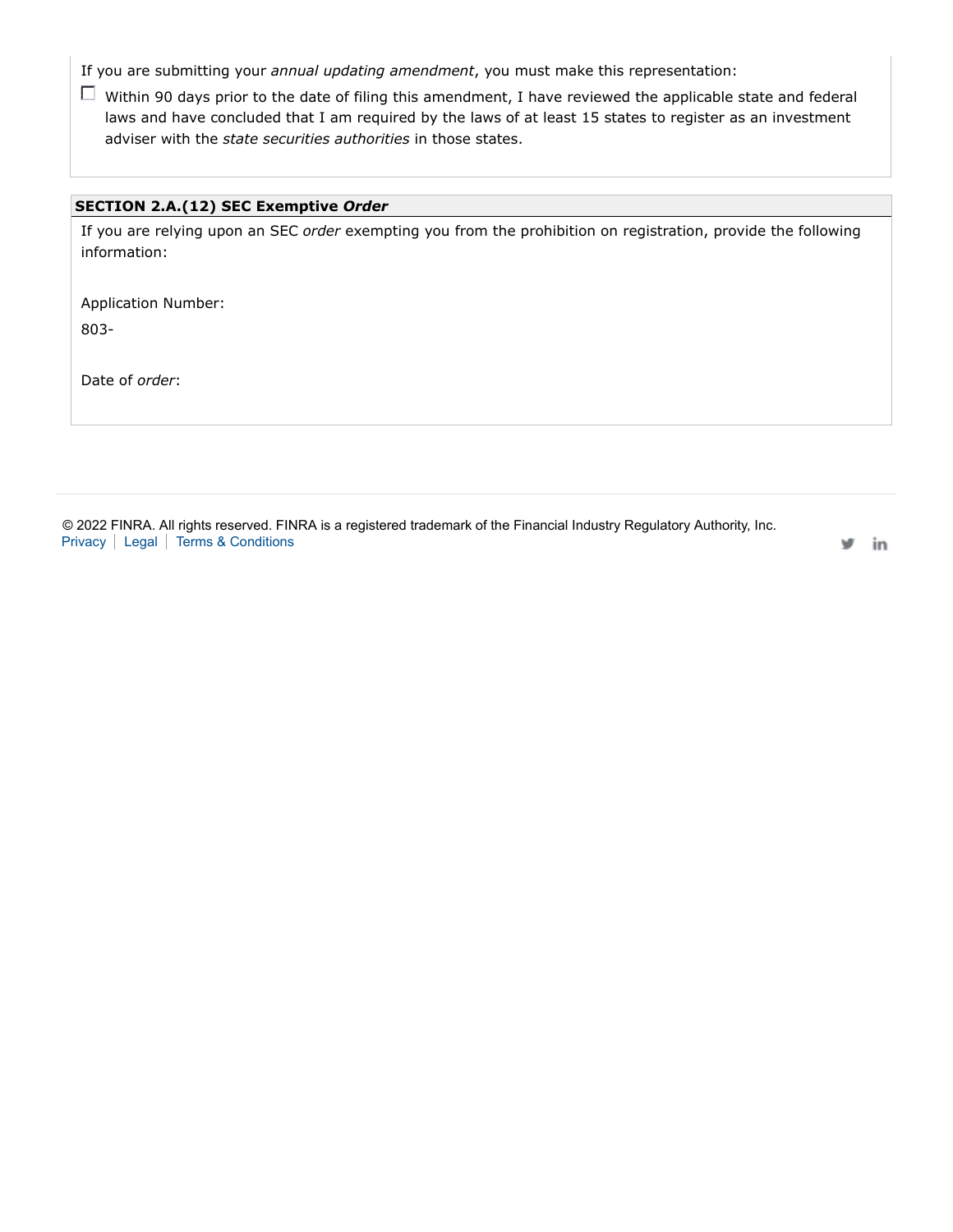If you are submitting your *annual updating amendment*, you must make this representation:

Within 90 days prior to the date of filing this amendment, I have reviewed the applicable state and federal laws and have concluded that I am required by the laws of at least 15 states to register as an investment adviser with the *state securities authorities* in those states.

### **SECTION 2.A.(12) SEC Exemptive** *Order*

If you are relying upon an SEC *order* exempting you from the prohibition on registration, provide the following information:

Application Number: 803-

Date of *order*:

© 2022 FINRA. All rights reserved. FINRA is a registered trademark of the Financial Industry Regulatory Authority, Inc. Privacy | Legal | Terms & Conditions

in v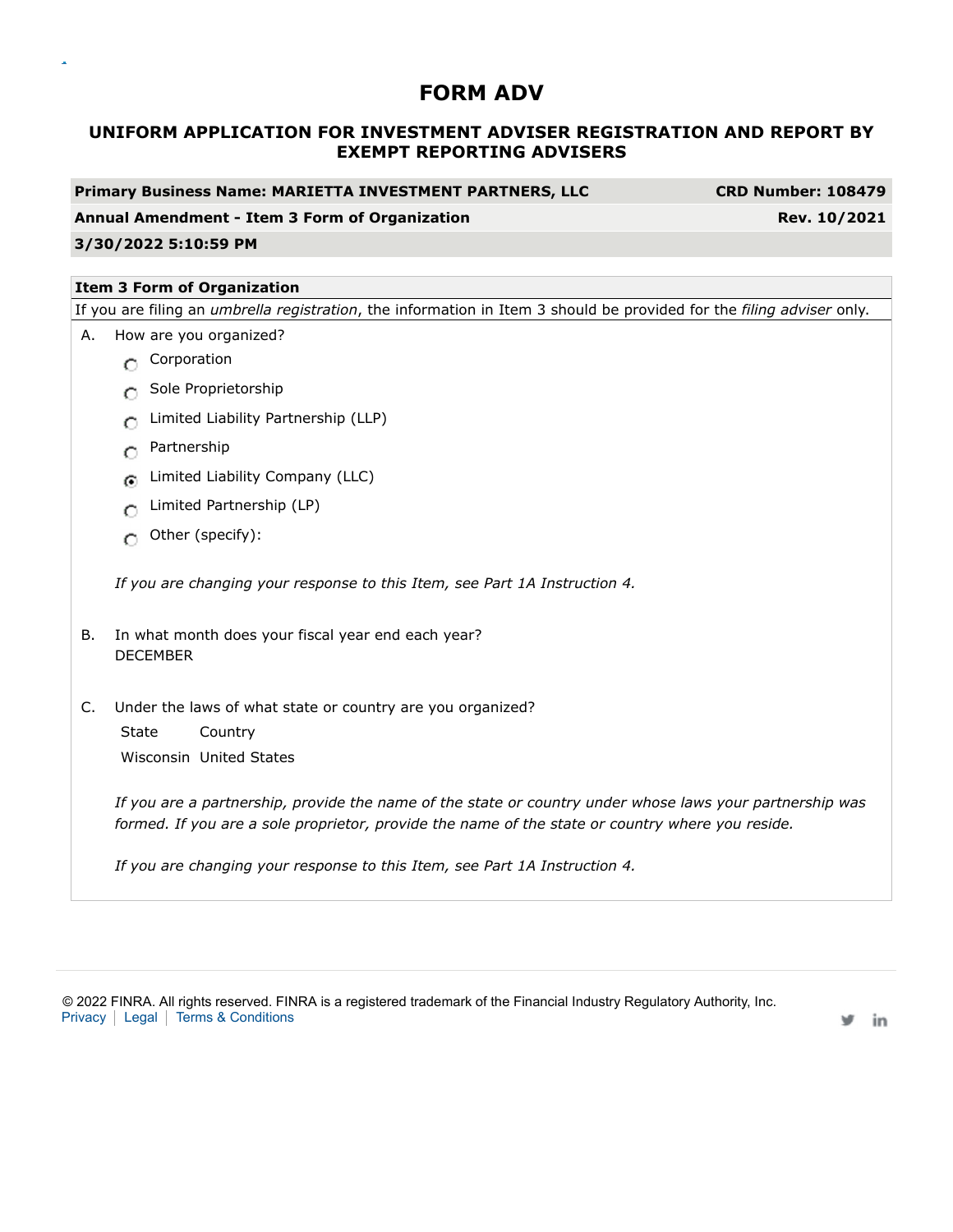# **UNIFORM APPLICATION FOR INVESTMENT ADVISER REGISTRATION AND REPORT BY EXEMPT REPORTING ADVISERS**

**Primary Business Name: MARIETTA INVESTMENT PARTNERS, LLC CRD Number: 108479**

#### **Annual Amendment - Item 3 Form of Organization Rev. 10/2021**

### **3/30/2022 5:10:59 PM**

### **Item 3 Form of Organization**

If you are filing an *umbrella registration*, the information in Item 3 should be provided for the *filing adviser* only.

- A. How are you organized?
	- **C** Corporation
	- Sole Proprietorship
	- **C** Limited Liability Partnership (LLP)
	- **C** Partnership
	- **G** Limited Liability Company (LLC)
	- Limited Partnership (LP)
	- $\bigcap$  Other (specify):

*If you are changing your response to this Item, see Part 1A Instruction 4.*

- B. In what month does your fiscal year end each year? DECEMBER
- C. Under the laws of what state or country are you organized?

State Country Wisconsin United States

*If you are a partnership, provide the name of the state or country under whose laws your partnership was formed. If you are a sole proprietor, provide the name of the state or country where you reside.*

*If you are changing your response to this Item, see Part 1A Instruction 4.*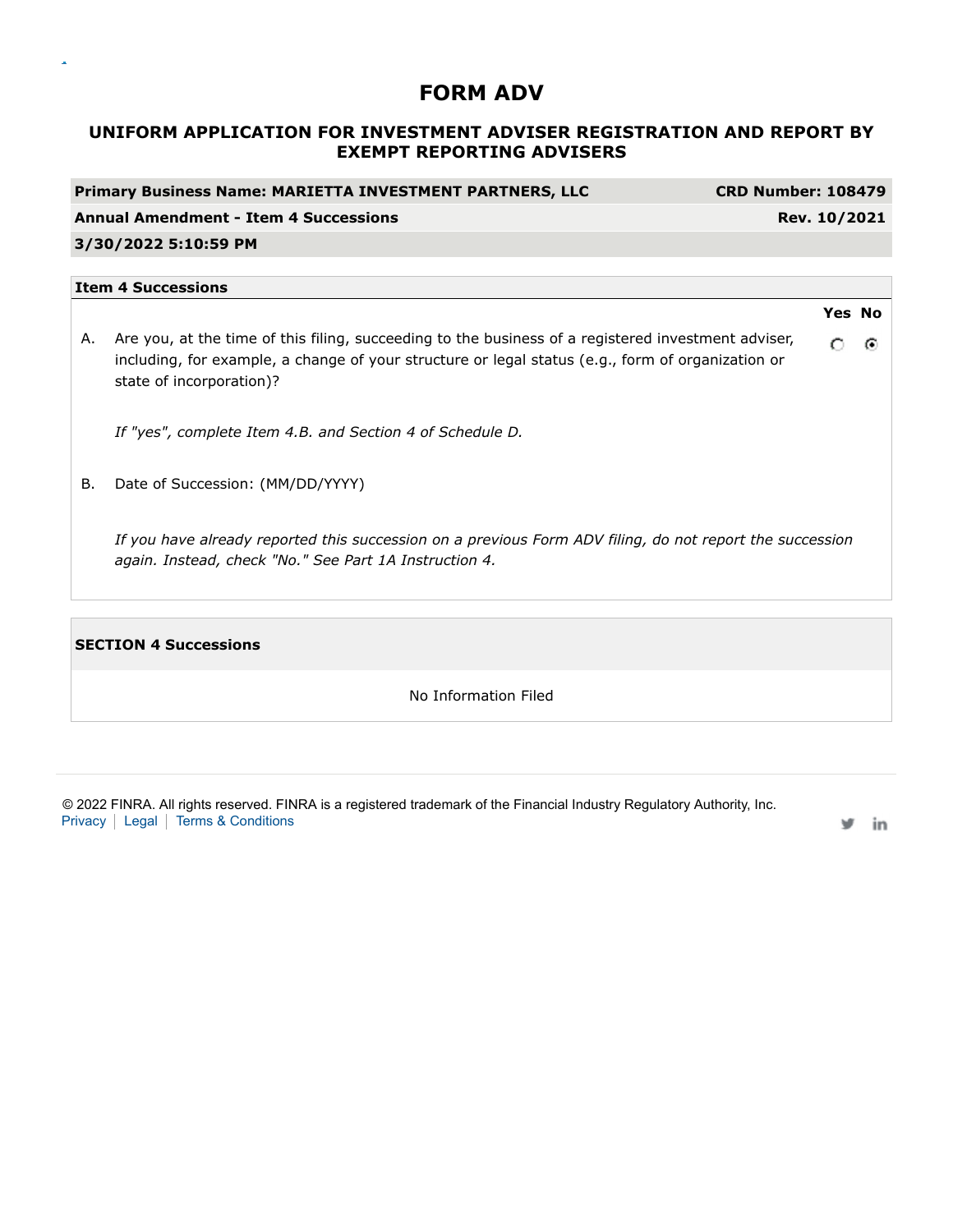# **UNIFORM APPLICATION FOR INVESTMENT ADVISER REGISTRATION AND REPORT BY EXEMPT REPORTING ADVISERS**

| <b>CRD Number: 108479</b><br><b>Primary Business Name: MARIETTA INVESTMENT PARTNERS, LLC</b> |                                                                                                                                                                                                                                      |   |               |  |  |
|----------------------------------------------------------------------------------------------|--------------------------------------------------------------------------------------------------------------------------------------------------------------------------------------------------------------------------------------|---|---------------|--|--|
|                                                                                              | <b>Annual Amendment - Item 4 Successions</b><br>Rev. 10/2021                                                                                                                                                                         |   |               |  |  |
|                                                                                              | 3/30/2022 5:10:59 PM                                                                                                                                                                                                                 |   |               |  |  |
|                                                                                              | <b>Item 4 Successions</b>                                                                                                                                                                                                            |   |               |  |  |
|                                                                                              |                                                                                                                                                                                                                                      |   | <b>Yes No</b> |  |  |
| А.                                                                                           | Are you, at the time of this filing, succeeding to the business of a registered investment adviser,<br>including, for example, a change of your structure or legal status (e.g., form of organization or<br>state of incorporation)? | O | $\odot$       |  |  |
|                                                                                              | If "yes", complete Item 4.B. and Section 4 of Schedule D.                                                                                                                                                                            |   |               |  |  |
| В.                                                                                           | Date of Succession: (MM/DD/YYYY)                                                                                                                                                                                                     |   |               |  |  |
|                                                                                              | If you have already reported this succession on a previous Form ADV filing, do not report the succession<br>again. Instead, check "No." See Part 1A Instruction 4.                                                                   |   |               |  |  |
|                                                                                              |                                                                                                                                                                                                                                      |   |               |  |  |

**SECTION 4 Successions**

 $\bar{\mathbf{a}}$ 

No Information Filed

© 2022 FINRA. All rights reserved. FINRA is a registered trademark of the Financial Industry Regulatory Authority, Inc. Privacy | Legal | Terms & Conditions

in w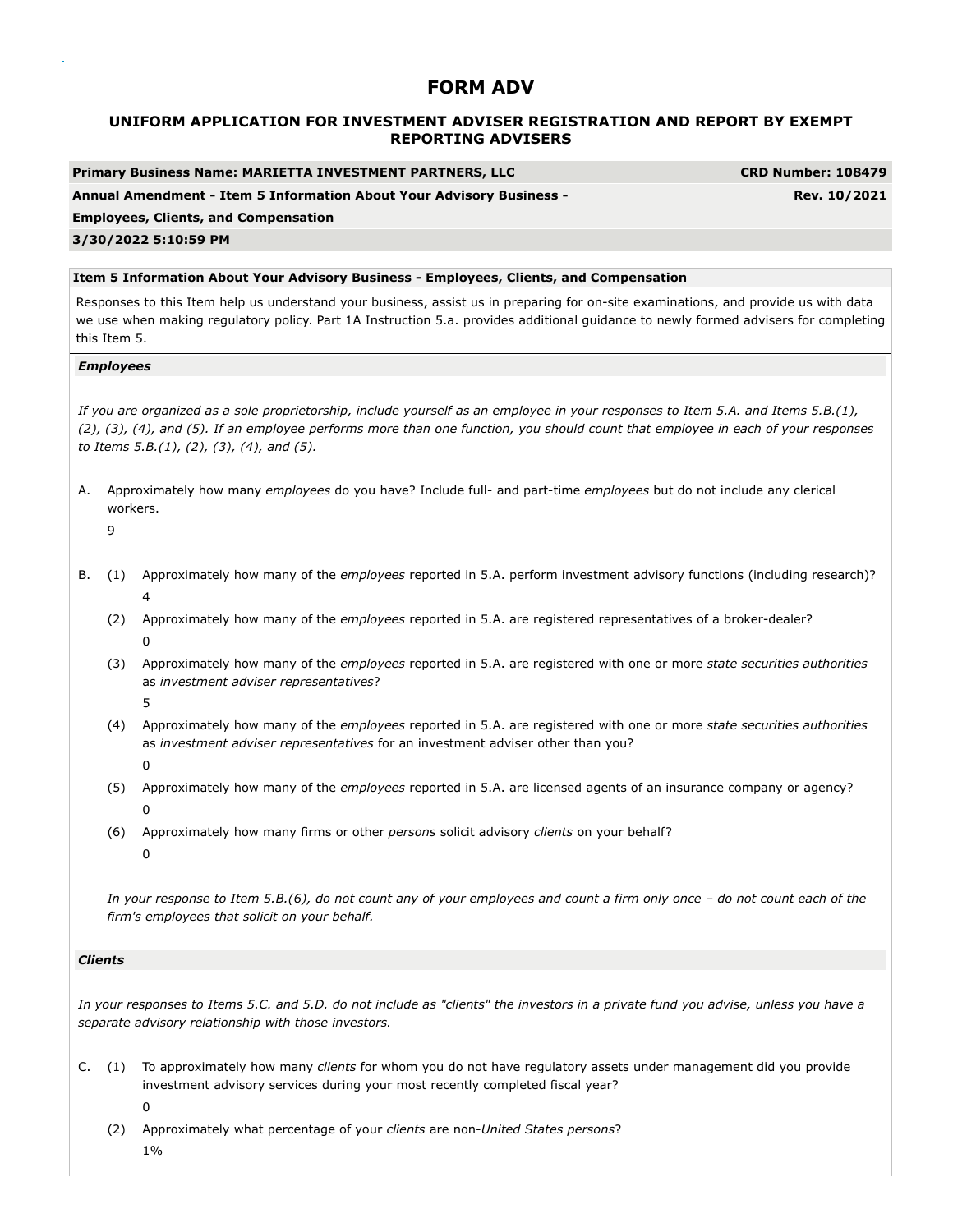### **UNIFORM APPLICATION FOR INVESTMENT ADVISER REGISTRATION AND REPORT BY EXEMPT REPORTING ADVISERS**

| Primary Business Name: MARIETTA INVESTMENT PARTNERS, LLC             | <b>CRD Number: 108479</b> |
|----------------------------------------------------------------------|---------------------------|
| Annual Amendment - Item 5 Information About Your Advisory Business - | Rev. 10/2021              |
| <b>Employees, Clients, and Compensation</b>                          |                           |

#### **3/30/2022 5:10:59 PM**

#### **Item 5 Information About Your Advisory Business - Employees, Clients, and Compensation**

Responses to this Item help us understand your business, assist us in preparing for on-site examinations, and provide us with data we use when making regulatory policy. Part 1A Instruction 5.a. provides additional guidance to newly formed advisers for completing this Item 5.

#### *Employees*

*If you are organized as a sole proprietorship, include yourself as an employee in your responses to Item 5.A. and Items 5.B.(1), (2), (3), (4), and (5). If an employee performs more than one function, you should count that employee in each of your responses to Items 5.B.(1), (2), (3), (4), and (5).*

- A. Approximately how many *employees* do you have? Include full- and part-time *employees* but do not include any clerical workers.
	- $\overline{q}$
- B. (1) Approximately how many of the *employees* reported in 5.A. perform investment advisory functions (including research)? 4
	- (2) Approximately how many of the *employees* reported in 5.A. are registered representatives of a broker-dealer? 0
	- (3) Approximately how many of the *employees* reported in 5.A. are registered with one or more *state securities authorities* as *investment adviser representatives*?
		- 5

 $\Omega$ 

- (4) Approximately how many of the *employees* reported in 5.A. are registered with one or more *state securities authorities* as *investment adviser representatives* for an investment adviser other than you?
- (5) Approximately how many of the *employees* reported in 5.A. are licensed agents of an insurance company or agency? 0
- (6) Approximately how many firms or other *persons* solicit advisory *clients* on your behalf? 0

*In your response to Item 5.B.(6), do not count any of your employees and count a firm only once – do not count each of the firm's employees that solicit on your behalf.*

#### *Clients*

*In your responses to Items 5.C. and 5.D. do not include as "clients" the investors in a private fund you advise, unless you have a separate advisory relationship with those investors.*

- C. (1) To approximately how many *clients* for whom you do not have regulatory assets under management did you provide investment advisory services during your most recently completed fiscal year? 0
	- (2) Approximately what percentage of your *clients* are non-*United States persons*? 1%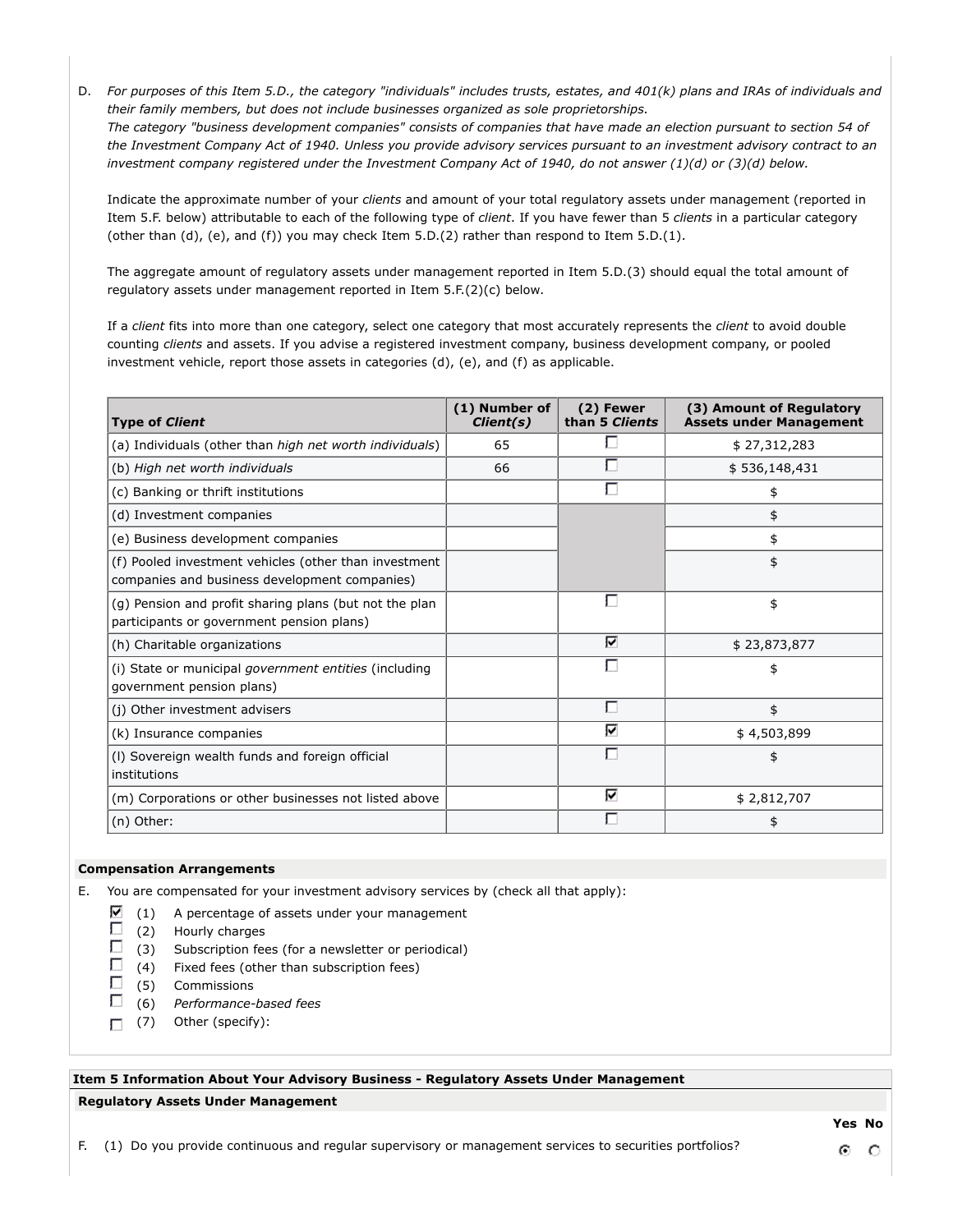D. *For purposes of this Item 5.D., the category "individuals" includes trusts, estates, and 401(k) plans and IRAs of individuals and their family members, but does not include businesses organized as sole proprietorships.*

*The category "business development companies" consists of companies that have made an election pursuant to section 54 of the Investment Company Act of 1940. Unless you provide advisory services pursuant to an investment advisory contract to an investment company registered under the Investment Company Act of 1940, do not answer (1)(d) or (3)(d) below.*

Indicate the approximate number of your *clients* and amount of your total regulatory assets under management (reported in Item 5.F. below) attributable to each of the following type of *client*. If you have fewer than 5 *clients* in a particular category (other than (d), (e), and (f)) you may check Item 5.D.(2) rather than respond to Item 5.D.(1).

The aggregate amount of regulatory assets under management reported in Item 5.D.(3) should equal the total amount of regulatory assets under management reported in Item 5.F.(2)(c) below.

If a *client* fits into more than one category, select one category that most accurately represents the *client* to avoid double counting *clients* and assets. If you advise a registered investment company, business development company, or pooled investment vehicle, report those assets in categories (d), (e), and (f) as applicable.

| <b>Type of Client</b>                                                                                  | (1) Number of<br>Client(s) | (2) Fewer<br>than 5 Clients | (3) Amount of Regulatory<br><b>Assets under Management</b> |
|--------------------------------------------------------------------------------------------------------|----------------------------|-----------------------------|------------------------------------------------------------|
| (a) Individuals (other than high net worth individuals)                                                | 65                         |                             | \$27,312,283                                               |
| (b) High net worth individuals                                                                         | 66                         | г                           | \$536,148,431                                              |
| (c) Banking or thrift institutions                                                                     |                            | г                           | \$                                                         |
| (d) Investment companies                                                                               |                            |                             | \$                                                         |
| (e) Business development companies                                                                     |                            |                             | \$                                                         |
| (f) Pooled investment vehicles (other than investment<br>companies and business development companies) |                            |                             | \$                                                         |
| (g) Pension and profit sharing plans (but not the plan<br>participants or government pension plans)    |                            |                             | \$                                                         |
| (h) Charitable organizations                                                                           |                            | М                           | \$23,873,877                                               |
| (i) State or municipal <i>government entities</i> (including<br>qovernment pension plans)              |                            |                             | \$                                                         |
| (j) Other investment advisers                                                                          |                            | г                           | \$                                                         |
| (k) Insurance companies                                                                                |                            | ⊽                           | \$4,503,899                                                |
| (I) Sovereign wealth funds and foreign official<br>institutions                                        |                            |                             | \$                                                         |
| (m) Corporations or other businesses not listed above                                                  |                            | ☑                           | \$2,812,707                                                |
| (n) Other:                                                                                             |                            |                             | \$                                                         |

#### **Compensation Arrangements**

E. You are compensated for your investment advisory services by (check all that apply):

- ⊽ (1) A percentage of assets under your management
- п (2) Hourly charges
- П (3) Subscription fees (for a newsletter or periodical)
- $\Box$ (4) Fixed fees (other than subscription fees)
- П (5) Commissions
- П (6) *Performance-based fees*
- $\Box$  (7) Other (specify):

# **Item 5 Information About Your Advisory Business - Regulatory Assets Under Management**

#### **Regulatory Assets Under Management**

F. (1) Do you provide continuous and regular supervisory or management services to securities portfolios?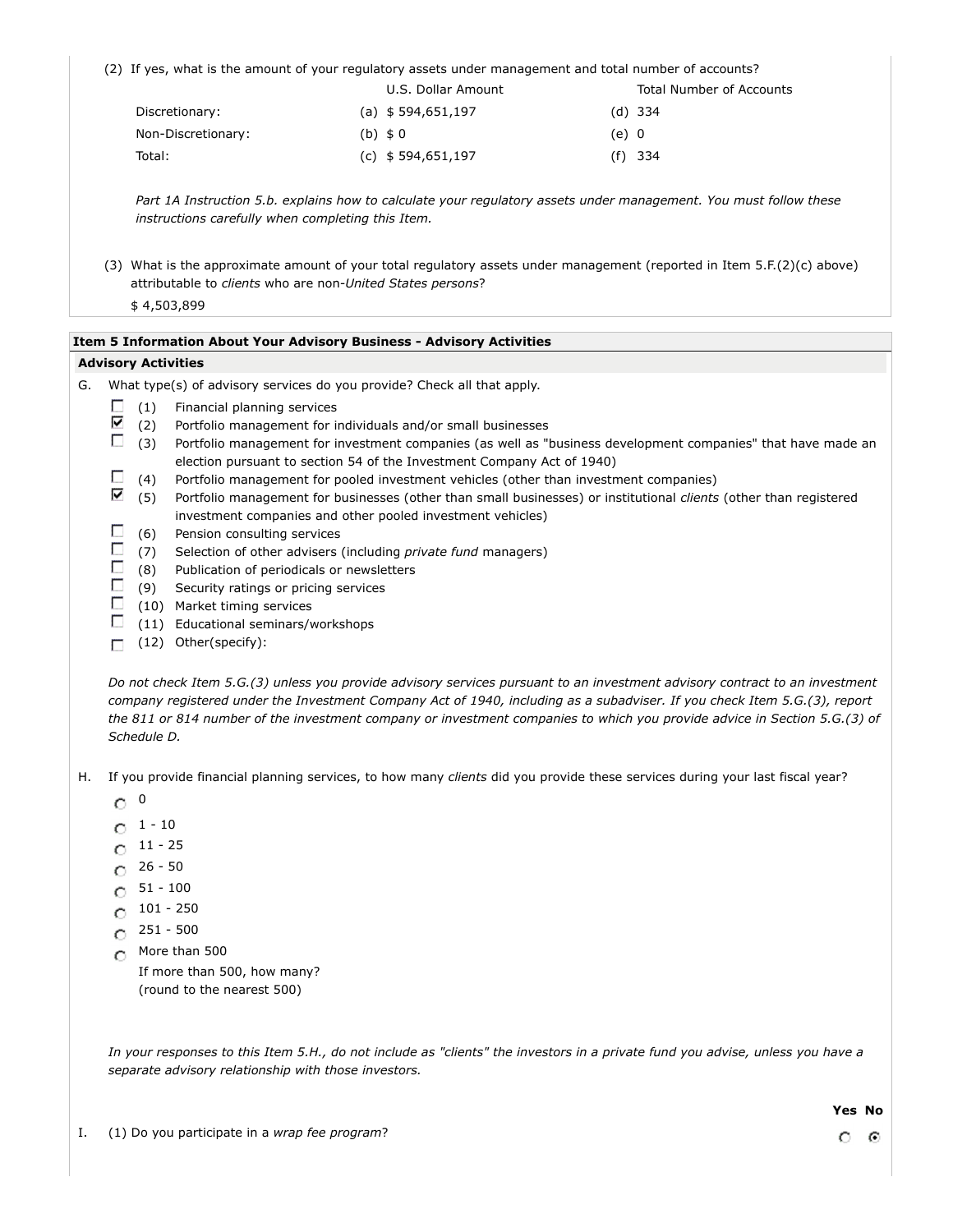(2) If yes, what is the amount of your regulatory assets under management and total number of accounts?

|                    | U.S. Dollar Amount            |       | Total Number of Accounts |
|--------------------|-------------------------------|-------|--------------------------|
| Discretionary:     | (a) $$594,651,197$            |       | (d) 334                  |
| Non-Discretionary: | $(b)$ \$ 0                    | (e) 0 |                          |
| Total:             | (c) $\frac{1}{2}$ 594,651,197 |       | $(f)$ 334                |

*Part 1A Instruction 5.b. explains how to calculate your regulatory assets under management. You must follow these instructions carefully when completing this Item.*

(3) What is the approximate amount of your total regulatory assets under management (reported in Item 5.F.(2)(c) above) attributable to *clients* who are non-*United States persons*?

\$ 4,503,899

#### **Item 5 Information About Your Advisory Business - Advisory Activities**

#### **Advisory Activities**

- G. What type(s) of advisory services do you provide? Check all that apply.
	- П (1) Financial planning services
	- ⊽ (2) Portfolio management for individuals and/or small businesses
	- $\Box$  (3) Portfolio management for investment companies (as well as "business development companies" that have made an election pursuant to section 54 of the Investment Company Act of 1940)
	- O. (4) Portfolio management for pooled investment vehicles (other than investment companies)
	- ⊽ (5) Portfolio management for businesses (other than small businesses) or institutional *clients* (other than registered investment companies and other pooled investment vehicles)
	- $\Box$ (6) Pension consulting services
	- (7) Selection of other advisers (including *private fund* managers)
	- $\Box$  (8) Publication of periodicals or newsletters
	- $\Box$  (9) Security ratings or pricing services
	- $\Box$  (10) Market timing services
	- $\Box$ (11) Educational seminars/workshops
	- (12) Other(specify):

*Do not check Item 5.G.(3) unless you provide advisory services pursuant to an investment advisory contract to an investment company registered under the Investment Company Act of 1940, including as a subadviser. If you check Item 5.G.(3), report the 811 or 814 number of the investment company or investment companies to which you provide advice in Section 5.G.(3) of Schedule D.*

- H. If you provide financial planning services, to how many *clients* did you provide these services during your last fiscal year?
	- $\degree$  0
	- $0^{1 10}$
	- $0^{11 25}$
	- $C$  26 50
	- $O<sup>51 100</sup>$
	- $C$  101 250
	- $C = 251 500$
	- More than 500

If more than 500, how many? (round to the nearest 500)

*In your responses to this Item 5.H., do not include as "clients" the investors in a private fund you advise, unless you have a separate advisory relationship with those investors.*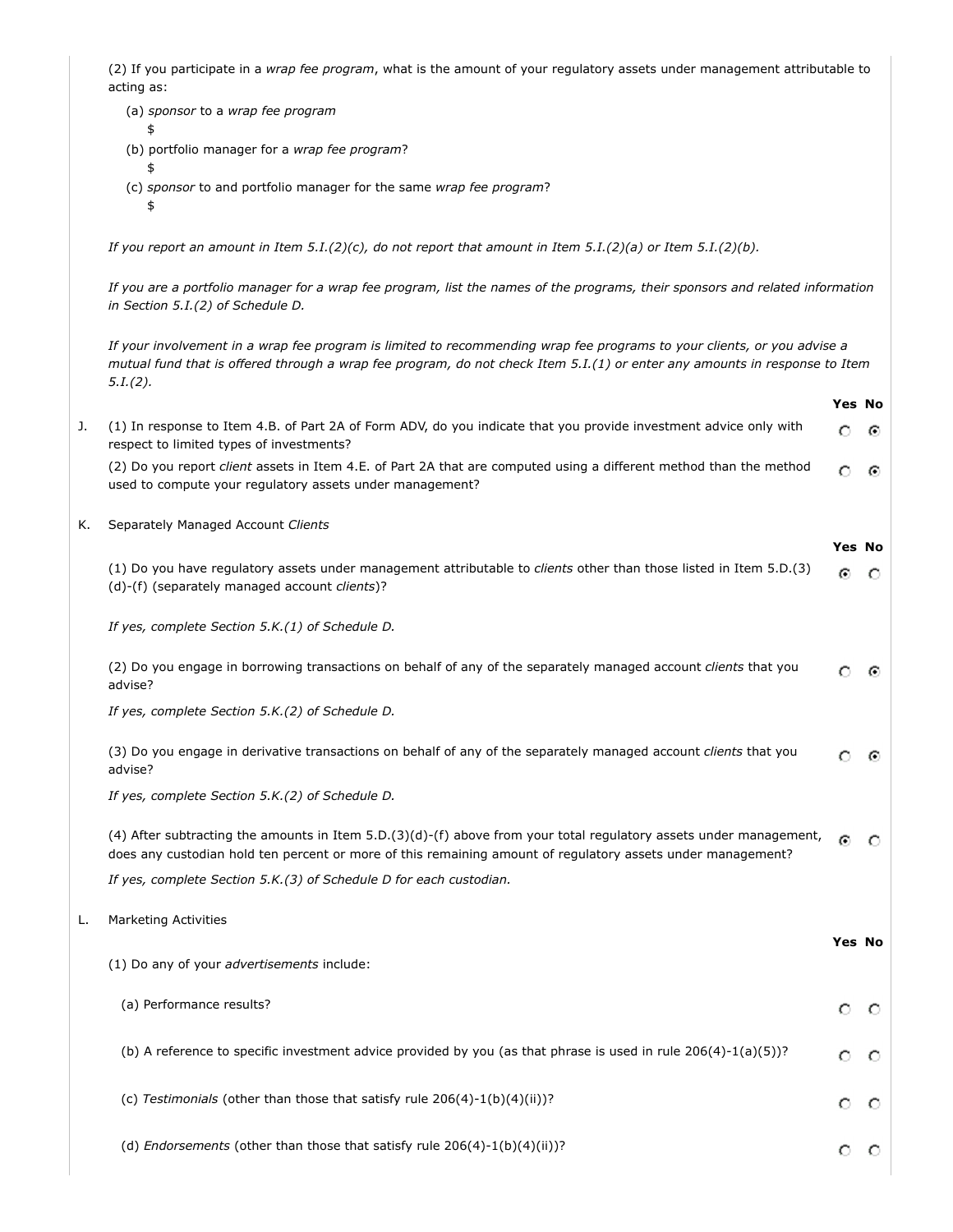(2) If you participate in a *wrap fee program*, what is the amount of your regulatory assets under management attributable to acting as:

- (a) *sponsor* to a *wrap fee program* \$
	- (b) portfolio manager for a *wrap fee program*?
	- \$ (c) *sponsor* to and portfolio manager for the same *wrap fee program*?
		- \$

*If you report an amount in Item 5.I.(2)(c), do not report that amount in Item 5.I.(2)(a) or Item 5.I.(2)(b).*

*If you are a portfolio manager for a wrap fee program, list the names of the programs, their sponsors and related information in Section 5.I.(2) of Schedule D.*

*If your involvement in a wrap fee program is limited to recommending wrap fee programs to your clients, or you advise a mutual fund that is offered through a wrap fee program, do not check Item 5.I.(1) or enter any amounts in response to Item 5.I.(2).*

|    |                                                                                                                                                                                                                                   | <b>Yes No</b> |         |
|----|-----------------------------------------------------------------------------------------------------------------------------------------------------------------------------------------------------------------------------------|---------------|---------|
| J. | (1) In response to Item 4.B. of Part 2A of Form ADV, do you indicate that you provide investment advice only with<br>respect to limited types of investments?                                                                     | O             | ⊙       |
|    | (2) Do you report client assets in Item 4.E. of Part 2A that are computed using a different method than the method<br>used to compute your regulatory assets under management?                                                    | О             | ⊙       |
| Κ. | Separately Managed Account Clients                                                                                                                                                                                                | Yes No        |         |
|    | (1) Do you have regulatory assets under management attributable to clients other than those listed in Item 5.D.(3)<br>(d)-(f) (separately managed account clients)?                                                               | Θ             | - 0     |
|    | If yes, complete Section 5.K.(1) of Schedule D.                                                                                                                                                                                   |               |         |
|    | (2) Do you engage in borrowing transactions on behalf of any of the separately managed account clients that you<br>advise?                                                                                                        | О             | ⊙       |
|    | If yes, complete Section 5.K.(2) of Schedule D.                                                                                                                                                                                   |               |         |
|    | (3) Do you engage in derivative transactions on behalf of any of the separately managed account clients that you<br>advise?                                                                                                       | O             | ⊙       |
|    | If yes, complete Section 5.K.(2) of Schedule D.                                                                                                                                                                                   |               |         |
|    | (4) After subtracting the amounts in Item 5.D.(3)(d)-(f) above from your total regulatory assets under management,<br>does any custodian hold ten percent or more of this remaining amount of regulatory assets under management? | Θ             | $\circ$ |
|    | If yes, complete Section 5.K.(3) of Schedule D for each custodian.                                                                                                                                                                |               |         |
| L. | <b>Marketing Activities</b>                                                                                                                                                                                                       |               |         |
|    | (1) Do any of your advertisements include:                                                                                                                                                                                        | Yes No        |         |
|    | (a) Performance results?                                                                                                                                                                                                          | О             | -0      |
|    | (b) A reference to specific investment advice provided by you (as that phrase is used in rule $206(4)-1(a)(5)$ )?                                                                                                                 | O             | $\circ$ |
|    | (c) Testimonials (other than those that satisfy rule 206(4)-1(b)(4)(ii))?                                                                                                                                                         | O             | $\circ$ |
|    | (d) <i>Endorsements</i> (other than those that satisfy rule $206(4)$ -1(b)(4)(ii))?                                                                                                                                               | О             | $\circ$ |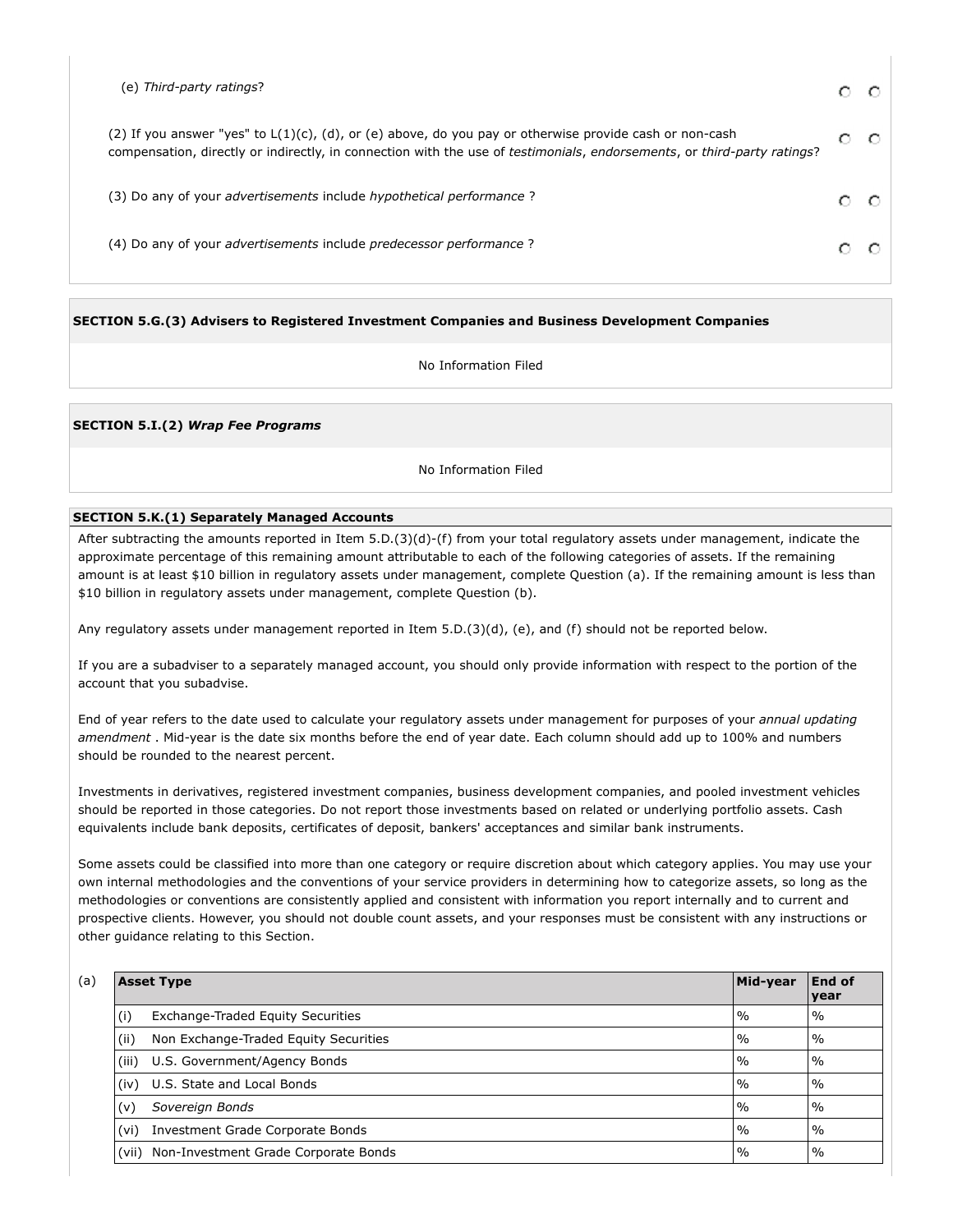| (e) Third-party ratings?                                                                                                                                                                                                              |   |
|---------------------------------------------------------------------------------------------------------------------------------------------------------------------------------------------------------------------------------------|---|
| (2) If you answer "yes" to $L(1)(c)$ , (d), or (e) above, do you pay or otherwise provide cash or non-cash<br>compensation, directly or indirectly, in connection with the use of testimonials, endorsements, or third-party ratings? | O |
| (3) Do any of your <i>advertisements</i> include <i>hypothetical performance</i> ?                                                                                                                                                    |   |
| (4) Do any of your <i>advertisements</i> include <i>predecessor performance</i> ?                                                                                                                                                     |   |
|                                                                                                                                                                                                                                       |   |

**SECTION 5.G.(3) Advisers to Registered Investment Companies and Business Development Companies**

No Information Filed

**SECTION 5.I.(2)** *Wrap Fee Programs*

No Information Filed

#### **SECTION 5.K.(1) Separately Managed Accounts**

After subtracting the amounts reported in Item 5.D.(3)(d)-(f) from your total regulatory assets under management, indicate the approximate percentage of this remaining amount attributable to each of the following categories of assets. If the remaining amount is at least \$10 billion in regulatory assets under management, complete Question (a). If the remaining amount is less than \$10 billion in regulatory assets under management, complete Question (b).

Any regulatory assets under management reported in Item 5.D.(3)(d), (e), and (f) should not be reported below.

If you are a subadviser to a separately managed account, you should only provide information with respect to the portion of the account that you subadvise.

End of year refers to the date used to calculate your regulatory assets under management for purposes of your *annual updating amendment* . Mid-year is the date six months before the end of year date. Each column should add up to 100% and numbers should be rounded to the nearest percent.

Investments in derivatives, registered investment companies, business development companies, and pooled investment vehicles should be reported in those categories. Do not report those investments based on related or underlying portfolio assets. Cash equivalents include bank deposits, certificates of deposit, bankers' acceptances and similar bank instruments.

Some assets could be classified into more than one category or require discretion about which category applies. You may use your own internal methodologies and the conventions of your service providers in determining how to categorize assets, so long as the methodologies or conventions are consistently applied and consistent with information you report internally and to current and prospective clients. However, you should not double count assets, and your responses must be consistent with any instructions or other guidance relating to this Section.

| (a) | <b>Asset Type</b>                              | Mid-year      | End of<br>year |
|-----|------------------------------------------------|---------------|----------------|
|     | (i)<br>Exchange-Traded Equity Securities       | $\frac{0}{0}$ | $\frac{0}{0}$  |
|     | (iii)<br>Non Exchange-Traded Equity Securities | $\frac{0}{0}$ | $\frac{0}{0}$  |
|     | (iii)<br>U.S. Government/Agency Bonds          | $\%$          | $\frac{0}{0}$  |
|     | U.S. State and Local Bonds<br>(iv)             | $\%$          | $\frac{0}{0}$  |
|     | Sovereign Bonds<br>(v)                         | $\frac{0}{0}$ | $\frac{0}{0}$  |
|     | Investment Grade Corporate Bonds<br>(vi)       | $\frac{0}{0}$ | $\frac{0}{0}$  |
|     | Non-Investment Grade Corporate Bonds<br>(vii)  | $\frac{0}{0}$ | $\frac{0}{0}$  |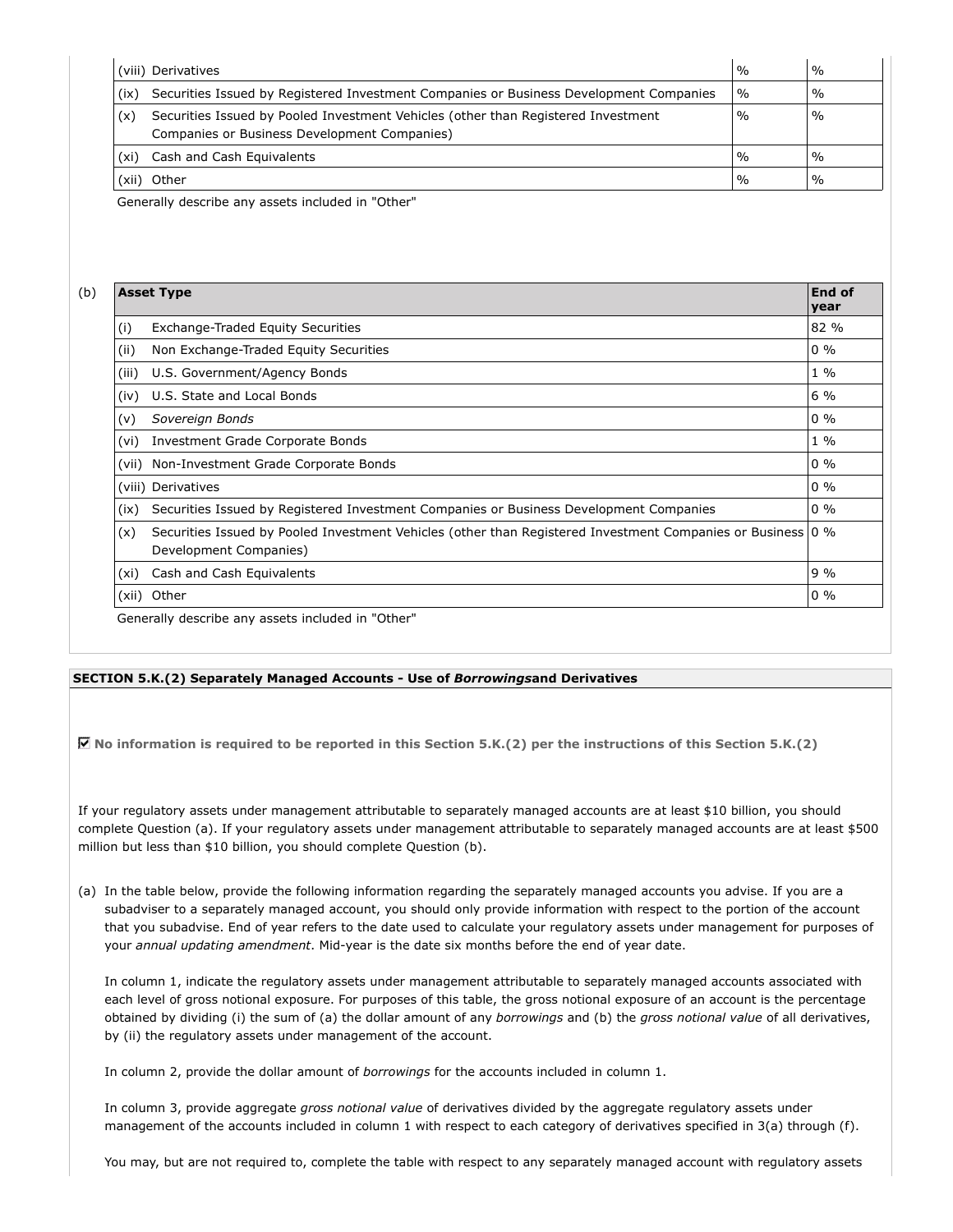|       | (viii) Derivatives                                                                                                                | $\frac{0}{0}$ | $\%$          |
|-------|-----------------------------------------------------------------------------------------------------------------------------------|---------------|---------------|
| (ix)  | Securities Issued by Registered Investment Companies or Business Development Companies                                            | $\frac{0}{0}$ | $\%$          |
| (x)   | Securities Issued by Pooled Investment Vehicles (other than Registered Investment<br>Companies or Business Development Companies) | $\frac{0}{0}$ | $\%$          |
| (xi)  | Cash and Cash Equivalents                                                                                                         | $\frac{0}{0}$ | $\frac{0}{0}$ |
| (xii) | Other                                                                                                                             | $\frac{0}{0}$ | $\%$          |

Generally describe any assets included in "Other"

| <b>End of</b><br><b>Asset Type</b><br>year |                                                                                                                                       |       |  |  |  |
|--------------------------------------------|---------------------------------------------------------------------------------------------------------------------------------------|-------|--|--|--|
| (i)                                        | Exchange-Traded Equity Securities                                                                                                     | 82 %  |  |  |  |
| (ii)                                       | Non Exchange-Traded Equity Securities                                                                                                 | $0\%$ |  |  |  |
| (iii)                                      | U.S. Government/Agency Bonds                                                                                                          | $1\%$ |  |  |  |
| (iv)                                       | U.S. State and Local Bonds                                                                                                            | $6\%$ |  |  |  |
| (v)                                        | Sovereign Bonds                                                                                                                       | $0\%$ |  |  |  |
| (vi)                                       | Investment Grade Corporate Bonds                                                                                                      | $1\%$ |  |  |  |
| (vii)                                      | Non-Investment Grade Corporate Bonds                                                                                                  | $0\%$ |  |  |  |
|                                            | (viii) Derivatives                                                                                                                    | $0\%$ |  |  |  |
| (ix)                                       | Securities Issued by Registered Investment Companies or Business Development Companies                                                | $0\%$ |  |  |  |
| (x)                                        | Securities Issued by Pooled Investment Vehicles (other than Registered Investment Companies or Business 0 %<br>Development Companies) |       |  |  |  |
| (xi)                                       | Cash and Cash Equivalents                                                                                                             | $9\%$ |  |  |  |
|                                            | (xii) Other                                                                                                                           | $0\%$ |  |  |  |

#### **SECTION 5.K.(2) Separately Managed Accounts - Use of** *Borrowings***and Derivatives**

**No information is required to be reported in this Section 5.K.(2) per the instructions of this Section 5.K.(2)**

If your regulatory assets under management attributable to separately managed accounts are at least \$10 billion, you should complete Question (a). If your regulatory assets under management attributable to separately managed accounts are at least \$500 million but less than \$10 billion, you should complete Question (b).

(a) In the table below, provide the following information regarding the separately managed accounts you advise. If you are a subadviser to a separately managed account, you should only provide information with respect to the portion of the account that you subadvise. End of year refers to the date used to calculate your regulatory assets under management for purposes of your *annual updating amendment*. Mid-year is the date six months before the end of year date.

In column 1, indicate the regulatory assets under management attributable to separately managed accounts associated with each level of gross notional exposure. For purposes of this table, the gross notional exposure of an account is the percentage obtained by dividing (i) the sum of (a) the dollar amount of any *borrowings* and (b) the *gross notional value* of all derivatives, by (ii) the regulatory assets under management of the account.

In column 2, provide the dollar amount of *borrowings* for the accounts included in column 1.

In column 3, provide aggregate *gross notional value* of derivatives divided by the aggregate regulatory assets under management of the accounts included in column 1 with respect to each category of derivatives specified in 3(a) through (f).

You may, but are not required to, complete the table with respect to any separately managed account with regulatory assets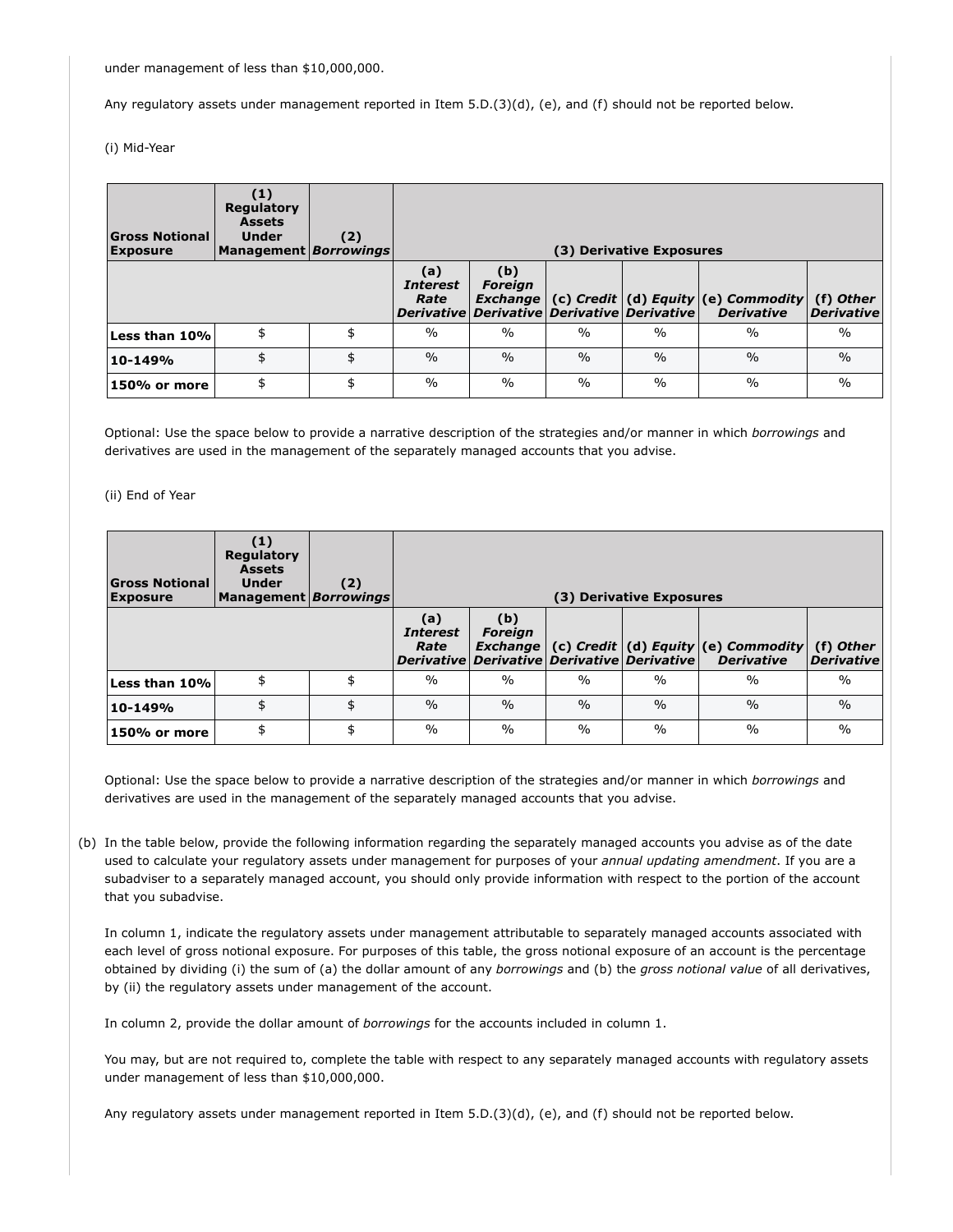under management of less than \$10,000,000.

Any regulatory assets under management reported in Item 5.D.(3)(d), (e), and (f) should not be reported below.

(i) Mid-Year

| <b>Gross Notional</b><br><b>Exposure</b> | $\left( 1\right)$<br>Regulatory<br><b>Assets</b><br><b>Under</b><br>Management   Borrowings | (2) |                                |                                                                                    |               | (3) Derivative Exposures |                                                              |                                |
|------------------------------------------|---------------------------------------------------------------------------------------------|-----|--------------------------------|------------------------------------------------------------------------------------|---------------|--------------------------|--------------------------------------------------------------|--------------------------------|
|                                          |                                                                                             |     | (a)<br><b>Interest</b><br>Rate | (b)<br><b>Foreign</b><br>Exchange  <br>Derivative Derivative Derivative Derivative |               |                          | (c) Credit $(d)$ Equity $(e)$ Commodity<br><b>Derivative</b> | (f) Other<br><b>Derivative</b> |
| Less than 10%                            |                                                                                             | \$  | $\frac{0}{0}$                  | $\frac{0}{0}$                                                                      | $\frac{0}{0}$ | $\%$                     | $\frac{0}{0}$                                                | $\frac{0}{0}$                  |
| 10-149%                                  |                                                                                             | \$  | $\frac{0}{0}$                  | $\frac{0}{0}$                                                                      | $\frac{0}{0}$ | $\frac{0}{0}$            | $\frac{0}{0}$                                                | $\frac{0}{0}$                  |
| 150% or more                             |                                                                                             | \$  | $\frac{0}{0}$                  | $\frac{0}{0}$                                                                      | $\%$          | $\%$                     | $\frac{0}{0}$                                                | $\frac{0}{0}$                  |

Optional: Use the space below to provide a narrative description of the strategies and/or manner in which *borrowings* and derivatives are used in the management of the separately managed accounts that you advise.

(ii) End of Year

| <b>Gross Notional</b><br><b>Exposure</b> | (1)<br>Regulatory<br><b>Assets</b><br><b>Under</b><br>Management Borrowings | (2) |                                |                                                                                         |               | (3) Derivative Exposures |                                                              |                                |
|------------------------------------------|-----------------------------------------------------------------------------|-----|--------------------------------|-----------------------------------------------------------------------------------------|---------------|--------------------------|--------------------------------------------------------------|--------------------------------|
|                                          |                                                                             |     | (a)<br><i>Interest</i><br>Rate | (b)<br><b>Foreign</b><br><b>Exchange</b><br>Derivative Derivative Derivative Derivative |               |                          | (c) Credit $(d)$ Equity $(e)$ Commodity<br><b>Derivative</b> | (f) Other<br><b>Derivative</b> |
| Less than 10%                            | \$                                                                          |     | $\frac{0}{0}$                  | $\frac{0}{0}$                                                                           | $\frac{0}{0}$ | $\frac{0}{0}$            | $\frac{0}{0}$                                                | $\frac{0}{0}$                  |
| 10-149%                                  | \$                                                                          | \$  | $\frac{0}{0}$                  | $\frac{0}{0}$                                                                           | $\frac{0}{0}$ | $\frac{0}{0}$            | $\frac{0}{0}$                                                | $\frac{0}{0}$                  |
| 150% or more                             | \$                                                                          | \$  | $\frac{0}{0}$                  | $\%$                                                                                    | $\frac{0}{0}$ | $\%$                     | $\frac{0}{0}$                                                | $\frac{0}{0}$                  |

Optional: Use the space below to provide a narrative description of the strategies and/or manner in which *borrowings* and derivatives are used in the management of the separately managed accounts that you advise.

(b) In the table below, provide the following information regarding the separately managed accounts you advise as of the date used to calculate your regulatory assets under management for purposes of your *annual updating amendment*. If you are a subadviser to a separately managed account, you should only provide information with respect to the portion of the account that you subadvise.

In column 1, indicate the regulatory assets under management attributable to separately managed accounts associated with each level of gross notional exposure. For purposes of this table, the gross notional exposure of an account is the percentage obtained by dividing (i) the sum of (a) the dollar amount of any *borrowings* and (b) the *gross notional value* of all derivatives, by (ii) the regulatory assets under management of the account.

In column 2, provide the dollar amount of *borrowings* for the accounts included in column 1.

You may, but are not required to, complete the table with respect to any separately managed accounts with regulatory assets under management of less than \$10,000,000.

Any regulatory assets under management reported in Item 5.D.(3)(d), (e), and (f) should not be reported below.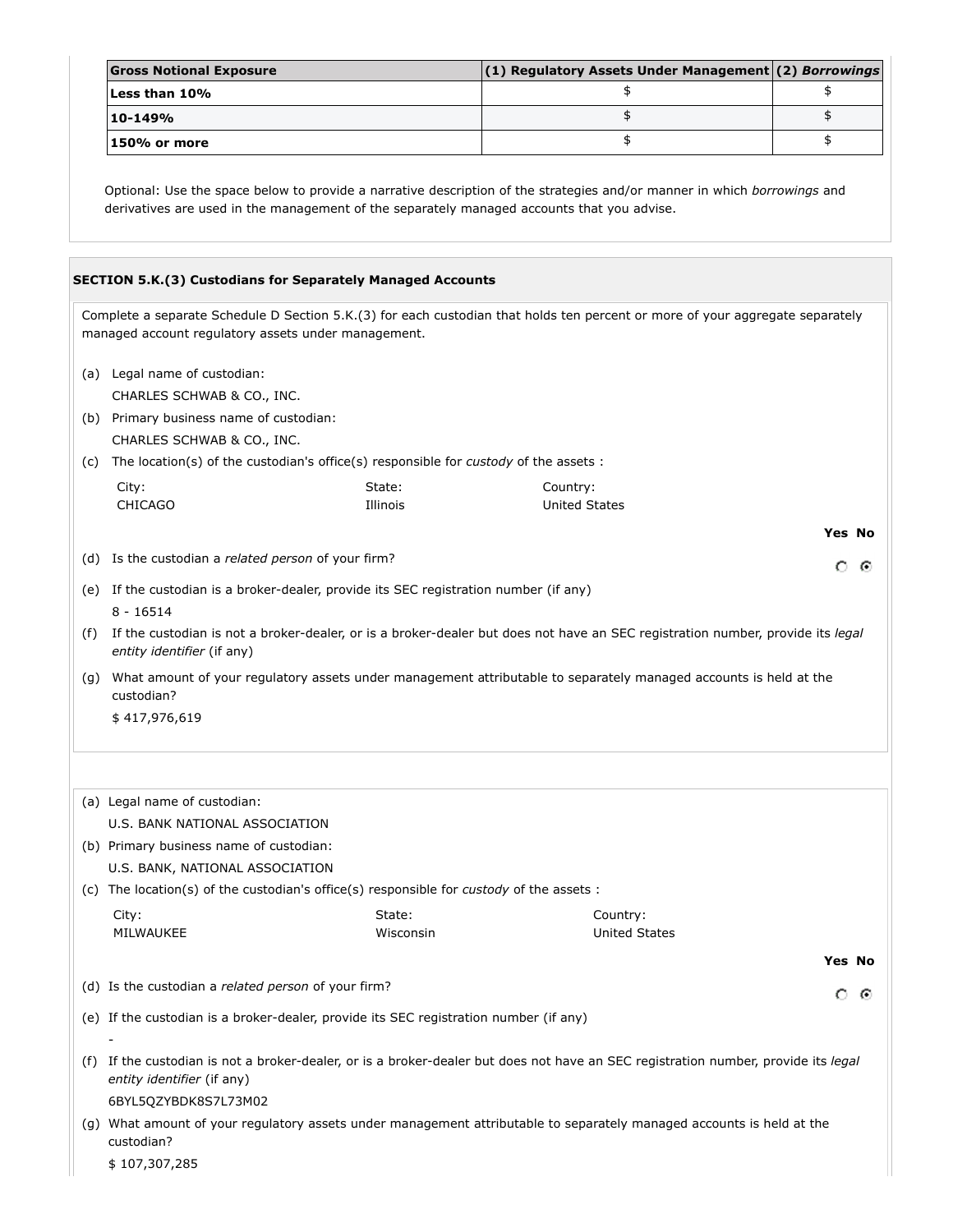| <b>Gross Notional Exposure</b> | $(1)$ Regulatory Assets Under Management (2) Borrowings |  |
|--------------------------------|---------------------------------------------------------|--|
| Less than 10%                  |                                                         |  |
| 10-149%                        |                                                         |  |
| l 150% or more                 |                                                         |  |

Optional: Use the space below to provide a narrative description of the strategies and/or manner in which *borrowings* and derivatives are used in the management of the separately managed accounts that you advise.

|     | <b>SECTION 5.K.(3) Custodians for Separately Managed Accounts</b>                                                                                                                    |                     |                                                                                                                                    |  |  |  |  |  |
|-----|--------------------------------------------------------------------------------------------------------------------------------------------------------------------------------------|---------------------|------------------------------------------------------------------------------------------------------------------------------------|--|--|--|--|--|
|     | Complete a separate Schedule D Section 5.K.(3) for each custodian that holds ten percent or more of your aggregate separately<br>managed account regulatory assets under management. |                     |                                                                                                                                    |  |  |  |  |  |
|     | (a) Legal name of custodian:                                                                                                                                                         |                     |                                                                                                                                    |  |  |  |  |  |
|     | CHARLES SCHWAB & CO., INC.<br>(b) Primary business name of custodian:                                                                                                                |                     |                                                                                                                                    |  |  |  |  |  |
|     | CHARLES SCHWAB & CO., INC.                                                                                                                                                           |                     |                                                                                                                                    |  |  |  |  |  |
| (c) | The location(s) of the custodian's office(s) responsible for custody of the assets :                                                                                                 |                     |                                                                                                                                    |  |  |  |  |  |
|     | City:<br><b>CHICAGO</b>                                                                                                                                                              | State:<br>Illinois  | Country:<br><b>United States</b>                                                                                                   |  |  |  |  |  |
|     |                                                                                                                                                                                      |                     | <b>Yes No</b>                                                                                                                      |  |  |  |  |  |
|     | (d) Is the custodian a <i>related person</i> of your firm?                                                                                                                           |                     | ⊙<br>O                                                                                                                             |  |  |  |  |  |
|     | (e) If the custodian is a broker-dealer, provide its SEC registration number (if any)<br>$8 - 16514$                                                                                 |                     |                                                                                                                                    |  |  |  |  |  |
| (f) | entity identifier (if any)                                                                                                                                                           |                     | If the custodian is not a broker-dealer, or is a broker-dealer but does not have an SEC registration number, provide its legal     |  |  |  |  |  |
| (g) | custodian?                                                                                                                                                                           |                     | What amount of your regulatory assets under management attributable to separately managed accounts is held at the                  |  |  |  |  |  |
|     | \$417,976,619                                                                                                                                                                        |                     |                                                                                                                                    |  |  |  |  |  |
|     |                                                                                                                                                                                      |                     |                                                                                                                                    |  |  |  |  |  |
|     | (a) Legal name of custodian:                                                                                                                                                         |                     |                                                                                                                                    |  |  |  |  |  |
|     | U.S. BANK NATIONAL ASSOCIATION<br>(b) Primary business name of custodian:                                                                                                            |                     |                                                                                                                                    |  |  |  |  |  |
|     | U.S. BANK, NATIONAL ASSOCIATION                                                                                                                                                      |                     |                                                                                                                                    |  |  |  |  |  |
|     | (c) The location(s) of the custodian's office(s) responsible for <i>custody</i> of the assets :                                                                                      |                     |                                                                                                                                    |  |  |  |  |  |
|     | City:<br>MILWAUKEE                                                                                                                                                                   | State:<br>Wisconsin | Country:<br><b>United States</b>                                                                                                   |  |  |  |  |  |
|     |                                                                                                                                                                                      |                     | Yes No                                                                                                                             |  |  |  |  |  |
|     | (d) Is the custodian a related person of your firm?                                                                                                                                  |                     |                                                                                                                                    |  |  |  |  |  |
|     |                                                                                                                                                                                      |                     | ⊙<br>O                                                                                                                             |  |  |  |  |  |
|     | (e) If the custodian is a broker-dealer, provide its SEC registration number (if any)                                                                                                |                     |                                                                                                                                    |  |  |  |  |  |
|     | entity identifier (if any)                                                                                                                                                           |                     | (f) If the custodian is not a broker-dealer, or is a broker-dealer but does not have an SEC registration number, provide its legal |  |  |  |  |  |
|     | 6BYL5QZYBDK8S7L73M02                                                                                                                                                                 |                     |                                                                                                                                    |  |  |  |  |  |
|     | custodian?                                                                                                                                                                           |                     | (g) What amount of your regulatory assets under management attributable to separately managed accounts is held at the              |  |  |  |  |  |
|     | \$107,307,285                                                                                                                                                                        |                     |                                                                                                                                    |  |  |  |  |  |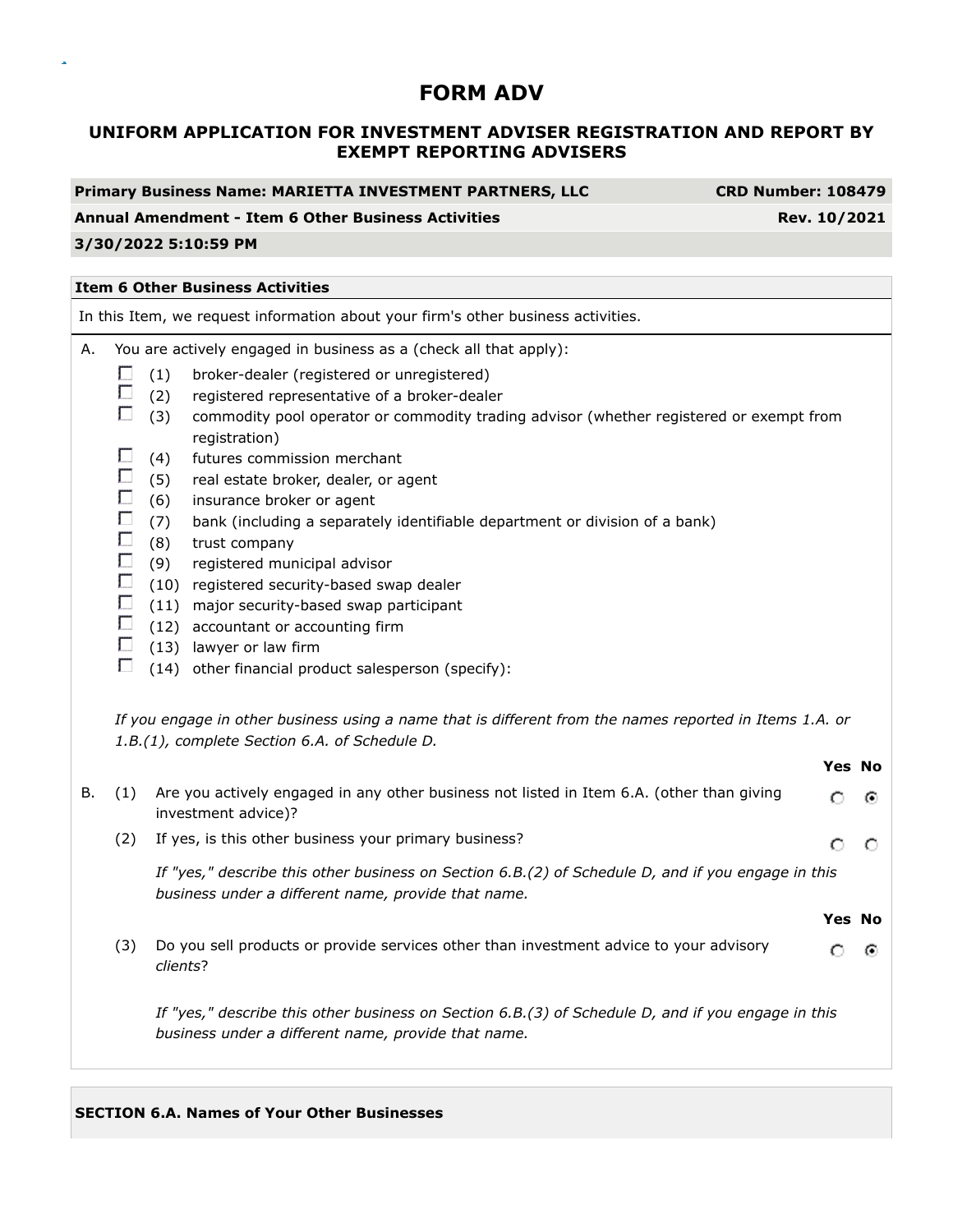# **UNIFORM APPLICATION FOR INVESTMENT ADVISER REGISTRATION AND REPORT BY EXEMPT REPORTING ADVISERS**

#### **Annual Amendment - Item 6 Other Business Activities Rev. 10/2021**

**CRD Number: 108479** 

### **3/30/2022 5:10:59 PM**

#### **Item 6 Other Business Activities**

In this Item, we request information about your firm's other business activities. A. You are actively engaged in business as a (check all that apply):  $\Box$  (1) broker-dealer (registered or unregistered) П (2) registered representative of a broker-dealer  $\Box$ (3) commodity pool operator or commodity trading advisor (whether registered or exempt from registration)  $\Box$ (4) futures commission merchant Г. (5) real estate broker, dealer, or agent  $\Box$ (6) insurance broker or agent  $\Box$ (7) bank (including a separately identifiable department or division of a bank)  $\Box$ (8) trust company  $\Box$ (9) registered municipal advisor  $\Box$  (10) registered security-based swap dealer  $\Box$ (11) major security-based swap participant  $\Box$  (12) accountant or accounting firm  $\Box$  (13) lawyer or law firm  $\Box$  (14) other financial product salesperson (specify): *If you engage in other business using a name that is different from the names reported in Items 1.A. or 1.B.(1), complete Section 6.A. of Schedule D.* **Yes No**

| В. | (1) | Are you actively engaged in any other business not listed in Item 6.A. (other than giving<br>investment advice)?                                          |               | $\epsilon$ |
|----|-----|-----------------------------------------------------------------------------------------------------------------------------------------------------------|---------------|------------|
|    | (2) | If yes, is this other business your primary business?                                                                                                     | O             |            |
|    |     | If "yes," describe this other business on Section 6.B.(2) of Schedule D, and if you engage in this<br>business under a different name, provide that name. |               |            |
|    |     |                                                                                                                                                           | <b>Yes No</b> |            |
|    | (3) | Do you sell products or provide services other than investment advice to your advisory<br>clients?                                                        | ∩             | $\epsilon$ |
|    |     | If "yes," describe this other business on Section 6.B.(3) of Schedule D, and if you engage in this<br>business under a different name, provide that name. |               |            |

#### **SECTION 6.A. Names of Your Other Businesses**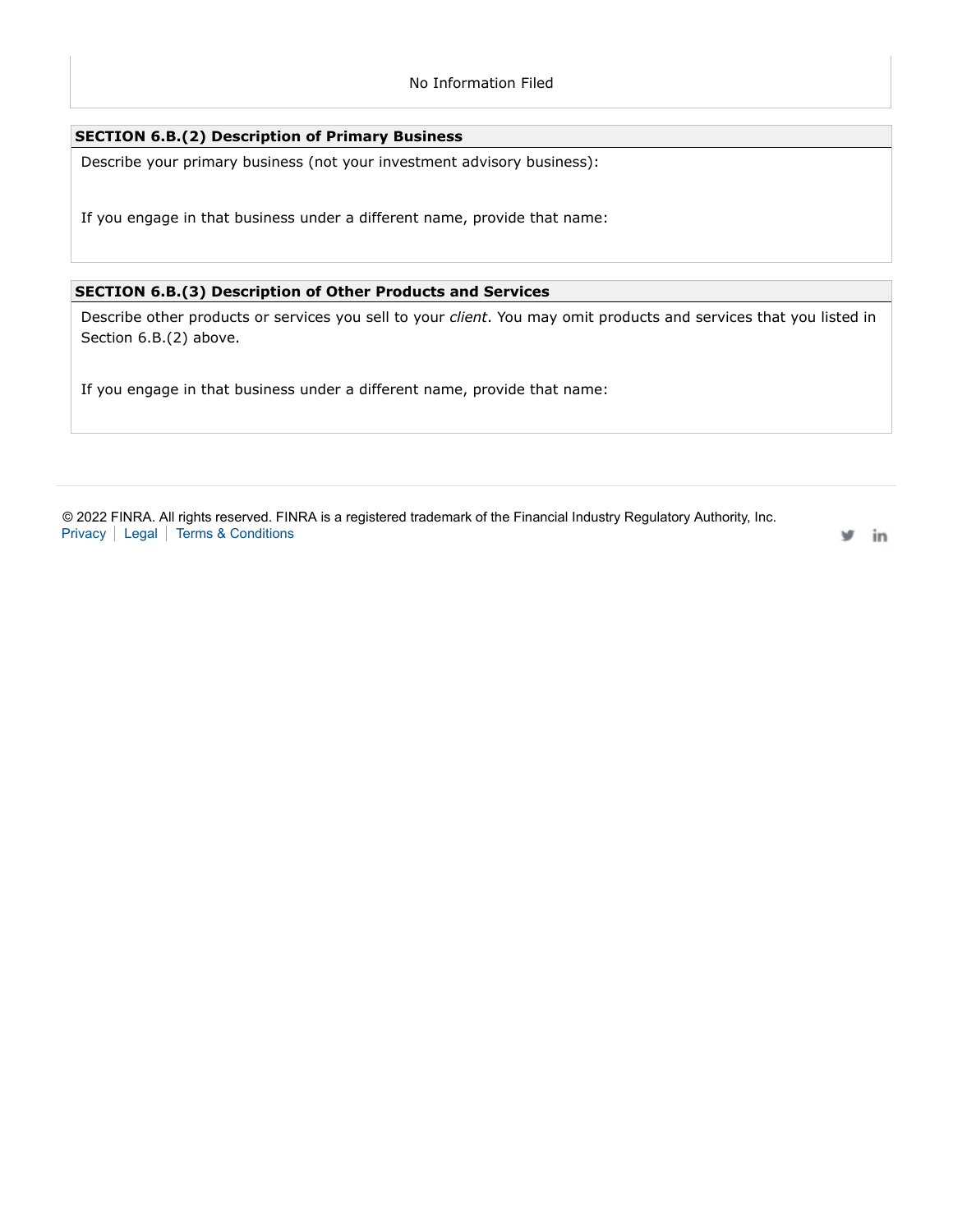### **SECTION 6.B.(2) Description of Primary Business**

Describe your primary business (not your investment advisory business):

If you engage in that business under a different name, provide that name:

## **SECTION 6.B.(3) Description of Other Products and Services**

Describe other products or services you sell to your *client*. You may omit products and services that you listed in Section 6.B.(2) above.

If you engage in that business under a different name, provide that name:

© 2022 FINRA. All rights reserved. FINRA is a registered trademark of the Financial Industry Regulatory Authority, Inc. Privacy | Legal | Terms & Conditions

v in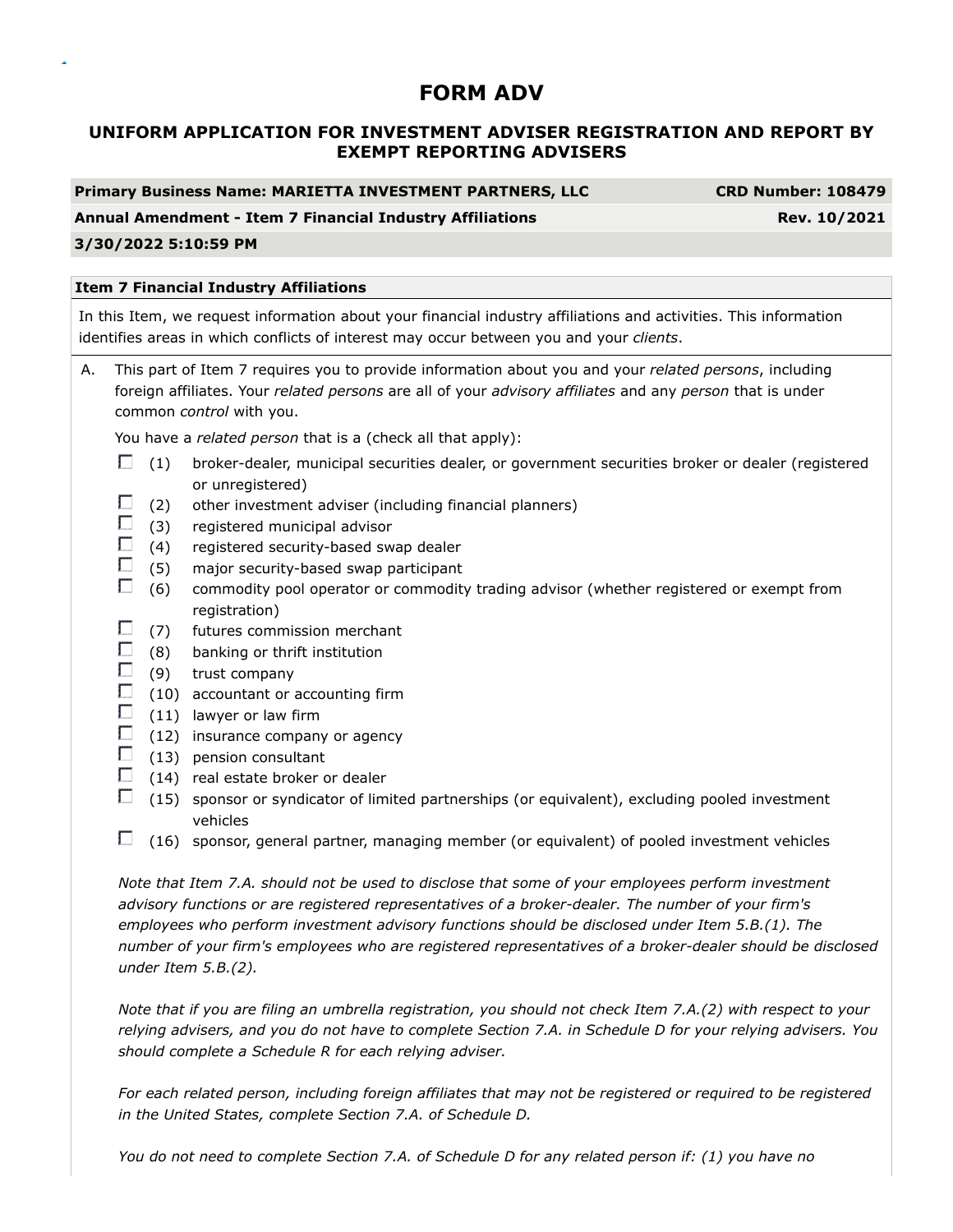# **UNIFORM APPLICATION FOR INVESTMENT ADVISER REGISTRATION AND REPORT BY EXEMPT REPORTING ADVISERS**

**Primary Business Name: MARIETTA INVESTMENT PARTNERS, LLC CRD Number: 108479**

### **Annual Amendment - Item 7 Financial Industry Affiliations Rev. 10/2021**

### **3/30/2022 5:10:59 PM**

### **Item 7 Financial Industry Affiliations**

In this Item, we request information about your financial industry affiliations and activities. This information identifies areas in which conflicts of interest may occur between you and your *clients*.

A. This part of Item 7 requires you to provide information about you and your *related persons*, including foreign affiliates. Your *related persons* are all of your *advisory affiliates* and any *person* that is under common *control* with you.

You have a *related person* that is a (check all that apply):

- $\Box$  (1) broker-dealer, municipal securities dealer, or government securities broker or dealer (registered or unregistered)
- г (2) other investment adviser (including financial planners)
- П. (3) registered municipal advisor
- $\Box$ (4) registered security-based swap dealer
- $\Box$ (5) major security-based swap participant
- O. (6) commodity pool operator or commodity trading advisor (whether registered or exempt from registration)
- П (7) futures commission merchant
- $\Box$ (8) banking or thrift institution
- $\Box$ (9) trust company
- $\Box$ (10) accountant or accounting firm
- $\Box$  (11) lawyer or law firm
- $\Box$ (12) insurance company or agency
- $\Box$  (13) pension consultant
- П. (14) real estate broker or dealer
- $\Box$  (15) sponsor or syndicator of limited partnerships (or equivalent), excluding pooled investment vehicles
- $\Box$  (16) sponsor, general partner, managing member (or equivalent) of pooled investment vehicles

*Note that Item 7.A. should not be used to disclose that some of your employees perform investment advisory functions or are registered representatives of a broker-dealer. The number of your firm's employees who perform investment advisory functions should be disclosed under Item 5.B.(1). The number of your firm's employees who are registered representatives of a broker-dealer should be disclosed under Item 5.B.(2).*

*Note that if you are filing an umbrella registration, you should not check Item 7.A.(2) with respect to your relying advisers, and you do not have to complete Section 7.A. in Schedule D for your relying advisers. You should complete a Schedule R for each relying adviser.*

*For each related person, including foreign affiliates that may not be registered or required to be registered in the United States, complete Section 7.A. of Schedule D.*

*You do not need to complete Section 7.A. of Schedule D for any related person if: (1) you have no*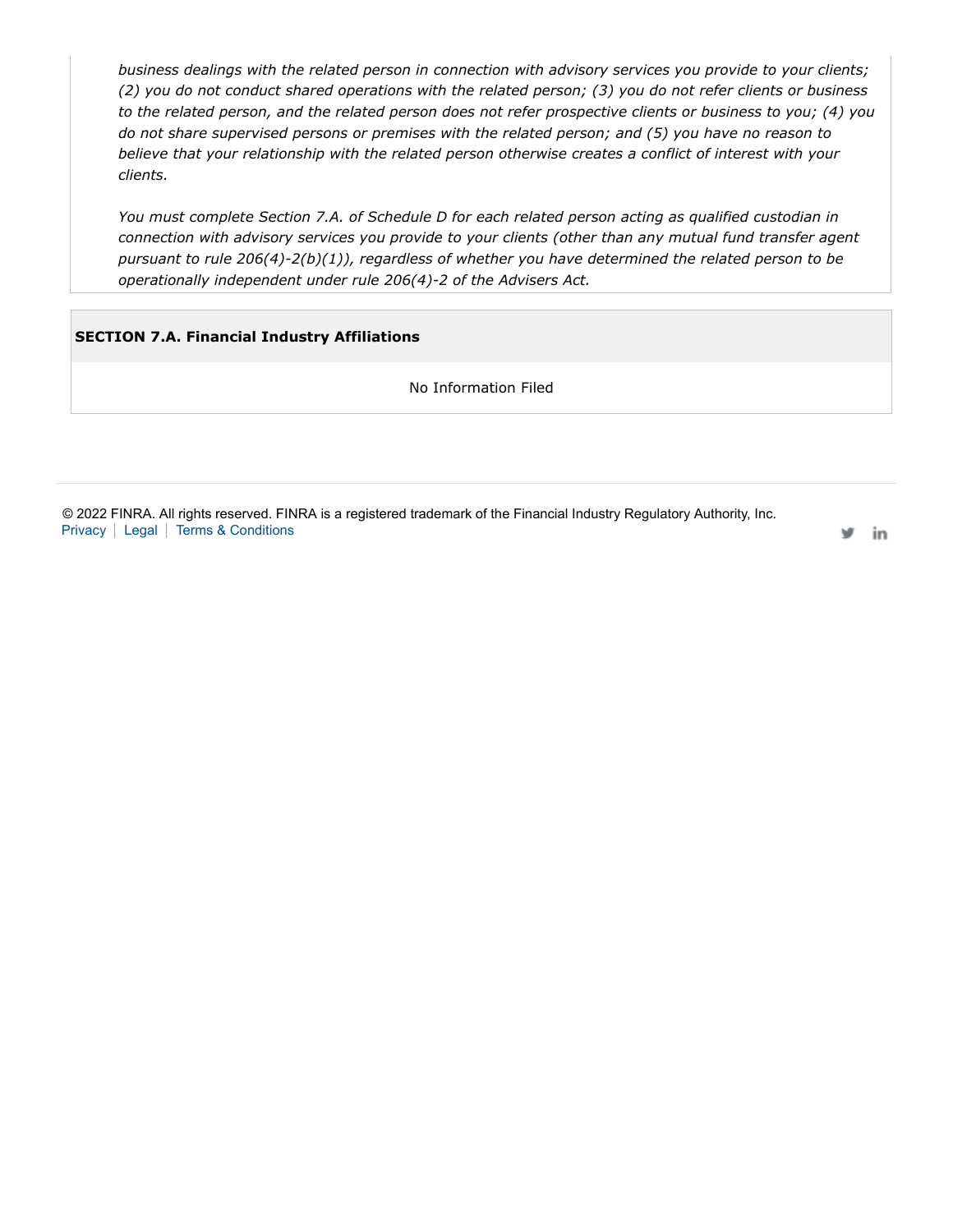*business dealings with the related person in connection with advisory services you provide to your clients; (2) you do not conduct shared operations with the related person; (3) you do not refer clients or business to the related person, and the related person does not refer prospective clients or business to you; (4) you do not share supervised persons or premises with the related person; and (5) you have no reason to believe that your relationship with the related person otherwise creates a conflict of interest with your clients.*

*You must complete Section 7.A. of Schedule D for each related person acting as qualified custodian in connection with advisory services you provide to your clients (other than any mutual fund transfer agent pursuant to rule 206(4)-2(b)(1)), regardless of whether you have determined the related person to be operationally independent under rule 206(4)-2 of the Advisers Act.*

## **SECTION 7.A. Financial Industry Affiliations**

No Information Filed

© 2022 FINRA. All rights reserved. FINRA is a registered trademark of the Financial Industry Regulatory Authority, Inc. Privacy | Legal | Terms & Conditions

in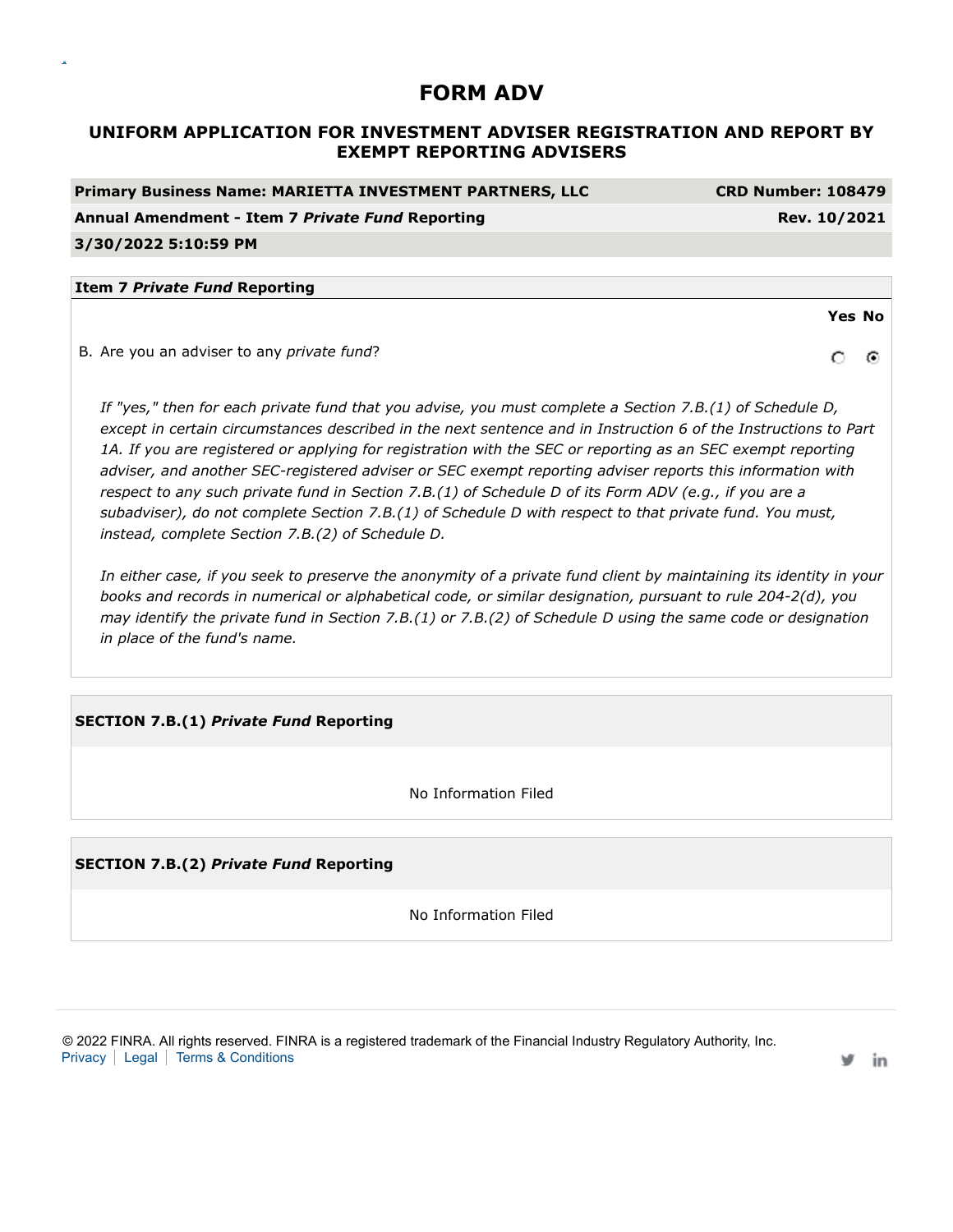# **UNIFORM APPLICATION FOR INVESTMENT ADVISER REGISTRATION AND REPORT BY EXEMPT REPORTING ADVISERS**

| <b>Primary Business Name: MARIETTA INVESTMENT PARTNERS, LLC</b> | <b>CRD Number: 108479</b> |
|-----------------------------------------------------------------|---------------------------|
| Annual Amendment - Item 7 Private Fund Reporting                | Rev. 10/2021              |
| 3/30/2022 5:10:59 PM                                            |                           |
|                                                                 |                           |
| <b>Item 7 Private Fund Reporting</b>                            |                           |
|                                                                 | <b>Yes No</b>             |
| B. Are you an adviser to any <i>private fund</i> ?              |                           |

*If "yes," then for each private fund that you advise, you must complete a Section 7.B.(1) of Schedule D, except in certain circumstances described in the next sentence and in Instruction 6 of the Instructions to Part 1A. If you are registered or applying for registration with the SEC or reporting as an SEC exempt reporting adviser, and another SEC-registered adviser or SEC exempt reporting adviser reports this information with respect to any such private fund in Section 7.B.(1) of Schedule D of its Form ADV (e.g., if you are a subadviser), do not complete Section 7.B.(1) of Schedule D with respect to that private fund. You must, instead, complete Section 7.B.(2) of Schedule D.*

*In either case, if you seek to preserve the anonymity of a private fund client by maintaining its identity in your books and records in numerical or alphabetical code, or similar designation, pursuant to rule 204-2(d), you may identify the private fund in Section 7.B.(1) or 7.B.(2) of Schedule D using the same code or designation in place of the fund's name.*

## **SECTION 7.B.(1)** *Private Fund* **Reporting**

No Information Filed

**SECTION 7.B.(2)** *Private Fund* **Reporting**

No Information Filed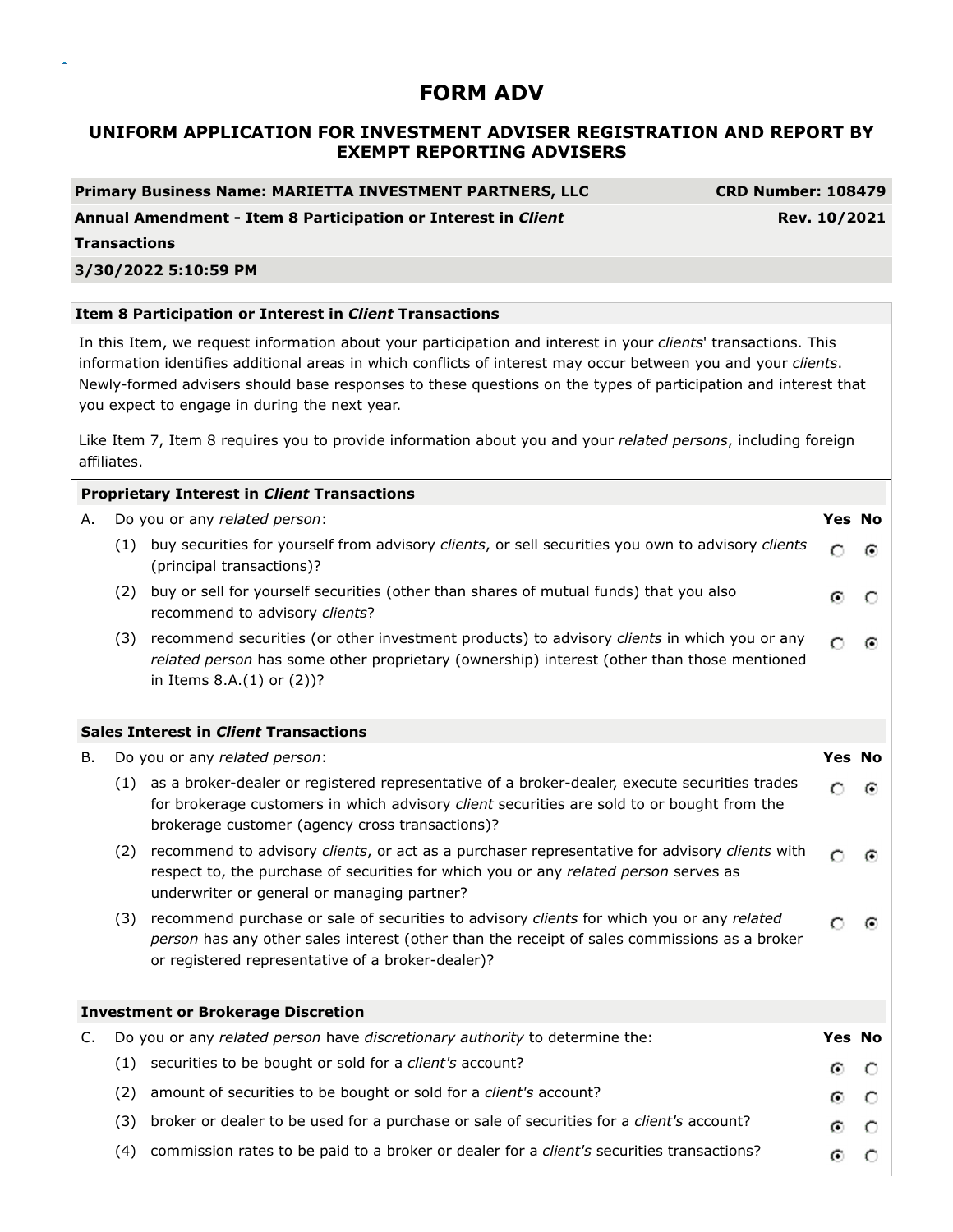# **UNIFORM APPLICATION FOR INVESTMENT ADVISER REGISTRATION AND REPORT BY EXEMPT REPORTING ADVISERS**

**Primary Business Name: MARIETTA INVESTMENT PARTNERS, LLC CRD Number: 108479**

**Annual Amendment - Item 8 Participation or Interest in** *Client*

**Rev. 10/2021**

**Transactions**

### **3/30/2022 5:10:59 PM**

### **Item 8 Participation or Interest in** *Client* **Transactions**

In this Item, we request information about your participation and interest in your *clients*' transactions. This information identifies additional areas in which conflicts of interest may occur between you and your *clients*. Newly-formed advisers should base responses to these questions on the types of participation and interest that you expect to engage in during the next year.

Like Item 7, Item 8 requires you to provide information about you and your *related persons*, including foreign affiliates.

|    |     | <b>Proprietary Interest in Client Transactions</b>                                                                                                                                                                                                 |        |   |
|----|-----|----------------------------------------------------------------------------------------------------------------------------------------------------------------------------------------------------------------------------------------------------|--------|---|
| А. |     | Do you or any related person:                                                                                                                                                                                                                      | Yes No |   |
|    |     | (1) buy securities for yourself from advisory clients, or sell securities you own to advisory clients<br>(principal transactions)?                                                                                                                 | O      | ⊙ |
|    | (2) | buy or sell for yourself securities (other than shares of mutual funds) that you also<br>recommend to advisory clients?                                                                                                                            | ⊙      |   |
|    | (3) | recommend securities (or other investment products) to advisory clients in which you or any<br>related person has some other proprietary (ownership) interest (other than those mentioned<br>in Items 8.A.(1) or (2))?                             | O      | ⊙ |
|    |     | <b>Sales Interest in Client Transactions</b>                                                                                                                                                                                                       |        |   |
| В. |     | Do you or any related person:                                                                                                                                                                                                                      | Yes No |   |
|    |     | (1) as a broker-dealer or registered representative of a broker-dealer, execute securities trades<br>for brokerage customers in which advisory client securities are sold to or bought from the<br>brokerage customer (agency cross transactions)? | O      | ⊙ |
|    | (2) | recommend to advisory clients, or act as a purchaser representative for advisory clients with<br>respect to, the purchase of securities for which you or any related person serves as<br>underwriter or general or managing partner?               | Ο      | ⊙ |
|    | (3) | recommend purchase or sale of securities to advisory clients for which you or any related<br>person has any other sales interest (other than the receipt of sales commissions as a broker<br>or registered representative of a broker-dealer)?     | O      | ⊙ |
|    |     | <b>Investment or Brokerage Discretion</b>                                                                                                                                                                                                          |        |   |
| C. |     | Do you or any related person have discretionary authority to determine the:                                                                                                                                                                        | Yes No |   |
|    | (1) | securities to be bought or sold for a client's account?                                                                                                                                                                                            | ⊙      | O |
|    | (2) | amount of securities to be bought or sold for a client's account?                                                                                                                                                                                  | o.     | O |
|    | (3) | broker or dealer to be used for a purchase or sale of securities for a client's account?                                                                                                                                                           | ⊙      | О |
|    | (4) | commission rates to be paid to a broker or dealer for a client's securities transactions?                                                                                                                                                          | G.     | n |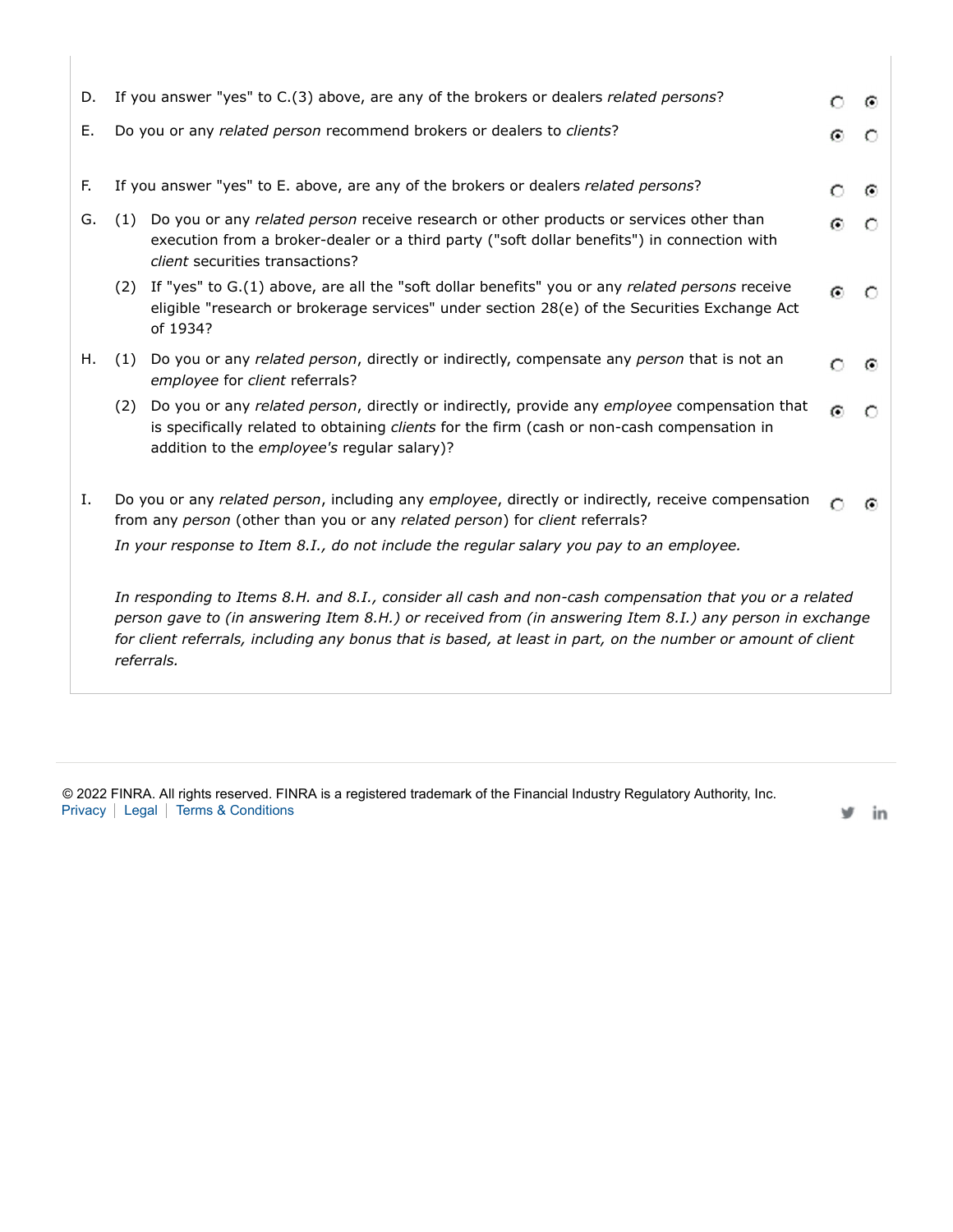| D. | If you answer "yes" to C.(3) above, are any of the brokers or dealers related persons?                                                                                                                                                                                                                                                            |                                                                                                                                                                                                                                            |   |           |  |  |
|----|---------------------------------------------------------------------------------------------------------------------------------------------------------------------------------------------------------------------------------------------------------------------------------------------------------------------------------------------------|--------------------------------------------------------------------------------------------------------------------------------------------------------------------------------------------------------------------------------------------|---|-----------|--|--|
| Ε. | Do you or any related person recommend brokers or dealers to clients?                                                                                                                                                                                                                                                                             |                                                                                                                                                                                                                                            |   |           |  |  |
| F. | If you answer "yes" to E. above, are any of the brokers or dealers related persons?                                                                                                                                                                                                                                                               |                                                                                                                                                                                                                                            |   |           |  |  |
| G. | (1) Do you or any related person receive research or other products or services other than<br>execution from a broker-dealer or a third party ("soft dollar benefits") in connection with<br>client securities transactions?                                                                                                                      |                                                                                                                                                                                                                                            |   |           |  |  |
|    |                                                                                                                                                                                                                                                                                                                                                   | (2) If "yes" to G.(1) above, are all the "soft dollar benefits" you or any <i>related persons</i> receive<br>eligible "research or brokerage services" under section 28(e) of the Securities Exchange Act<br>of 1934?                      |   | O         |  |  |
| Н. | (1)                                                                                                                                                                                                                                                                                                                                               | Do you or any related person, directly or indirectly, compensate any person that is not an<br>employee for client referrals?                                                                                                               |   | $\bullet$ |  |  |
|    | (2)                                                                                                                                                                                                                                                                                                                                               | Do you or any related person, directly or indirectly, provide any employee compensation that<br>is specifically related to obtaining clients for the firm (cash or non-cash compensation in<br>addition to the employee's regular salary)? | G |           |  |  |
| Ι. | Do you or any related person, including any employee, directly or indirectly, receive compensation<br>from any person (other than you or any related person) for client referrals?                                                                                                                                                                |                                                                                                                                                                                                                                            |   |           |  |  |
|    | In your response to Item 8.1., do not include the regular salary you pay to an employee.                                                                                                                                                                                                                                                          |                                                                                                                                                                                                                                            |   |           |  |  |
|    | In responding to Items 8.H. and 8.I., consider all cash and non-cash compensation that you or a related<br>person gave to (in answering Item 8.H.) or received from (in answering Item 8.I.) any person in exchange<br>for client referrals, including any bonus that is based, at least in part, on the number or amount of client<br>referrals. |                                                                                                                                                                                                                                            |   |           |  |  |

© 2022 FINRA. All rights reserved. FINRA is a registered trademark of the Financial Industry Regulatory Authority, Inc. Privacy | Legal | Terms & Conditions

y in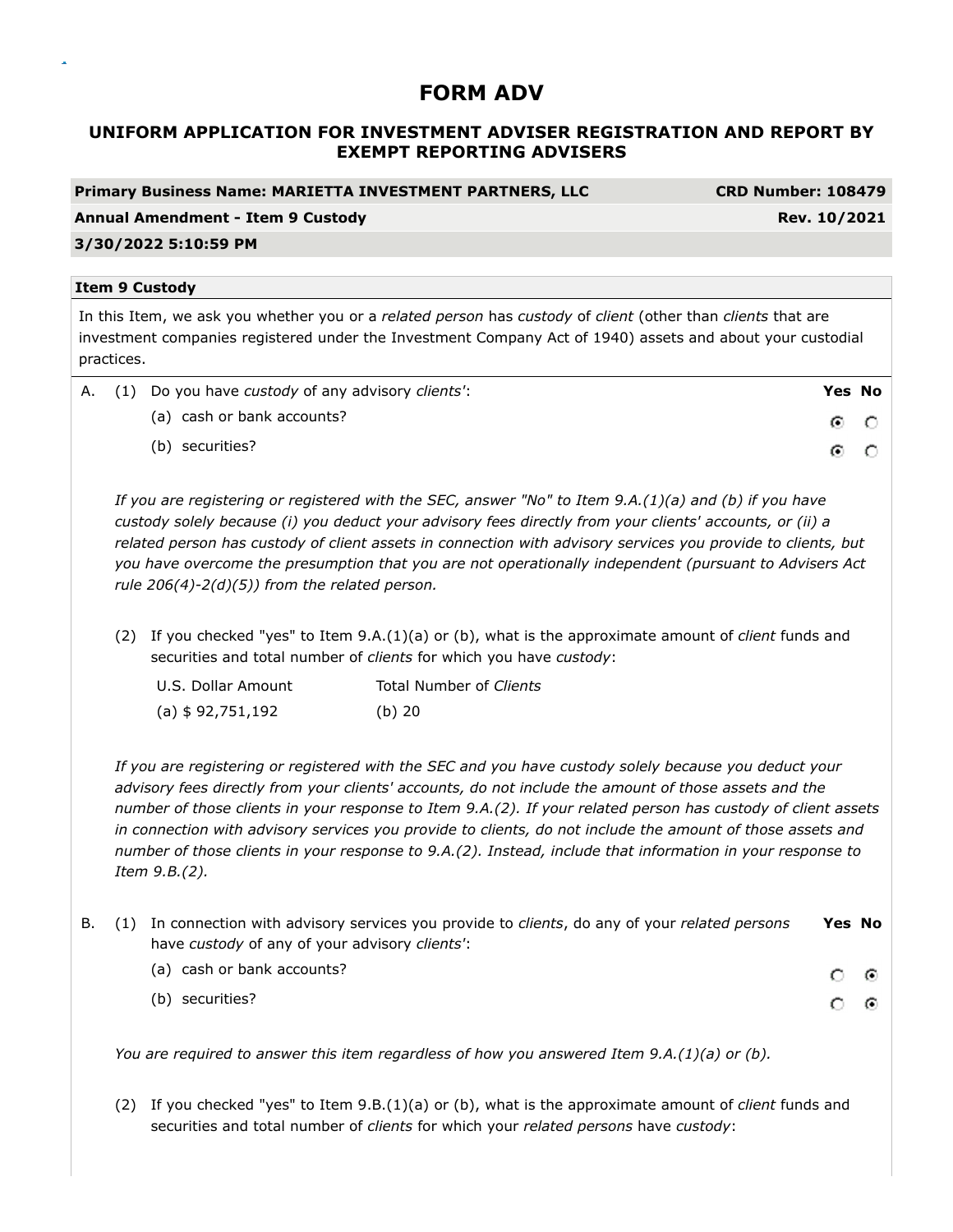# **UNIFORM APPLICATION FOR INVESTMENT ADVISER REGISTRATION AND REPORT BY EXEMPT REPORTING ADVISERS**

# **Primary Business Name: MARIETTA INVESTMENT PARTNERS, LLC CRD Number: 108479 Annual Amendment - Item 9 Custody Rev. 10/2021 3/30/2022 5:10:59 PM Item 9 Custody** In this Item, we ask you whether you or a *related person* has *custody* of *client* (other than *clients* that are investment companies registered under the Investment Company Act of 1940) assets and about your custodial practices. A. (1) Do you have *custody* of any advisory *clients'*: **Yes No** (a) cash or bank accounts? ⊙  $\circ$

(b) securities?

*If you are registering or registered with the SEC, answer "No" to Item 9.A.(1)(a) and (b) if you have custody solely because (i) you deduct your advisory fees directly from your clients' accounts, or (ii) a related person has custody of client assets in connection with advisory services you provide to clients, but you have overcome the presumption that you are not operationally independent (pursuant to Advisers Act rule 206(4)-2(d)(5)) from the related person.*

G.

 $\circ$ 

(2) If you checked "yes" to Item 9.A.(1)(a) or (b), what is the approximate amount of *client* funds and securities and total number of *clients* for which you have *custody*:

| U.S. Dollar Amount | Total Number of Clients |
|--------------------|-------------------------|
| (a) \$ 92,751,192  | $(b)$ 20                |

*If you are registering or registered with the SEC and you have custody solely because you deduct your advisory fees directly from your clients' accounts, do not include the amount of those assets and the number of those clients in your response to Item 9.A.(2). If your related person has custody of client assets in connection with advisory services you provide to clients, do not include the amount of those assets and number of those clients in your response to 9.A.(2). Instead, include that information in your response to Item 9.B.(2).*

|  | B. (1) In connection with advisory services you provide to <i>clients</i> , do any of your <i>related persons</i> | <b>Yes No</b> |   |  |
|--|-------------------------------------------------------------------------------------------------------------------|---------------|---|--|
|  | have custody of any of your advisory clients':                                                                    |               |   |  |
|  | (a) cash or bank accounts?                                                                                        | റ ര           |   |  |
|  | (b) securities?                                                                                                   | C.            | ෙ |  |

*You are required to answer this item regardless of how you answered Item 9.A.(1)(a) or (b).*

(2) If you checked "yes" to Item 9.B.(1)(a) or (b), what is the approximate amount of *client* funds and securities and total number of *clients* for which your *related persons* have *custody*: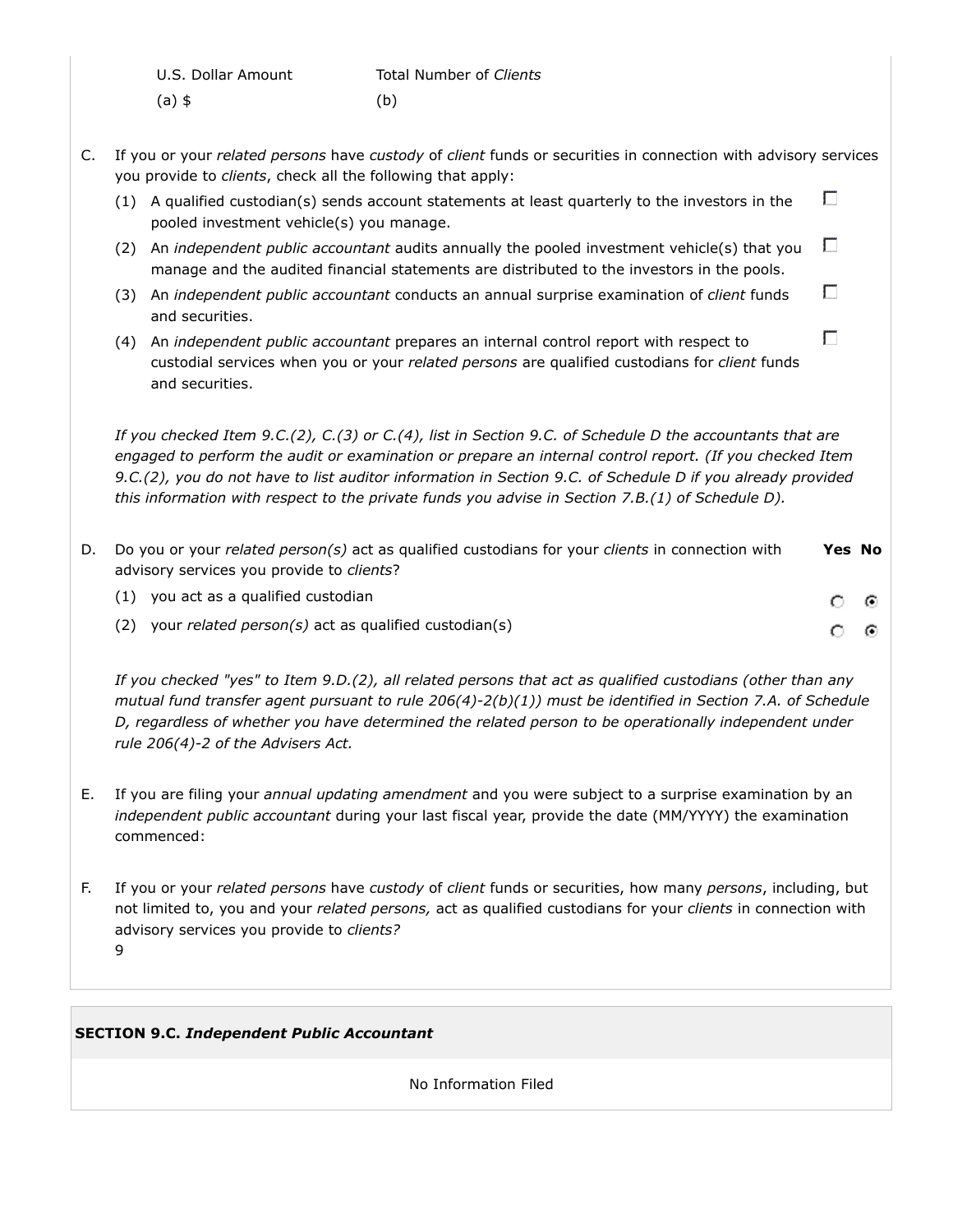| U.S. Dollar Amount | Total Number of Clients |
|--------------------|-------------------------|
| (a) \$             | (b)                     |

C. If you or your *related persons* have *custody* of *client* funds or securities in connection with advisory services you provide to *clients*, check all the following that apply:

П

- (1) A qualified custodian(s) sends account statements at least quarterly to the investors in the pooled investment vehicle(s) you manage.
- П (2) An *independent public accountant* audits annually the pooled investment vehicle(s) that you manage and the audited financial statements are distributed to the investors in the pools.
- П (3) An *independent public accountant* conducts an annual surprise examination of *client* funds and securities.
- П (4) An *independent public accountant* prepares an internal control report with respect to custodial services when you or your *related persons* are qualified custodians for *client* funds and securities.

*If you checked Item 9.C.(2), C.(3) or C.(4), list in Section 9.C. of Schedule D the accountants that are engaged to perform the audit or examination or prepare an internal control report. (If you checked Item 9.C.(2), you do not have to list auditor information in Section 9.C. of Schedule D if you already provided this information with respect to the private funds you advise in Section 7.B.(1) of Schedule D).*

| D. | Do you or your related person(s) act as qualified custodians for your clients in connection with<br>advisory services you provide to clients? | <b>Yes No</b> |         |
|----|-----------------------------------------------------------------------------------------------------------------------------------------------|---------------|---------|
|    | (1) you act as a qualified custodian                                                                                                          | 0.            | $\odot$ |
|    | your related person(s) act as qualified custodian(s)<br>(2)                                                                                   |               |         |

*If you checked "yes" to Item 9.D.(2), all related persons that act as qualified custodians (other than any mutual fund transfer agent pursuant to rule 206(4)-2(b)(1)) must be identified in Section 7.A. of Schedule D, regardless of whether you have determined the related person to be operationally independent under rule 206(4)-2 of the Advisers Act.*

- E. If you are filing your *annual updating amendment* and you were subject to a surprise examination by an *independent public accountant* during your last fiscal year, provide the date (MM/YYYY) the examination commenced:
- F. If you or your *related persons* have *custody* of *client* funds or securities, how many *persons*, including, but not limited to, you and your *related persons,* act as qualified custodians for your *clients* in connection with advisory services you provide to *clients?* 9

## **SECTION 9.C.** *Independent Public Accountant*

No Information Filed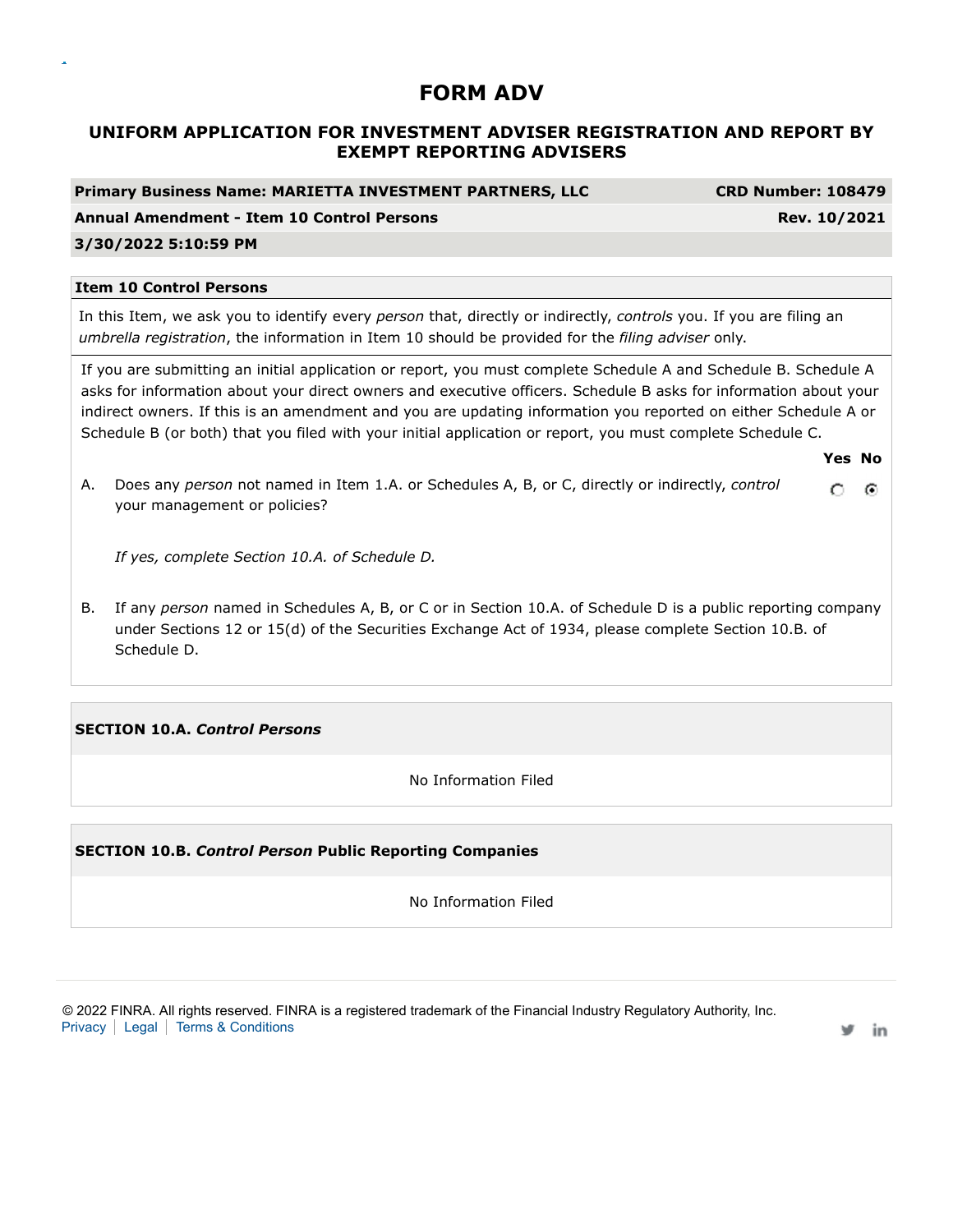# **UNIFORM APPLICATION FOR INVESTMENT ADVISER REGISTRATION AND REPORT BY EXEMPT REPORTING ADVISERS**

**Primary Business Name: MARIETTA INVESTMENT PARTNERS, LLC CRD Number: 108479**

**Annual Amendment - Item 10 Control Persons Rev. 10/2021**

### **3/30/2022 5:10:59 PM**

#### **Item 10 Control Persons**

In this Item, we ask you to identify every *person* that, directly or indirectly, *controls* you. If you are filing an *umbrella registration*, the information in Item 10 should be provided for the *filing adviser* only.

If you are submitting an initial application or report, you must complete Schedule A and Schedule B. Schedule A asks for information about your direct owners and executive officers. Schedule B asks for information about your indirect owners. If this is an amendment and you are updating information you reported on either Schedule A or Schedule B (or both) that you filed with your initial application or report, you must complete Schedule C.

**Yes No**

A. Does any *person* not named in Item 1.A. or Schedules A, B, or C, directly or indirectly, *control* O.  $\odot$ your management or policies?

*If yes, complete Section 10.A. of Schedule D.*

B. If any *person* named in Schedules A, B, or C or in Section 10.A. of Schedule D is a public reporting company under Sections 12 or 15(d) of the Securities Exchange Act of 1934, please complete Section 10.B. of Schedule D.

### **SECTION 10.A.** *Control Persons*

No Information Filed

### **SECTION 10.B.** *Control Person* **Public Reporting Companies**

No Information Filed

© 2022 FINRA. All rights reserved. FINRA is a registered trademark of the Financial Industry Regulatory Authority, Inc. Privacy | Legal | Terms & Conditions

in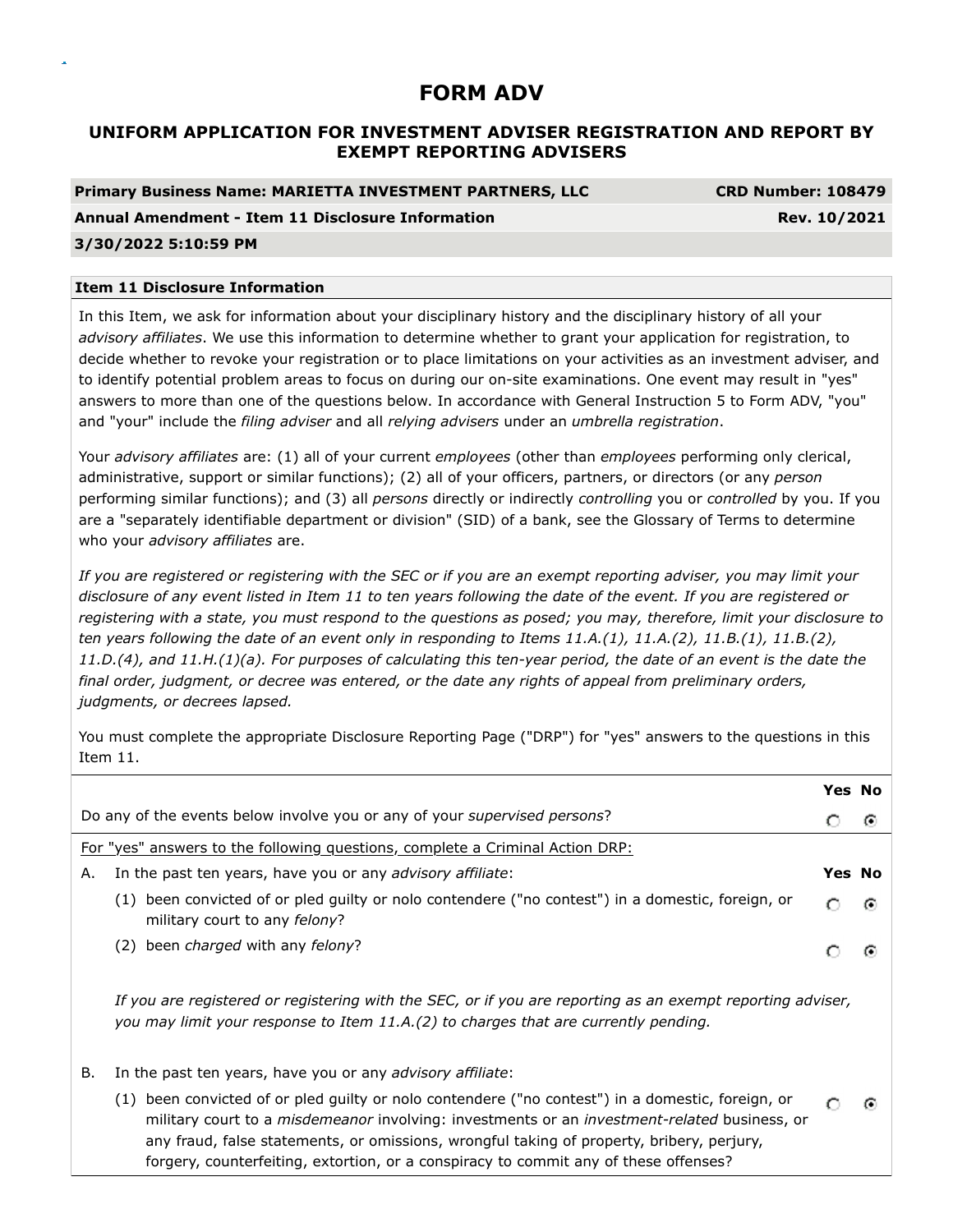# **UNIFORM APPLICATION FOR INVESTMENT ADVISER REGISTRATION AND REPORT BY EXEMPT REPORTING ADVISERS**

## **Primary Business Name: MARIETTA INVESTMENT PARTNERS, LLC CRD Number: 108479**

### **Annual Amendment - Item 11 Disclosure Information Rev. 10/2021**

### **3/30/2022 5:10:59 PM**

### **Item 11 Disclosure Information**

In this Item, we ask for information about your disciplinary history and the disciplinary history of all your *advisory affiliates*. We use this information to determine whether to grant your application for registration, to decide whether to revoke your registration or to place limitations on your activities as an investment adviser, and to identify potential problem areas to focus on during our on-site examinations. One event may result in "yes" answers to more than one of the questions below. In accordance with General Instruction 5 to Form ADV, "you" and "your" include the *filing adviser* and all *relying advisers* under an *umbrella registration*.

Your *advisory affiliates* are: (1) all of your current *employees* (other than *employees* performing only clerical, administrative, support or similar functions); (2) all of your officers, partners, or directors (or any *person* performing similar functions); and (3) all *persons* directly or indirectly *controlling* you or *controlled* by you. If you are a "separately identifiable department or division" (SID) of a bank, see the Glossary of Terms to determine who your *advisory affiliates* are.

*If you are registered or registering with the SEC or if you are an exempt reporting adviser, you may limit your disclosure of any event listed in Item 11 to ten years following the date of the event. If you are registered or registering with a state, you must respond to the questions as posed; you may, therefore, limit your disclosure to ten years following the date of an event only in responding to Items 11.A.(1), 11.A.(2), 11.B.(1), 11.B.(2), 11.D.(4), and 11.H.(1)(a). For purposes of calculating this ten-year period, the date of an event is the date the final order, judgment, or decree was entered, or the date any rights of appeal from preliminary orders, judgments, or decrees lapsed.*

You must complete the appropriate Disclosure Reporting Page ("DRP") for "yes" answers to the questions in this Item 11.

|    |                                                                                                                                                                                                   | <b>Yes No</b> |
|----|---------------------------------------------------------------------------------------------------------------------------------------------------------------------------------------------------|---------------|
|    | Do any of the events below involve you or any of your <i>supervised persons</i> ?                                                                                                                 | G             |
|    | For "yes" answers to the following questions, complete a Criminal Action DRP:                                                                                                                     |               |
| Α. | In the past ten years, have you or any advisory affiliate:                                                                                                                                        | <b>Yes No</b> |
|    | been convicted of or pled guilty or nolo contendere ("no contest") in a domestic, foreign, or<br>(1)<br>military court to any felony?                                                             | G             |
|    | (2) been <i>charged</i> with any <i>felony</i> ?                                                                                                                                                  |               |
|    | If you are registered or registering with the SEC, or if you are reporting as an exempt reporting adviser,<br>you may limit your response to Item 11.A.(2) to charges that are currently pending. |               |
| В. | In the past ten years, have you or any advisory affiliate:                                                                                                                                        |               |
|    | (1) been convicted of or pled guilty or nolo contendere ("no contest") in a domestic, foreign, or<br>military court to a micdemeaner involving unvestments or an investment related business, or  |               |

military court to a *misdemeanor* involving: investments or an *investment-related* business, or any fraud, false statements, or omissions, wrongful taking of property, bribery, perjury, forgery, counterfeiting, extortion, or a conspiracy to commit any of these offenses?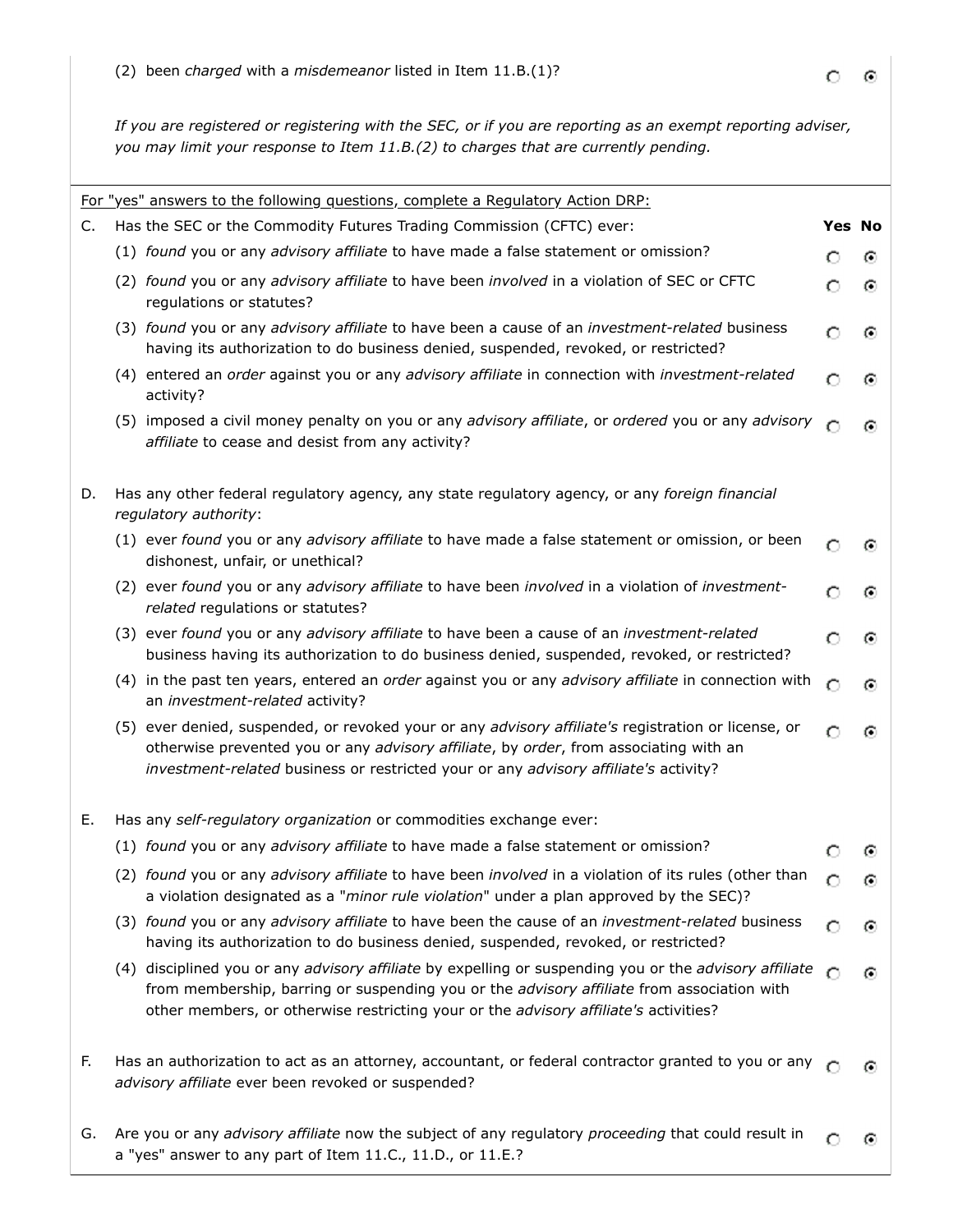*If you are registered or registering with the SEC, or if you are reporting as an exempt reporting adviser, you may limit your response to Item 11.B.(2) to charges that are currently pending.*

|    | For "yes" answers to the following questions, complete a Regulatory Action DRP:                                                                                                                                                                                                              |   |   |  |  |  |  |
|----|----------------------------------------------------------------------------------------------------------------------------------------------------------------------------------------------------------------------------------------------------------------------------------------------|---|---|--|--|--|--|
| C. | Yes No<br>Has the SEC or the Commodity Futures Trading Commission (CFTC) ever:                                                                                                                                                                                                               |   |   |  |  |  |  |
|    | (1) found you or any advisory affiliate to have made a false statement or omission?                                                                                                                                                                                                          |   | ⊙ |  |  |  |  |
|    | (2) found you or any advisory affiliate to have been involved in a violation of SEC or CFTC<br>regulations or statutes?                                                                                                                                                                      | O | ⊙ |  |  |  |  |
|    | (3) found you or any advisory affiliate to have been a cause of an investment-related business<br>having its authorization to do business denied, suspended, revoked, or restricted?                                                                                                         | С | ⊙ |  |  |  |  |
|    | (4) entered an order against you or any advisory affiliate in connection with investment-related<br>activity?                                                                                                                                                                                |   | Θ |  |  |  |  |
|    | (5) imposed a civil money penalty on you or any advisory affiliate, or ordered you or any advisory<br>affiliate to cease and desist from any activity?                                                                                                                                       |   | Θ |  |  |  |  |
| D. | Has any other federal regulatory agency, any state regulatory agency, or any foreign financial<br>regulatory authority:                                                                                                                                                                      |   |   |  |  |  |  |
|    | (1) ever found you or any advisory affiliate to have made a false statement or omission, or been<br>dishonest, unfair, or unethical?                                                                                                                                                         |   |   |  |  |  |  |
|    | (2) ever found you or any advisory affiliate to have been involved in a violation of investment-<br>related regulations or statutes?                                                                                                                                                         |   | o |  |  |  |  |
|    | (3) ever found you or any advisory affiliate to have been a cause of an investment-related<br>business having its authorization to do business denied, suspended, revoked, or restricted?                                                                                                    |   |   |  |  |  |  |
|    | (4) in the past ten years, entered an order against you or any advisory affiliate in connection with<br>an investment-related activity?                                                                                                                                                      |   | o |  |  |  |  |
|    | (5) ever denied, suspended, or revoked your or any advisory affiliate's registration or license, or<br>otherwise prevented you or any advisory affiliate, by order, from associating with an<br>investment-related business or restricted your or any advisory affiliate's activity?         |   | ω |  |  |  |  |
| Е. | Has any self-regulatory organization or commodities exchange ever:                                                                                                                                                                                                                           |   |   |  |  |  |  |
|    | (1) found you or any advisory affiliate to have made a false statement or omission?                                                                                                                                                                                                          |   | o |  |  |  |  |
|    | (2) found you or any advisory affiliate to have been involved in a violation of its rules (other than<br>a violation designated as a "minor rule violation" under a plan approved by the SEC)?                                                                                               | O | ⊙ |  |  |  |  |
|    | (3) found you or any advisory affiliate to have been the cause of an investment-related business<br>having its authorization to do business denied, suspended, revoked, or restricted?                                                                                                       | с | Θ |  |  |  |  |
|    | (4) disciplined you or any advisory affiliate by expelling or suspending you or the advisory affiliate<br>from membership, barring or suspending you or the advisory affiliate from association with<br>other members, or otherwise restricting your or the advisory affiliate's activities? |   | Θ |  |  |  |  |
| F. | Has an authorization to act as an attorney, accountant, or federal contractor granted to you or any<br>advisory affiliate ever been revoked or suspended?                                                                                                                                    |   | Θ |  |  |  |  |
| G. | Are you or any advisory affiliate now the subject of any regulatory proceeding that could result in<br>a "yes" answer to any part of Item 11.C., 11.D., or 11.E.?                                                                                                                            |   | ω |  |  |  |  |

 $\circ$  $\odot$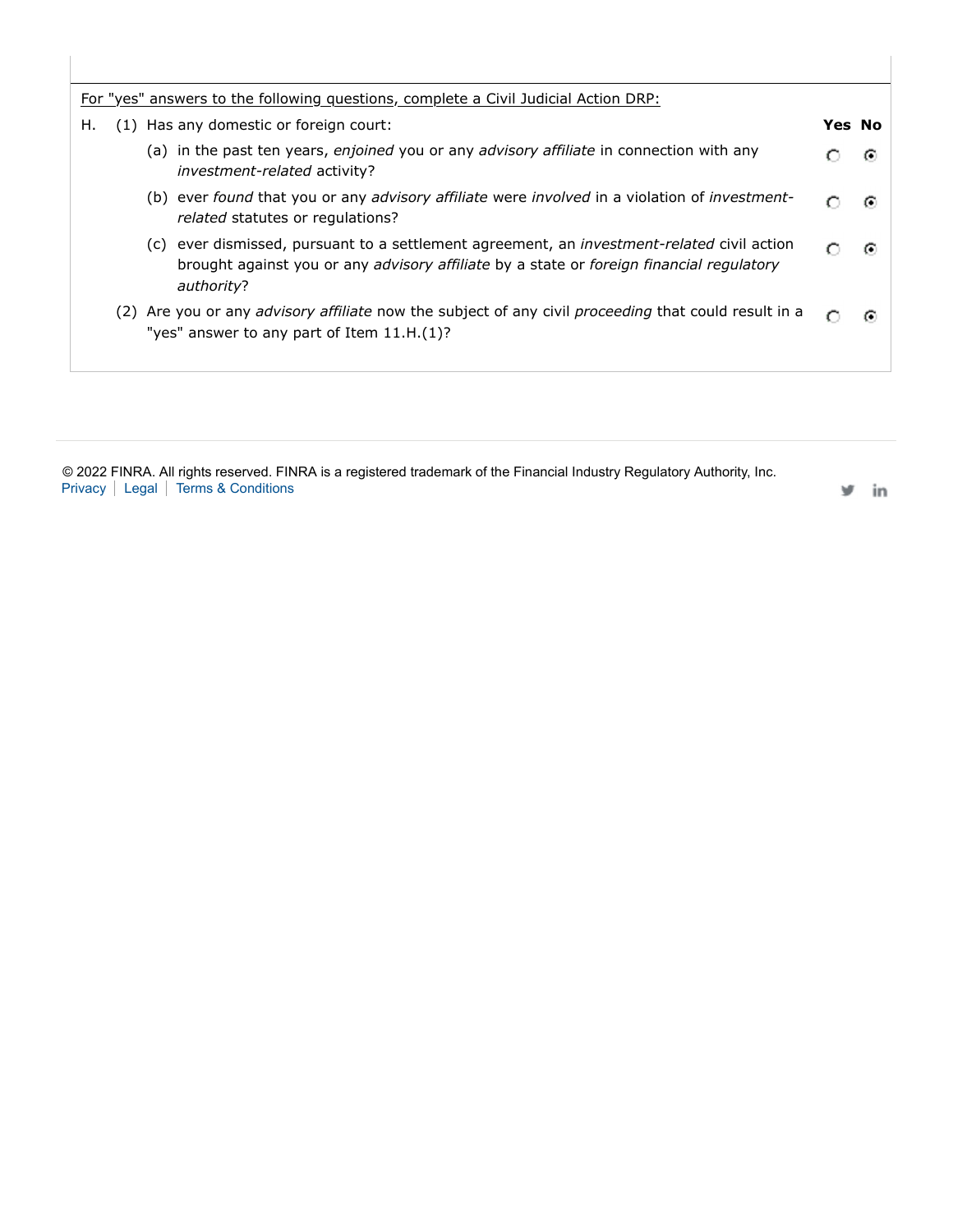|    | For "yes" answers to the following questions, complete a Civil Judicial Action DRP:                                                                                                                                       |               |   |
|----|---------------------------------------------------------------------------------------------------------------------------------------------------------------------------------------------------------------------------|---------------|---|
| Н. | (1) Has any domestic or foreign court:                                                                                                                                                                                    | <b>Yes No</b> |   |
|    | (a) in the past ten years, enjoined you or any advisory affiliate in connection with any<br><i>investment-related</i> activity?                                                                                           |               | G |
|    | (b) ever found that you or any advisory affiliate were involved in a violation of investment-<br><i>related</i> statutes or regulations?                                                                                  |               | G |
|    | (c) ever dismissed, pursuant to a settlement agreement, an <i>investment-related</i> civil action<br>brought against you or any <i>advisory affiliate</i> by a state or <i>foreign financial regulatory</i><br>authority? | ∩             | G |
|    | (2) Are you or any <i>advisory affiliate</i> now the subject of any civil <i>proceeding</i> that could result in a<br>"yes" answer to any part of Item $11.H.(1)?$                                                        |               |   |

© 2022 FINRA. All rights reserved. FINRA is a registered trademark of the Financial Industry Regulatory Authority, Inc. Privacy | Legal | Terms & Conditions

 $y$  in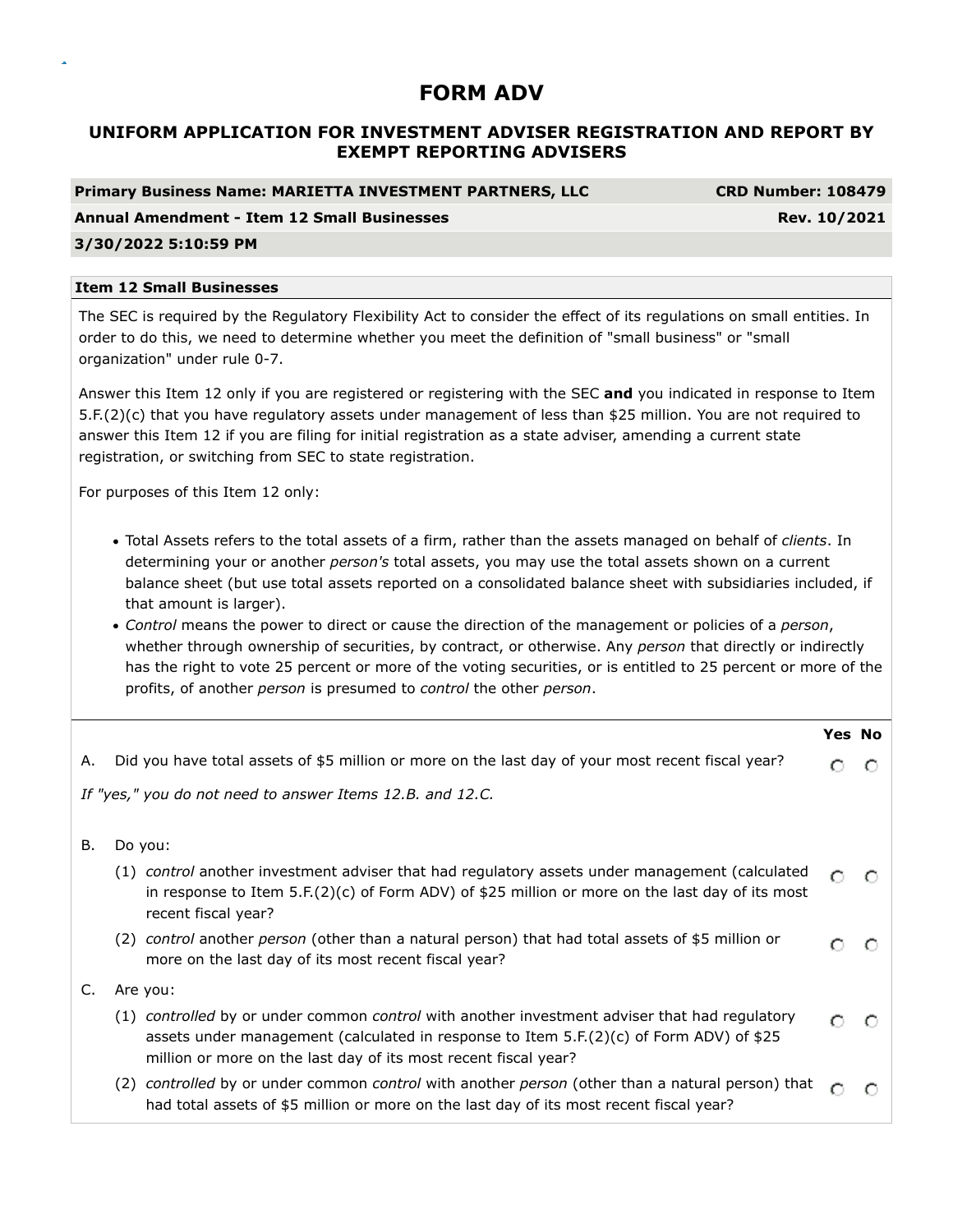# **UNIFORM APPLICATION FOR INVESTMENT ADVISER REGISTRATION AND REPORT BY EXEMPT REPORTING ADVISERS**

**Primary Business Name: MARIETTA INVESTMENT PARTNERS, LLC CRD Number: 108479**

### **Annual Amendment - Item 12 Small Businesses Rev. 10/2021**

### **3/30/2022 5:10:59 PM**

#### **Item 12 Small Businesses**

The SEC is required by the Regulatory Flexibility Act to consider the effect of its regulations on small entities. In order to do this, we need to determine whether you meet the definition of "small business" or "small organization" under rule 0-7.

Answer this Item 12 only if you are registered or registering with the SEC **and** you indicated in response to Item 5.F.(2)(c) that you have regulatory assets under management of less than \$25 million. You are not required to answer this Item 12 if you are filing for initial registration as a state adviser, amending a current state registration, or switching from SEC to state registration.

For purposes of this Item 12 only:

- Total Assets refers to the total assets of a firm, rather than the assets managed on behalf of *clients*. In determining your or another *person's* total assets, you may use the total assets shown on a current balance sheet (but use total assets reported on a consolidated balance sheet with subsidiaries included, if that amount is larger).
- *Control* means the power to direct or cause the direction of the management or policies of a *person*, whether through ownership of securities, by contract, or otherwise. Any *person* that directly or indirectly has the right to vote 25 percent or more of the voting securities, or is entitled to 25 percent or more of the profits, of another *person* is presumed to *control* the other *person*.

|    |                                                                                                                                                                                                                                                             | <b>Yes No</b> |   |
|----|-------------------------------------------------------------------------------------------------------------------------------------------------------------------------------------------------------------------------------------------------------------|---------------|---|
| А. | Did you have total assets of \$5 million or more on the last day of your most recent fiscal year?                                                                                                                                                           |               | O |
|    | If "yes," you do not need to answer Items 12.B. and 12.C.                                                                                                                                                                                                   |               |   |
| В. | Do you:                                                                                                                                                                                                                                                     |               |   |
|    | (1) control another investment adviser that had regulatory assets under management (calculated<br>in response to Item 5.F. $(2)(c)$ of Form ADV) of \$25 million or more on the last day of its most<br>recent fiscal year?                                 | O             |   |
|    | (2) control another person (other than a natural person) that had total assets of \$5 million or<br>more on the last day of its most recent fiscal year?                                                                                                    | O             | O |
| C. | Are you:                                                                                                                                                                                                                                                    |               |   |
|    | (1) controlled by or under common control with another investment adviser that had regulatory<br>assets under management (calculated in response to Item 5.F.(2)(c) of Form ADV) of \$25<br>million or more on the last day of its most recent fiscal year? | O             | C |
|    | (2) controlled by or under common control with another person (other than a natural person) that<br>had total assets of \$5 million or more on the last day of its most recent fiscal year?                                                                 | C             |   |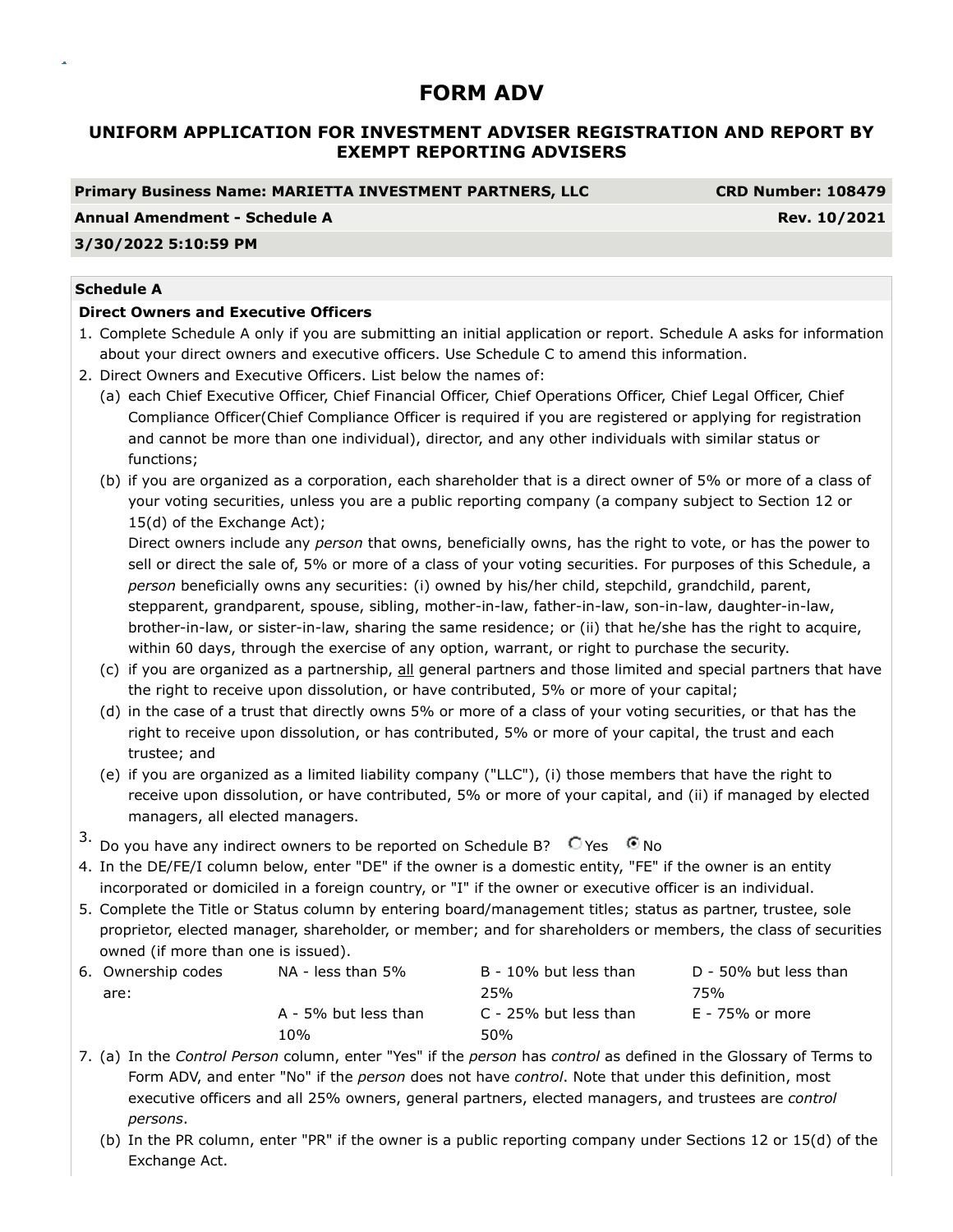# **UNIFORM APPLICATION FOR INVESTMENT ADVISER REGISTRATION AND REPORT BY EXEMPT REPORTING ADVISERS**

#### **Primary Business Name: MARIETTA INVESTMENT PARTNERS, LLC CRD Number: 108479**

#### **Annual Amendment - Schedule A** Rev. 10/2021

### **3/30/2022 5:10:59 PM**

### **Schedule A**

### **Direct Owners and Executive Officers**

- 1. Complete Schedule A only if you are submitting an initial application or report. Schedule A asks for information about your direct owners and executive officers. Use Schedule C to amend this information.
- 2. Direct Owners and Executive Officers. List below the names of:
	- (a) each Chief Executive Officer, Chief Financial Officer, Chief Operations Officer, Chief Legal Officer, Chief Compliance Officer(Chief Compliance Officer is required if you are registered or applying for registration and cannot be more than one individual), director, and any other individuals with similar status or functions;
	- (b) if you are organized as a corporation, each shareholder that is a direct owner of 5% or more of a class of your voting securities, unless you are a public reporting company (a company subject to Section 12 or 15(d) of the Exchange Act);

Direct owners include any *person* that owns, beneficially owns, has the right to vote, or has the power to sell or direct the sale of, 5% or more of a class of your voting securities. For purposes of this Schedule, a *person* beneficially owns any securities: (i) owned by his/her child, stepchild, grandchild, parent, stepparent, grandparent, spouse, sibling, mother-in-law, father-in-law, son-in-law, daughter-in-law, brother-in-law, or sister-in-law, sharing the same residence; or (ii) that he/she has the right to acquire, within 60 days, through the exercise of any option, warrant, or right to purchase the security.

- (c) if you are organized as a partnership, all general partners and those limited and special partners that have the right to receive upon dissolution, or have contributed, 5% or more of your capital;
- (d) in the case of a trust that directly owns 5% or more of a class of your voting securities, or that has the right to receive upon dissolution, or has contributed, 5% or more of your capital, the trust and each trustee; and
- (e) if you are organized as a limited liability company ("LLC"), (i) those members that have the right to receive upon dissolution, or have contributed, 5% or more of your capital, and (ii) if managed by elected managers, all elected managers.
- 3. Do you have any indirect owners to be reported on Schedule B?  $\bigcirc$  Yes  $\bigcirc$  No
- 4. In the DE/FE/I column below, enter "DE" if the owner is a domestic entity, "FE" if the owner is an entity incorporated or domiciled in a foreign country, or "I" if the owner or executive officer is an individual.
- 5. Complete the Title or Status column by entering board/management titles; status as partner, trustee, sole proprietor, elected manager, shareholder, or member; and for shareholders or members, the class of securities owned (if more than one is issued).

| 6. Ownership codes | NA - less than 5%    | B - 10% but less than | D - 50% but less than |
|--------------------|----------------------|-----------------------|-----------------------|
| are:               |                      | 25%                   | 75%                   |
|                    | A - 5% but less than | C - 25% but less than | E - 75% or more       |
|                    | 1 በ%                 | 50%                   |                       |

- 7. (a) In the *Control Person* column, enter "Yes" if the *person* has *control* as defined in the Glossary of Terms to Form ADV, and enter "No" if the *person* does not have *control*. Note that under this definition, most executive officers and all 25% owners, general partners, elected managers, and trustees are *control persons*.
	- (b) In the PR column, enter "PR" if the owner is a public reporting company under Sections 12 or 15(d) of the Exchange Act.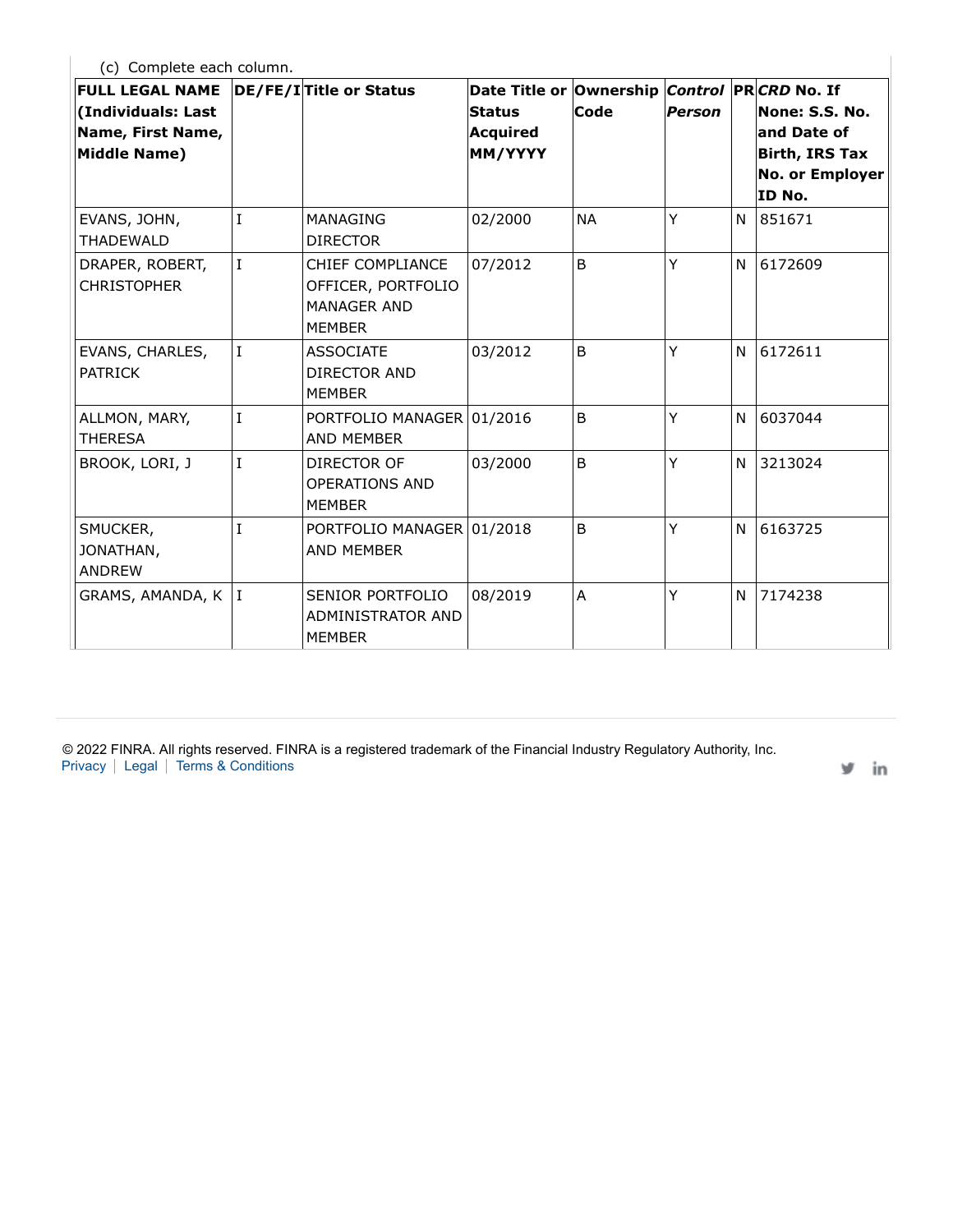(c) Complete each column.

 $\overline{\phantom{a}}$ 

| <b>FULL LEGAL NAME</b><br>(Individuals: Last<br>Name, First Name,<br>Middle Name) |                | DE/FE/I Title or Status                                                       | Date Title or Ownership<br><b>Status</b><br>Acquired<br>MM/YYYY | Code         | Person |   | Control PRCRD No. If<br>None: S.S. No.<br>and Date of<br>Birth, IRS Tax<br>No. or Employer<br>ID No. |
|-----------------------------------------------------------------------------------|----------------|-------------------------------------------------------------------------------|-----------------------------------------------------------------|--------------|--------|---|------------------------------------------------------------------------------------------------------|
| EVANS, JOHN,<br><b>THADEWALD</b>                                                  | T              | MANAGING<br><b>DIRECTOR</b>                                                   | 02/2000                                                         | <b>NA</b>    | Ÿ      | N | 851671                                                                                               |
| DRAPER, ROBERT,<br><b>CHRISTOPHER</b>                                             | $\mathsf{L}$   | CHIEF COMPLIANCE<br>OFFICER, PORTFOLIO<br><b>MANAGER AND</b><br><b>MEMBER</b> | 07/2012                                                         | B            | Ÿ      | N | 6172609                                                                                              |
| EVANS, CHARLES,<br><b>PATRICK</b>                                                 | $\mathbf I$    | <b>ASSOCIATE</b><br>DIRECTOR AND<br><b>MEMBER</b>                             | 03/2012                                                         | <sub>B</sub> | Ÿ      | N | 6172611                                                                                              |
| ALLMON, MARY,<br><b>THERESA</b>                                                   | I              | PORTFOLIO MANAGER 01/2016<br>AND MEMBER                                       |                                                                 | B            | Y      | N | 6037044                                                                                              |
| BROOK, LORI, J                                                                    | I              | DIRECTOR OF<br><b>OPERATIONS AND</b><br><b>MEMBER</b>                         | 03/2000                                                         | B            | Ÿ      | N | 3213024                                                                                              |
| SMUCKER,<br>JONATHAN,<br><b>ANDREW</b>                                            | $\overline{I}$ | PORTFOLIO MANAGER 01/2018<br>AND MEMBER                                       |                                                                 | B            | Y      | N | 6163725                                                                                              |
| GRAMS, AMANDA, K                                                                  | ΙI             | SENIOR PORTFOLIO<br>ADMINISTRATOR AND<br><b>MEMBER</b>                        | 08/2019                                                         | A            | Ÿ      | N | 7174238                                                                                              |

© 2022 FINRA. All rights reserved. FINRA is a registered trademark of the Financial Industry Regulatory Authority, Inc. Privacy | Legal | Terms & Conditions

v in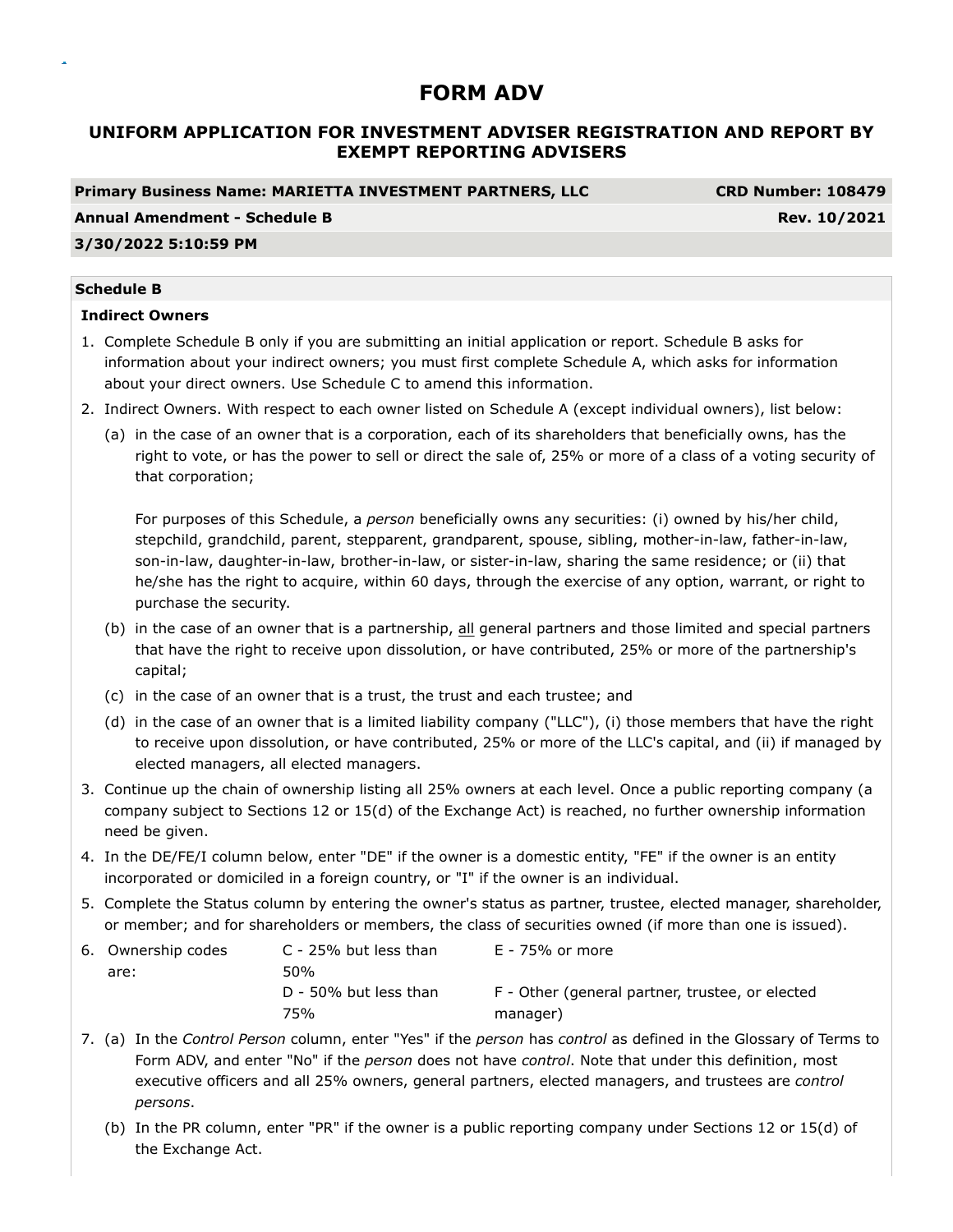# **UNIFORM APPLICATION FOR INVESTMENT ADVISER REGISTRATION AND REPORT BY EXEMPT REPORTING ADVISERS**

### **Primary Business Name: MARIETTA INVESTMENT PARTNERS, LLC CRD Number: 108479**

**Annual Amendment - Schedule B Rev. 10/2021** 

# **3/30/2022 5:10:59 PM**

#### **Schedule B**

### **Indirect Owners**

- 1. Complete Schedule B only if you are submitting an initial application or report. Schedule B asks for information about your indirect owners; you must first complete Schedule A, which asks for information about your direct owners. Use Schedule C to amend this information.
- 2. Indirect Owners. With respect to each owner listed on Schedule A (except individual owners), list below:
	- (a) in the case of an owner that is a corporation, each of its shareholders that beneficially owns, has the right to vote, or has the power to sell or direct the sale of, 25% or more of a class of a voting security of that corporation;

For purposes of this Schedule, a *person* beneficially owns any securities: (i) owned by his/her child, stepchild, grandchild, parent, stepparent, grandparent, spouse, sibling, mother-in-law, father-in-law, son-in-law, daughter-in-law, brother-in-law, or sister-in-law, sharing the same residence; or (ii) that he/she has the right to acquire, within 60 days, through the exercise of any option, warrant, or right to purchase the security.

- (b) in the case of an owner that is a partnership, all general partners and those limited and special partners that have the right to receive upon dissolution, or have contributed, 25% or more of the partnership's capital;
- (c) in the case of an owner that is a trust, the trust and each trustee; and
- (d) in the case of an owner that is a limited liability company ("LLC"), (i) those members that have the right to receive upon dissolution, or have contributed, 25% or more of the LLC's capital, and (ii) if managed by elected managers, all elected managers.
- 3. Continue up the chain of ownership listing all 25% owners at each level. Once a public reporting company (a company subject to Sections 12 or 15(d) of the Exchange Act) is reached, no further ownership information need be given.
- 4. In the DE/FE/I column below, enter "DE" if the owner is a domestic entity, "FE" if the owner is an entity incorporated or domiciled in a foreign country, or "I" if the owner is an individual.
- 5. Complete the Status column by entering the owner's status as partner, trustee, elected manager, shareholder, or member; and for shareholders or members, the class of securities owned (if more than one is issued).

| 6. Ownership codes | C - 25% but less than | E - 75% or more                                 |
|--------------------|-----------------------|-------------------------------------------------|
| are:               | 50%                   |                                                 |
|                    | D - 50% but less than | F - Other (general partner, trustee, or elected |
|                    | 75%                   | manager)                                        |

- 7. (a) In the *Control Person* column, enter "Yes" if the *person* has *control* as defined in the Glossary of Terms to Form ADV, and enter "No" if the *person* does not have *control*. Note that under this definition, most executive officers and all 25% owners, general partners, elected managers, and trustees are *control persons*.
	- (b) In the PR column, enter "PR" if the owner is a public reporting company under Sections 12 or 15(d) of the Exchange Act.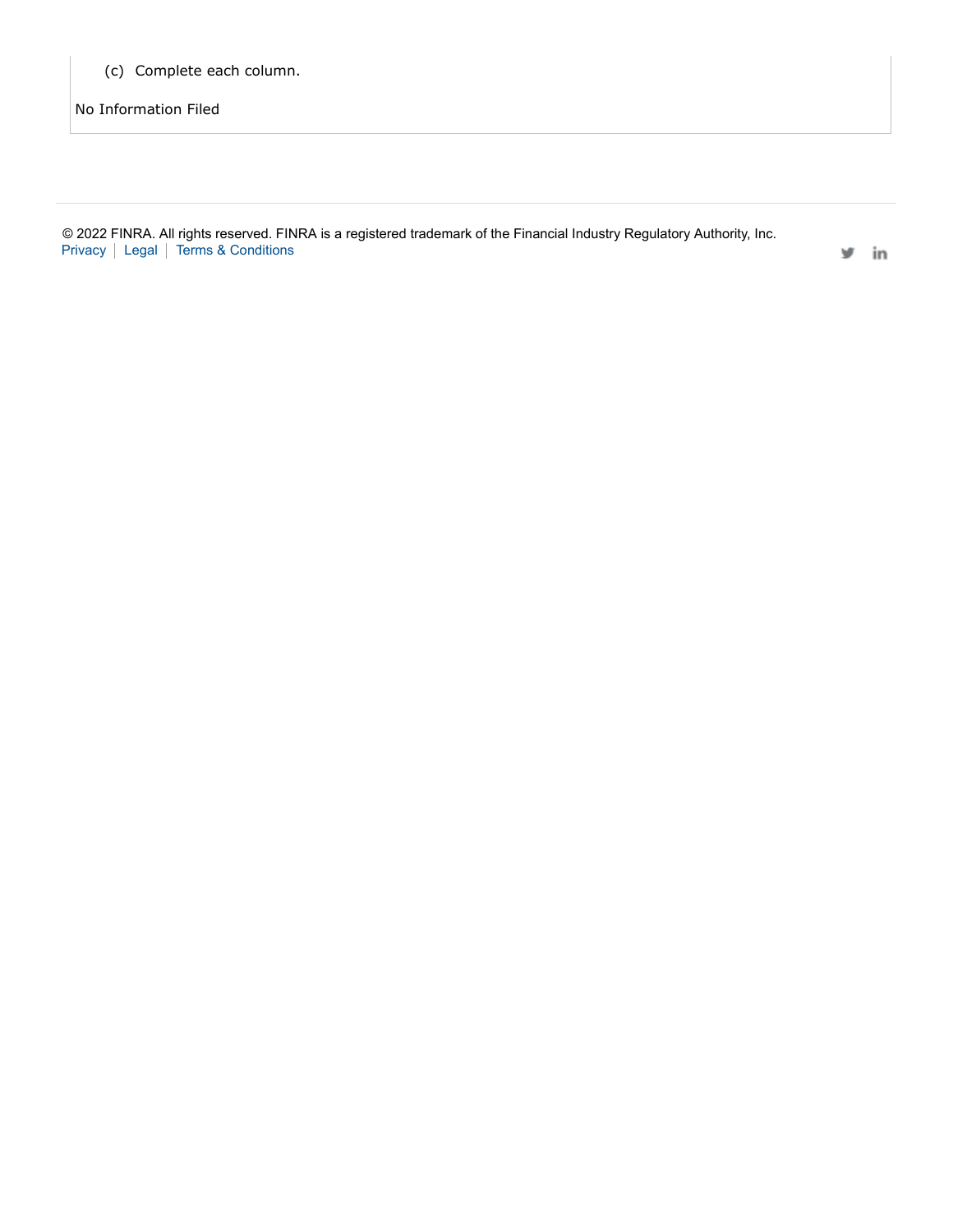(c) Complete each column.

No Information Filed

|  | © 2022 FINRA. All rights reserved. FINRA is a registered trademark of the Financial Industry Regulatory Authority, Inc. |  |
|--|-------------------------------------------------------------------------------------------------------------------------|--|
|  | Privacy   Legal   Terms & Conditions                                                                                    |  |

 $y$  in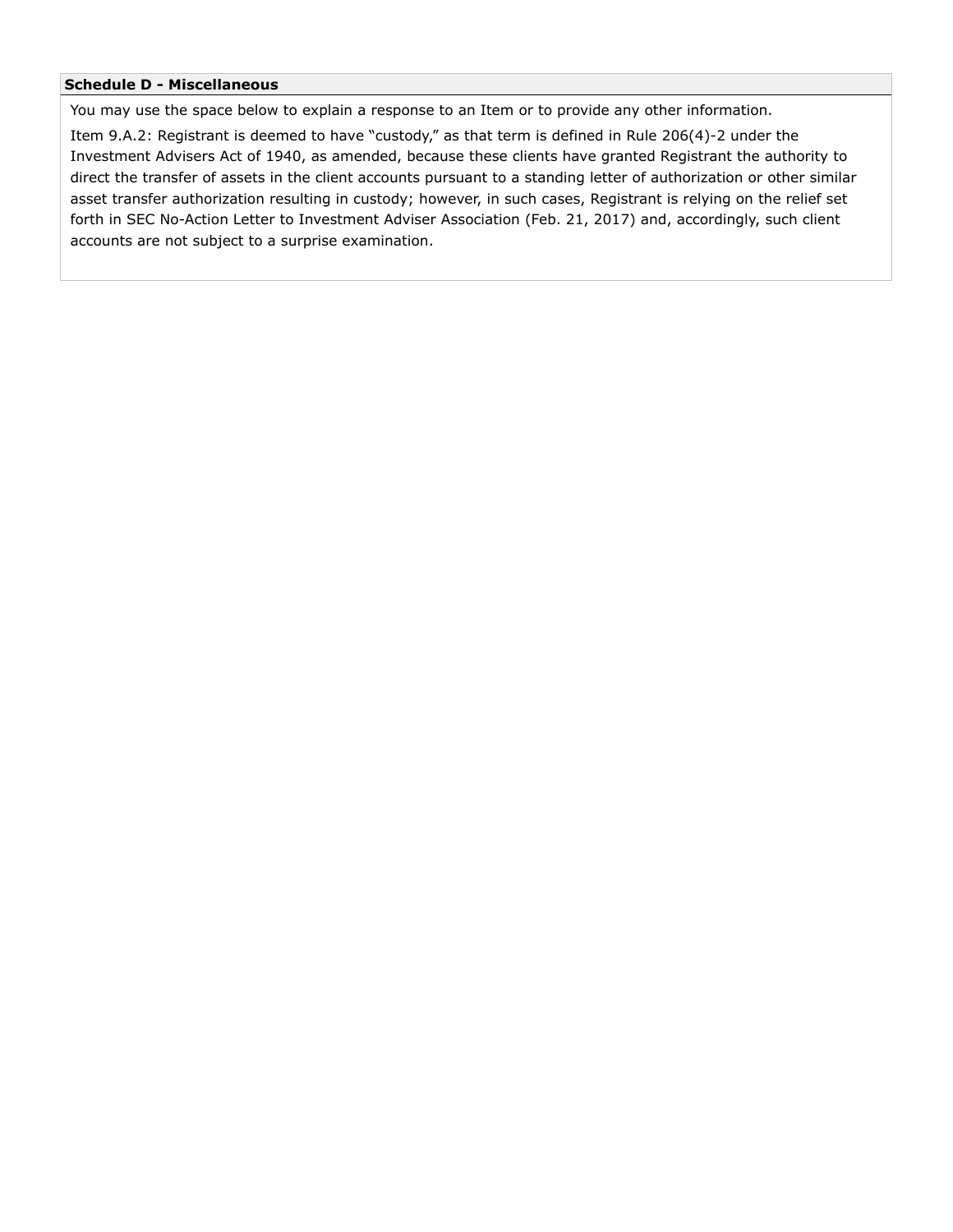#### **Schedule D - Miscellaneous**

You may use the space below to explain a response to an Item or to provide any other information.

Item 9.A.2: Registrant is deemed to have "custody," as that term is defined in Rule 206(4)-2 under the Investment Advisers Act of 1940, as amended, because these clients have granted Registrant the authority to direct the transfer of assets in the client accounts pursuant to a standing letter of authorization or other similar asset transfer authorization resulting in custody; however, in such cases, Registrant is relying on the relief set forth in SEC No-Action Letter to Investment Adviser Association (Feb. 21, 2017) and, accordingly, such client accounts are not subject to a surprise examination.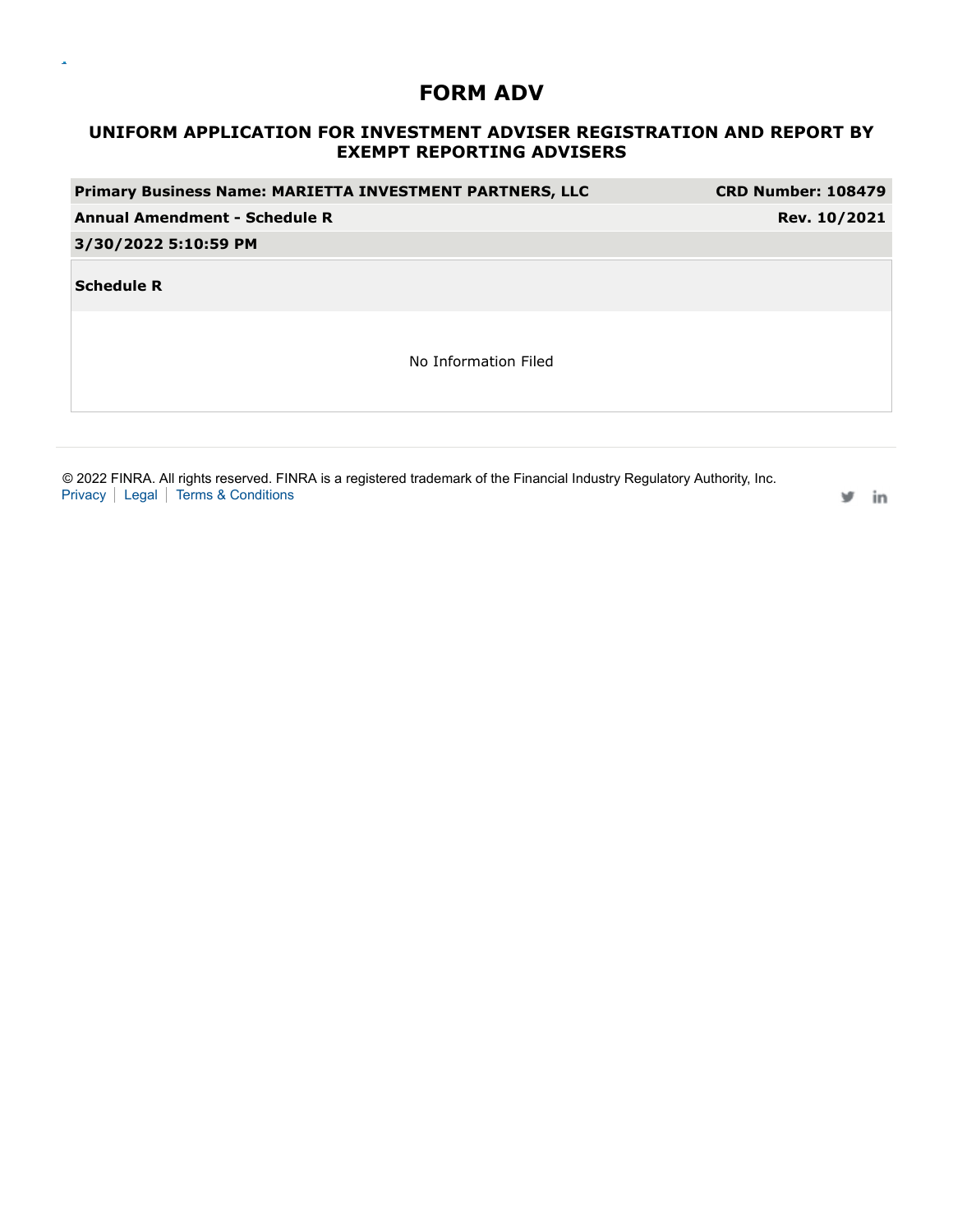$\bar{\mathbf{a}}$ 

# **UNIFORM APPLICATION FOR INVESTMENT ADVISER REGISTRATION AND REPORT BY EXEMPT REPORTING ADVISERS**

| Primary Business Name: MARIETTA INVESTMENT PARTNERS, LLC | <b>CRD Number: 108479</b> |
|----------------------------------------------------------|---------------------------|
| <b>Annual Amendment - Schedule R</b>                     | Rev. 10/2021              |
| 3/30/2022 5:10:59 PM                                     |                           |
| <b>Schedule R</b>                                        |                           |
| No Information Filed                                     |                           |
|                                                          |                           |

© 2022 FINRA. All rights reserved. FINRA is a registered trademark of the Financial Industry Regulatory Authority, Inc. Privacy | Legal | Terms & Conditions

in w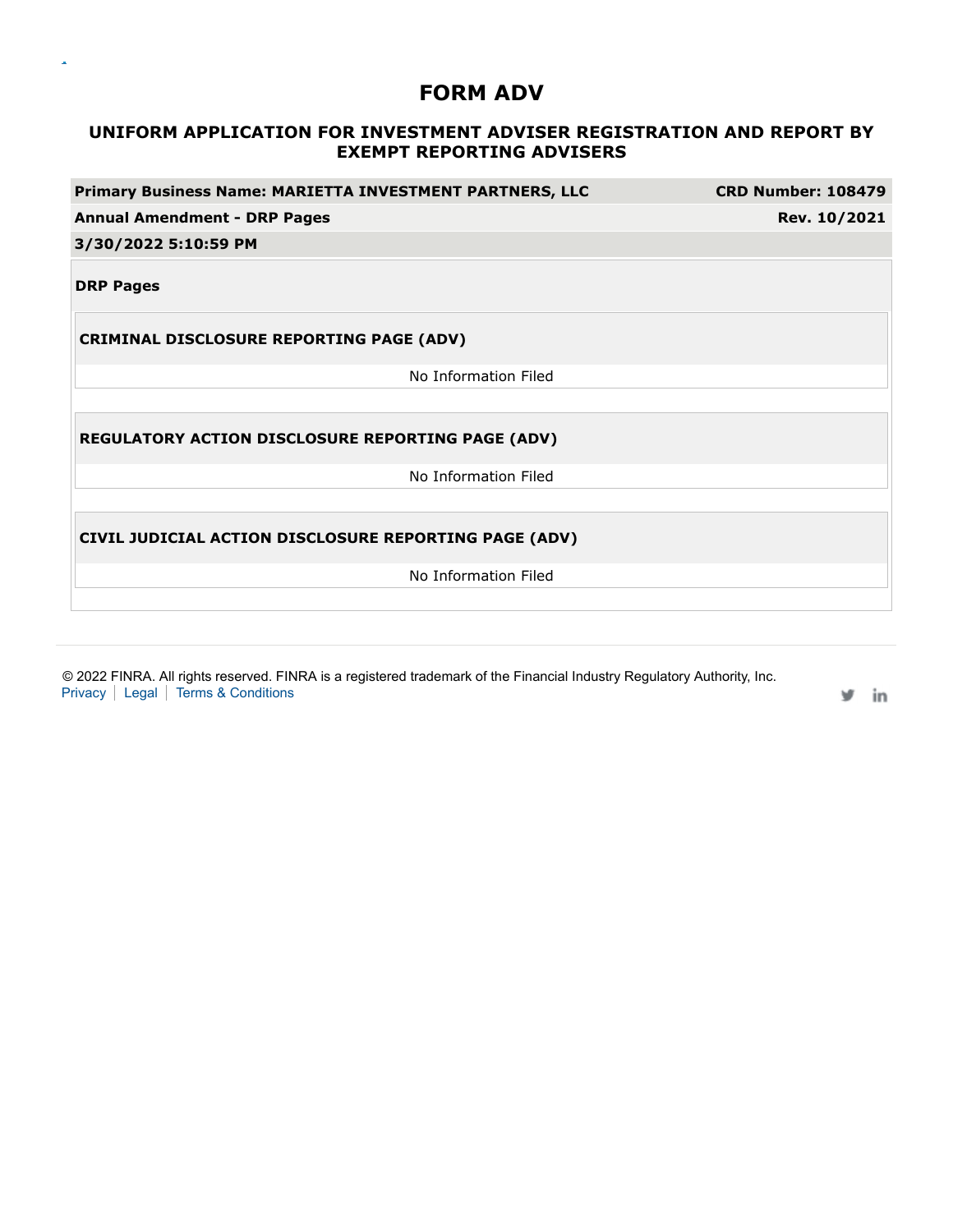$\bar{\mathbf{a}}$ 

# **UNIFORM APPLICATION FOR INVESTMENT ADVISER REGISTRATION AND REPORT BY EXEMPT REPORTING ADVISERS**

| Primary Business Name: MARIETTA INVESTMENT PARTNERS, LLC |                      | <b>CRD Number: 108479</b> |
|----------------------------------------------------------|----------------------|---------------------------|
| <b>Annual Amendment - DRP Pages</b>                      |                      | Rev. 10/2021              |
| 3/30/2022 5:10:59 PM                                     |                      |                           |
| <b>DRP Pages</b>                                         |                      |                           |
| <b>CRIMINAL DISCLOSURE REPORTING PAGE (ADV)</b>          |                      |                           |
|                                                          | No Information Filed |                           |
|                                                          |                      |                           |
| REGULATORY ACTION DISCLOSURE REPORTING PAGE (ADV)        |                      |                           |
|                                                          | No Information Filed |                           |
|                                                          |                      |                           |
| CIVIL JUDICIAL ACTION DISCLOSURE REPORTING PAGE (ADV)    |                      |                           |
|                                                          | No Information Filed |                           |
|                                                          |                      |                           |
|                                                          |                      |                           |

© 2022 FINRA. All rights reserved. FINRA is a registered trademark of the Financial Industry Regulatory Authority, Inc. Privacy | Legal | Terms & Conditions

in v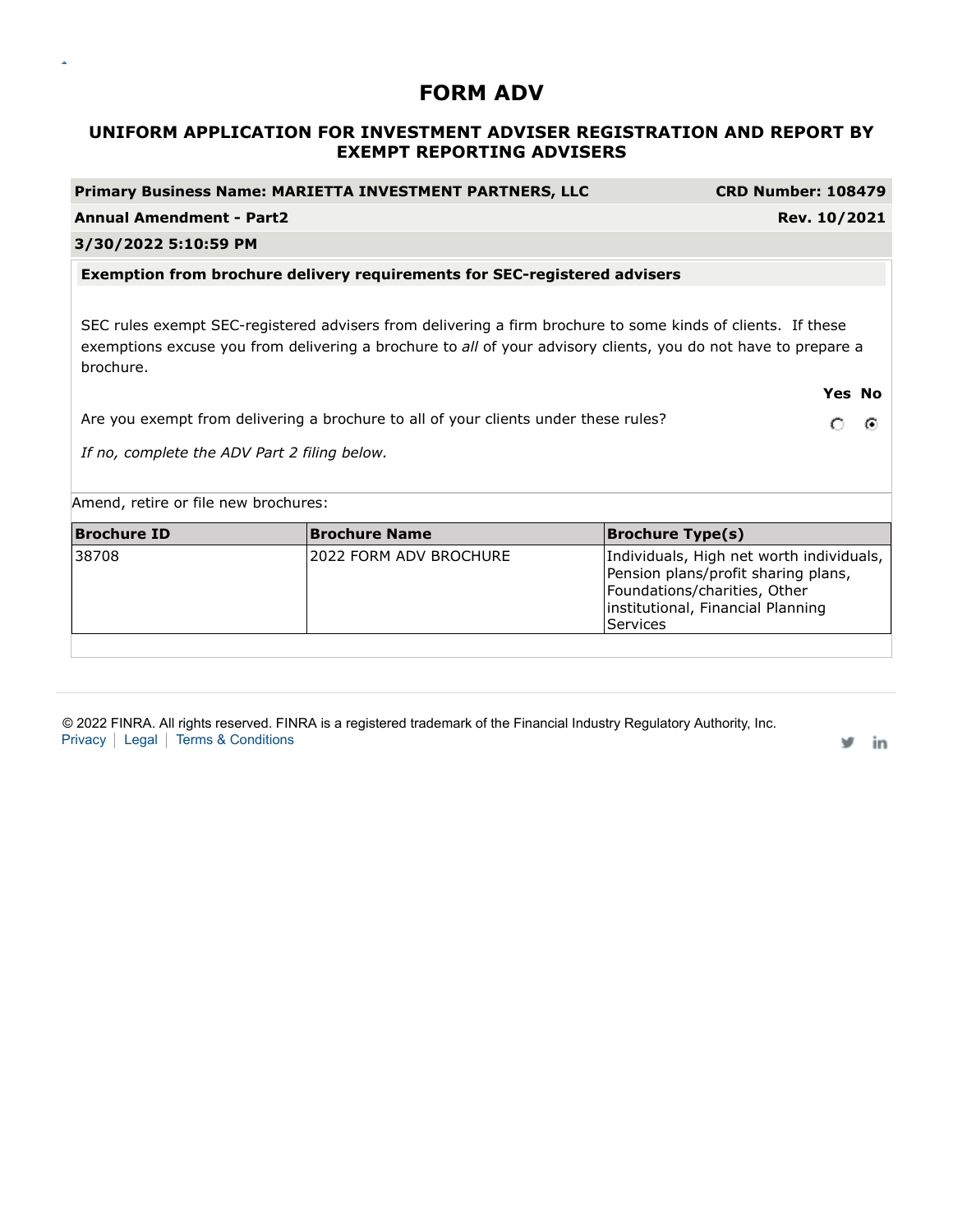# **UNIFORM APPLICATION FOR INVESTMENT ADVISER REGISTRATION AND REPORT BY EXEMPT REPORTING ADVISERS**

**Primary Business Name: MARIETTA INVESTMENT PARTNERS, LLC CRD Number: 108479 Annual Amendment - Part2 Rev. 10/2021**

# **3/30/2022 5:10:59 PM Exemption from brochure delivery requirements for SEC-registered advisers** SEC rules exempt SEC-registered advisers from delivering a firm brochure to some kinds of clients. If these exemptions excuse you from delivering a brochure to *all* of your advisory clients, you do not have to prepare a brochure. **Yes No** Are you exempt from delivering a brochure to all of your clients under these rules? െര *If no, complete the ADV Part 2 filing below.* Amend, retire or file new brochures: **Brochure ID Brochure Name Brochure Type(s)** 38708 2022 FORM ADV BROCHURE |Individuals, High net worth individuals, Pension plans/profit sharing plans, Foundations/charities, Other institutional, Financial Planning **Services**

© 2022 FINRA. All rights reserved. FINRA is a registered trademark of the Financial Industry Regulatory Authority, Inc. Privacy | Legal | Terms & Conditions

in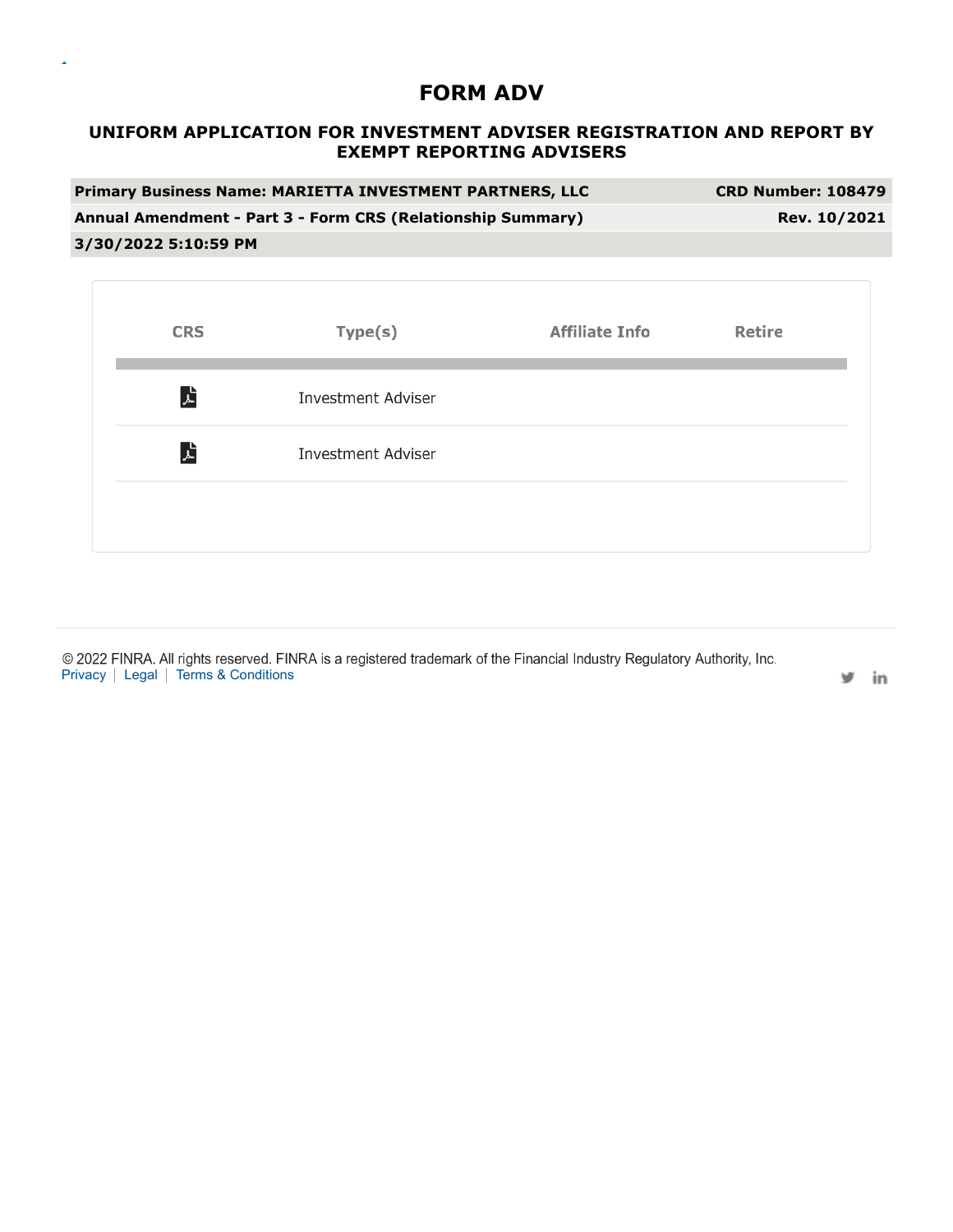$\bar{\mathbf{a}}$ 

# **UNIFORM APPLICATION FOR INVESTMENT ADVISER REGISTRATION AND REPORT BY EXEMPT REPORTING ADVISERS**

| <b>Primary Business Name: MARIETTA INVESTMENT PARTNERS, LLC</b> | <b>CRD Number: 108479</b> |
|-----------------------------------------------------------------|---------------------------|
| Annual Amendment - Part 3 - Form CRS (Relationship Summary)     | Rev. 10/2021              |
| 3/30/2022 5:10:59 PM                                            |                           |

| <b>CRS</b> | Type(s)                   | <b>Affiliate Info</b> | <b>Retire</b> |
|------------|---------------------------|-----------------------|---------------|
| 人          | <b>Investment Adviser</b> |                       |               |
| 人          | <b>Investment Adviser</b> |                       |               |
|            |                           |                       |               |

© 2022 FINRA. All rights reserved. FINRA is a registered trademark of the Financial Industry Regulatory Authority, Inc. Privacy | Legal | Terms & Conditions

in w